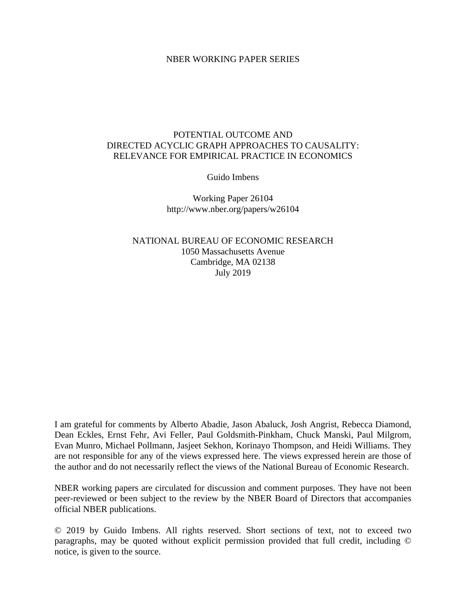#### NBER WORKING PAPER SERIES

## POTENTIAL OUTCOME AND DIRECTED ACYCLIC GRAPH APPROACHES TO CAUSALITY: RELEVANCE FOR EMPIRICAL PRACTICE IN ECONOMICS

Guido Imbens

Working Paper 26104 http://www.nber.org/papers/w26104

NATIONAL BUREAU OF ECONOMIC RESEARCH 1050 Massachusetts Avenue Cambridge, MA 02138 July 2019

I am grateful for comments by Alberto Abadie, Jason Abaluck, Josh Angrist, Rebecca Diamond, Dean Eckles, Ernst Fehr, Avi Feller, Paul Goldsmith-Pinkham, Chuck Manski, Paul Milgrom, Evan Munro, Michael Pollmann, Jasjeet Sekhon, Korinayo Thompson, and Heidi Williams. They are not responsible for any of the views expressed here. The views expressed herein are those of the author and do not necessarily reflect the views of the National Bureau of Economic Research.

NBER working papers are circulated for discussion and comment purposes. They have not been peer-reviewed or been subject to the review by the NBER Board of Directors that accompanies official NBER publications.

© 2019 by Guido Imbens. All rights reserved. Short sections of text, not to exceed two paragraphs, may be quoted without explicit permission provided that full credit, including © notice, is given to the source.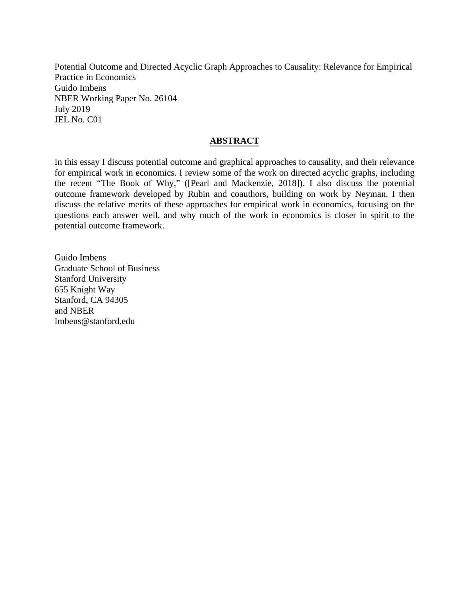Potential Outcome and Directed Acyclic Graph Approaches to Causality: Relevance for Empirical Practice in Economics Guido Imbens NBER Working Paper No. 26104 July 2019 JEL No. C01

## **ABSTRACT**

In this essay I discuss potential outcome and graphical approaches to causality, and their relevance for empirical work in economics. I review some of the work on directed acyclic graphs, including the recent "The Book of Why," ([Pearl and Mackenzie, 2018]). I also discuss the potential outcome framework developed by Rubin and coauthors, building on work by Neyman. I then discuss the relative merits of these approaches for empirical work in economics, focusing on the questions each answer well, and why much of the work in economics is closer in spirit to the potential outcome framework.

Guido Imbens Graduate School of Business Stanford University 655 Knight Way Stanford, CA 94305 and NBER Imbens@stanford.edu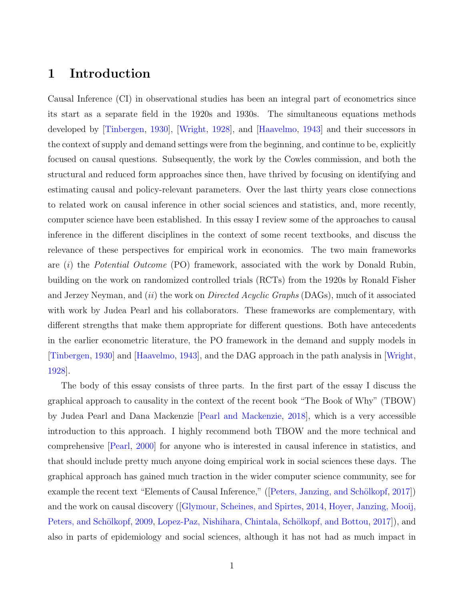## 1 Introduction

Causal Inference (CI) in observational studies has been an integral part of econometrics since its start as a separate field in the 1920s and 1930s. The simultaneous equations methods developed by [\[Tinbergen,](#page-72-0) [1930\]](#page-72-0), [\[Wright,](#page-73-0) [1928\]](#page-73-0), and [\[Haavelmo,](#page-65-0) [1943\]](#page-65-0) and their successors in the context of supply and demand settings were from the beginning, and continue to be, explicitly focused on causal questions. Subsequently, the work by the Cowles commission, and both the structural and reduced form approaches since then, have thrived by focusing on identifying and estimating causal and policy-relevant parameters. Over the last thirty years close connections to related work on causal inference in other social sciences and statistics, and, more recently, computer science have been established. In this essay I review some of the approaches to causal inference in the different disciplines in the context of some recent textbooks, and discuss the relevance of these perspectives for empirical work in economics. The two main frameworks are  $(i)$  the *Potential Outcome* (PO) framework, associated with the work by Donald Rubin, building on the work on randomized controlled trials (RCTs) from the 1920s by Ronald Fisher and Jerzey Neyman, and *(ii)* the work on *Directed Acyclic Graphs* (DAGs), much of it associated with work by Judea Pearl and his collaborators. These frameworks are complementary, with different strengths that make them appropriate for different questions. Both have antecedents in the earlier econometric literature, the PO framework in the demand and supply models in [\[Tinbergen,](#page-72-0) [1930\]](#page-72-0) and [\[Haavelmo,](#page-65-0) [1943\]](#page-65-0), and the DAG approach in the path analysis in [\[Wright,](#page-73-0) [1928\]](#page-73-0).

The body of this essay consists of three parts. In the first part of the essay I discuss the graphical approach to causality in the context of the recent book "The Book of Why" (TBOW) by Judea Pearl and Dana Mackenzie [\[Pearl and Mackenzie,](#page-70-0) [2018\]](#page-70-0), which is a very accessible introduction to this approach. I highly recommend both TBOW and the more technical and comprehensive [\[Pearl,](#page-69-0) [2000\]](#page-69-0) for anyone who is interested in causal inference in statistics, and that should include pretty much anyone doing empirical work in social sciences these days. The graphical approach has gained much traction in the wider computer science community, see for example the recent text "Elements of Causal Inference," ([Peters, Janzing, and Schölkopf, [2017\]](#page-70-1)) and the work on causal discovery ([\[Glymour, Scheines, and Spirtes,](#page-64-0) [2014,](#page-64-0) [Hoyer, Janzing, Mooij,](#page-66-0) Peters, and Schölkopf, [2009,](#page-66-0) Lopez-Paz, Nishihara, Chintala, Schölkopf, and Bottou, 2017), and also in parts of epidemiology and social sciences, although it has not had as much impact in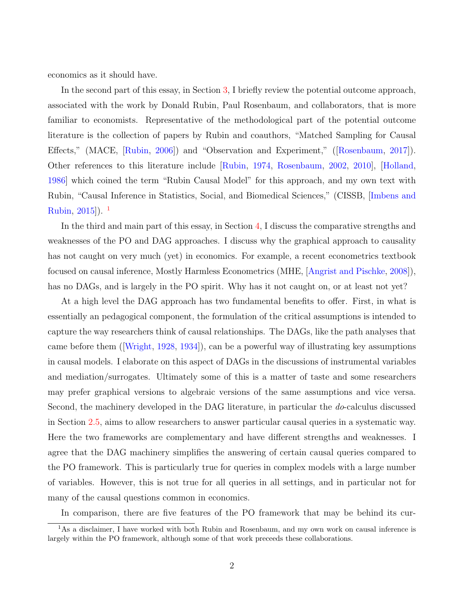economics as it should have.

In the second part of this essay, in Section [3,](#page-27-0) I briefly review the potential outcome approach, associated with the work by Donald Rubin, Paul Rosenbaum, and collaborators, that is more familiar to economists. Representative of the methodological part of the potential outcome literature is the collection of papers by Rubin and coauthors, "Matched Sampling for Causal Effects," (MACE, [\[Rubin,](#page-71-0) [2006\]](#page-71-0)) and "Observation and Experiment," ([\[Rosenbaum,](#page-71-1) [2017\]](#page-71-1)). Other references to this literature include [\[Rubin,](#page-71-2) [1974,](#page-71-2) [Rosenbaum,](#page-71-3) [2002,](#page-71-3) [2010\]](#page-71-4), [\[Holland,](#page-66-1) [1986\]](#page-66-1) which coined the term "Rubin Causal Model" for this approach, and my own text with Rubin, "Causal Inference in Statistics, Social, and Biomedical Sciences," (CISSB, [\[Imbens and](#page-67-0) [Rubin,](#page-67-0) [2015\]](#page-67-0)). [1](#page-3-0)

In the third and main part of this essay, in Section [4,](#page-35-0) I discuss the comparative strengths and weaknesses of the PO and DAG approaches. I discuss why the graphical approach to causality has not caught on very much (yet) in economics. For example, a recent econometrics textbook focused on causal inference, Mostly Harmless Econometrics (MHE, [\[Angrist and Pischke,](#page-60-0) [2008\]](#page-60-0)), has no DAGs, and is largely in the PO spirit. Why has it not caught on, or at least not yet?

At a high level the DAG approach has two fundamental benefits to offer. First, in what is essentially an pedagogical component, the formulation of the critical assumptions is intended to capture the way researchers think of causal relationships. The DAGs, like the path analyses that came before them ([\[Wright,](#page-73-0) [1928,](#page-73-0) [1934\]](#page-73-1)), can be a powerful way of illustrating key assumptions in causal models. I elaborate on this aspect of DAGs in the discussions of instrumental variables and mediation/surrogates. Ultimately some of this is a matter of taste and some researchers may prefer graphical versions to algebraic versions of the same assumptions and vice versa. Second, the machinery developed in the DAG literature, in particular the do-calculus discussed in Section [2.5,](#page-17-0) aims to allow researchers to answer particular causal queries in a systematic way. Here the two frameworks are complementary and have different strengths and weaknesses. I agree that the DAG machinery simplifies the answering of certain causal queries compared to the PO framework. This is particularly true for queries in complex models with a large number of variables. However, this is not true for all queries in all settings, and in particular not for many of the causal questions common in economics.

<span id="page-3-0"></span>In comparison, there are five features of the PO framework that may be behind its cur-

<sup>&</sup>lt;sup>1</sup>As a disclaimer, I have worked with both Rubin and Rosenbaum, and my own work on causal inference is largely within the PO framework, although some of that work preceeds these collaborations.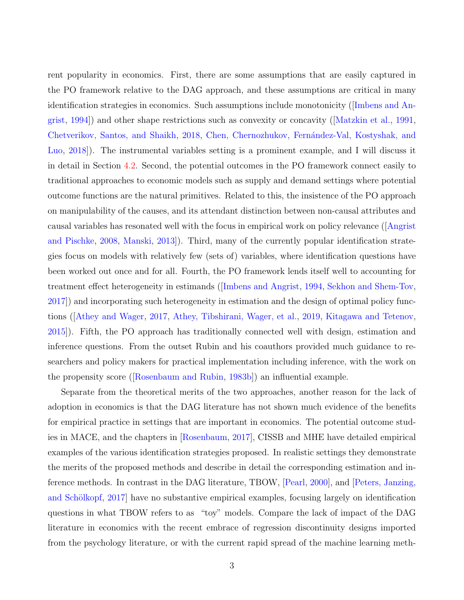rent popularity in economics. First, there are some assumptions that are easily captured in the PO framework relative to the DAG approach, and these assumptions are critical in many identification strategies in economics. Such assumptions include monotonicity ([\[Imbens and An](#page-67-1)[grist,](#page-67-1) [1994\]](#page-67-1)) and other shape restrictions such as convexity or concavity ([\[Matzkin et al.,](#page-68-1) [1991,](#page-68-1) [Chetverikov, Santos, and Shaikh,](#page-62-0) [2018,](#page-62-0) Chen, Chernozhukov, Fernández-Val, Kostyshak, and [Luo,](#page-62-1) [2018\]](#page-62-1)). The instrumental variables setting is a prominent example, and I will discuss it in detail in Section [4.2.](#page-39-0) Second, the potential outcomes in the PO framework connect easily to traditional approaches to economic models such as supply and demand settings where potential outcome functions are the natural primitives. Related to this, the insistence of the PO approach on manipulability of the causes, and its attendant distinction between non-causal attributes and causal variables has resonated well with the focus in empirical work on policy relevance ([\[Angrist](#page-60-0) [and Pischke,](#page-60-0) [2008,](#page-60-0) [Manski,](#page-68-2) [2013\]](#page-68-2)). Third, many of the currently popular identification strategies focus on models with relatively few (sets of) variables, where identification questions have been worked out once and for all. Fourth, the PO framework lends itself well to accounting for treatment effect heterogeneity in estimands ([\[Imbens and Angrist,](#page-67-1) [1994,](#page-67-1) [Sekhon and Shem-Tov,](#page-71-5) [2017\]](#page-71-5)) and incorporating such heterogeneity in estimation and the design of optimal policy functions ([\[Athey and Wager,](#page-61-0) [2017,](#page-61-0) [Athey, Tibshirani, Wager, et al.,](#page-61-1) [2019,](#page-61-1) [Kitagawa and Tetenov,](#page-67-2) [2015\]](#page-67-2)). Fifth, the PO approach has traditionally connected well with design, estimation and inference questions. From the outset Rubin and his coauthors provided much guidance to researchers and policy makers for practical implementation including inference, with the work on the propensity score ([\[Rosenbaum and Rubin,](#page-71-6) [1983b\]](#page-71-6)) an influential example.

Separate from the theoretical merits of the two approaches, another reason for the lack of adoption in economics is that the DAG literature has not shown much evidence of the benefits for empirical practice in settings that are important in economics. The potential outcome studies in MACE, and the chapters in [\[Rosenbaum,](#page-71-1) [2017\]](#page-71-1), CISSB and MHE have detailed empirical examples of the various identification strategies proposed. In realistic settings they demonstrate the merits of the proposed methods and describe in detail the corresponding estimation and inference methods. In contrast in the DAG literature, TBOW, [\[Pearl,](#page-69-0) [2000\]](#page-69-0), and [\[Peters, Janzing,](#page-70-1) and Schölkopf, 2017 have no substantive empirical examples, focusing largely on identification questions in what TBOW refers to as "toy" models. Compare the lack of impact of the DAG literature in economics with the recent embrace of regression discontinuity designs imported from the psychology literature, or with the current rapid spread of the machine learning meth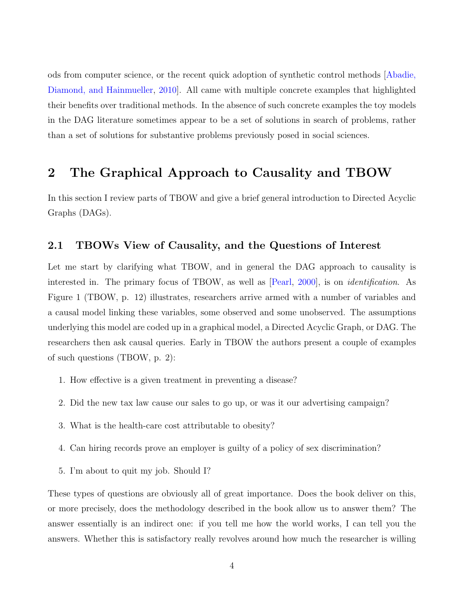ods from computer science, or the recent quick adoption of synthetic control methods [\[Abadie,](#page-59-0) [Diamond, and Hainmueller,](#page-59-0) [2010\]](#page-59-0). All came with multiple concrete examples that highlighted their benefits over traditional methods. In the absence of such concrete examples the toy models in the DAG literature sometimes appear to be a set of solutions in search of problems, rather than a set of solutions for substantive problems previously posed in social sciences.

# 2 The Graphical Approach to Causality and TBOW

In this section I review parts of TBOW and give a brief general introduction to Directed Acyclic Graphs (DAGs).

## <span id="page-5-0"></span>2.1 TBOWs View of Causality, and the Questions of Interest

Let me start by clarifying what TBOW, and in general the DAG approach to causality is interested in. The primary focus of TBOW, as well as [\[Pearl,](#page-69-0) [2000\]](#page-69-0), is on identification. As Figure 1 (TBOW, p. 12) illustrates, researchers arrive armed with a number of variables and a causal model linking these variables, some observed and some unobserved. The assumptions underlying this model are coded up in a graphical model, a Directed Acyclic Graph, or DAG. The researchers then ask causal queries. Early in TBOW the authors present a couple of examples of such questions (TBOW, p. 2):

- 1. How effective is a given treatment in preventing a disease?
- 2. Did the new tax law cause our sales to go up, or was it our advertising campaign?
- 3. What is the health-care cost attributable to obesity?
- 4. Can hiring records prove an employer is guilty of a policy of sex discrimination?
- 5. I'm about to quit my job. Should I?

These types of questions are obviously all of great importance. Does the book deliver on this, or more precisely, does the methodology described in the book allow us to answer them? The answer essentially is an indirect one: if you tell me how the world works, I can tell you the answers. Whether this is satisfactory really revolves around how much the researcher is willing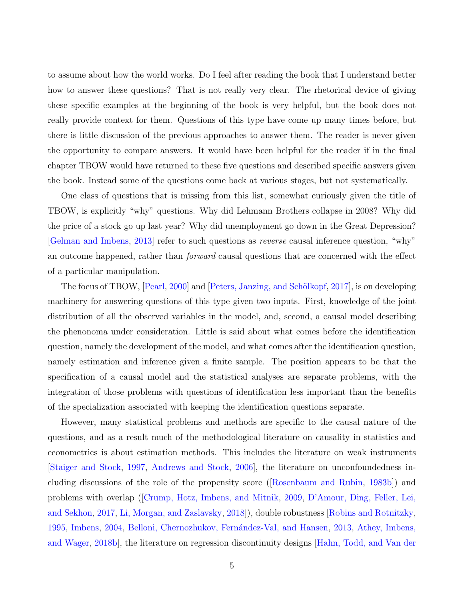to assume about how the world works. Do I feel after reading the book that I understand better how to answer these questions? That is not really very clear. The rhetorical device of giving these specific examples at the beginning of the book is very helpful, but the book does not really provide context for them. Questions of this type have come up many times before, but there is little discussion of the previous approaches to answer them. The reader is never given the opportunity to compare answers. It would have been helpful for the reader if in the final chapter TBOW would have returned to these five questions and described specific answers given the book. Instead some of the questions come back at various stages, but not systematically.

One class of questions that is missing from this list, somewhat curiously given the title of TBOW, is explicitly "why" questions. Why did Lehmann Brothers collapse in 2008? Why did the price of a stock go up last year? Why did unemployment go down in the Great Depression? [\[Gelman and Imbens,](#page-64-1) [2013\]](#page-64-1) refer to such questions as reverse causal inference question, "why" an outcome happened, rather than *forward* causal questions that are concerned with the effect of a particular manipulation.

The focus of TBOW, [\[Pearl,](#page-69-0) [2000\]](#page-69-0) and [Peters, Janzing, and Schölkopf, [2017\]](#page-70-1), is on developing machinery for answering questions of this type given two inputs. First, knowledge of the joint distribution of all the observed variables in the model, and, second, a causal model describing the phenonoma under consideration. Little is said about what comes before the identification question, namely the development of the model, and what comes after the identification question, namely estimation and inference given a finite sample. The position appears to be that the specification of a causal model and the statistical analyses are separate problems, with the integration of those problems with questions of identification less important than the benefits of the specialization associated with keeping the identification questions separate.

However, many statistical problems and methods are specific to the causal nature of the questions, and as a result much of the methodological literature on causality in statistics and econometrics is about estimation methods. This includes the literature on weak instruments [\[Staiger and Stock,](#page-72-1) [1997,](#page-72-1) [Andrews and Stock,](#page-59-1) [2006\]](#page-59-1), the literature on unconfoundedness including discussions of the role of the propensity score ([\[Rosenbaum and Rubin,](#page-71-6) [1983b\]](#page-71-6)) and problems with overlap ([\[Crump, Hotz, Imbens, and Mitnik,](#page-63-0) [2009,](#page-63-0) [D'Amour, Ding, Feller, Lei,](#page-63-1) [and Sekhon,](#page-63-1) [2017,](#page-63-1) [Li, Morgan, and Zaslavsky,](#page-68-3) [2018\]](#page-68-3)), double robustness [\[Robins and Rotnitzky,](#page-70-2) [1995,](#page-70-2) [Imbens,](#page-66-2) [2004,](#page-66-2) Belloni, Chernozhukov, Fernández-Val, and Hansen, [2013,](#page-61-2) [Athey, Imbens,](#page-61-3) [and Wager,](#page-61-3) [2018b\]](#page-61-3), the literature on regression discontinuity designs [\[Hahn, Todd, and Van der](#page-65-1)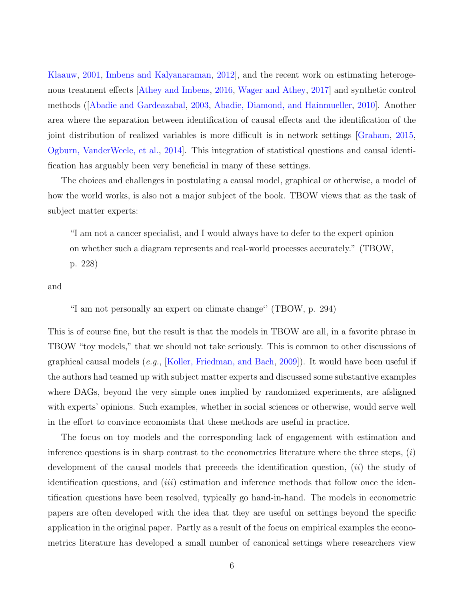[Klaauw,](#page-65-1) [2001,](#page-65-1) [Imbens and Kalyanaraman,](#page-66-3) [2012\]](#page-66-3), and the recent work on estimating heterogenous treatment effects [\[Athey and Imbens,](#page-60-1) [2016,](#page-60-1) [Wager and Athey,](#page-72-2) [2017\]](#page-72-2) and synthetic control methods ([\[Abadie and Gardeazabal,](#page-59-2) [2003,](#page-59-2) [Abadie, Diamond, and Hainmueller,](#page-59-0) [2010\]](#page-59-0). Another area where the separation between identification of causal effects and the identification of the joint distribution of realized variables is more difficult is in network settings [\[Graham,](#page-64-2) [2015,](#page-64-2) [Ogburn, VanderWeele, et al.,](#page-69-1) [2014\]](#page-69-1). This integration of statistical questions and causal identification has arguably been very beneficial in many of these settings.

The choices and challenges in postulating a causal model, graphical or otherwise, a model of how the world works, is also not a major subject of the book. TBOW views that as the task of subject matter experts:

"I am not a cancer specialist, and I would always have to defer to the expert opinion on whether such a diagram represents and real-world processes accurately." (TBOW,

p. 228)

and

"I am not personally an expert on climate change'' (TBOW, p. 294)

This is of course fine, but the result is that the models in TBOW are all, in a favorite phrase in TBOW "toy models," that we should not take seriously. This is common to other discussions of graphical causal models (e.g., [\[Koller, Friedman, and Bach,](#page-67-3) [2009\]](#page-67-3)). It would have been useful if the authors had teamed up with subject matter experts and discussed some substantive examples where DAGs, beyond the very simple ones implied by randomized experiments, are afsligned with experts' opinions. Such examples, whether in social sciences or otherwise, would serve well in the effort to convince economists that these methods are useful in practice.

The focus on toy models and the corresponding lack of engagement with estimation and inference questions is in sharp contrast to the econometrics literature where the three steps,  $(i)$ development of the causal models that preceeds the identification question,  $(ii)$  the study of identification questions, and  $(iii)$  estimation and inference methods that follow once the identification questions have been resolved, typically go hand-in-hand. The models in econometric papers are often developed with the idea that they are useful on settings beyond the specific application in the original paper. Partly as a result of the focus on empirical examples the econometrics literature has developed a small number of canonical settings where researchers view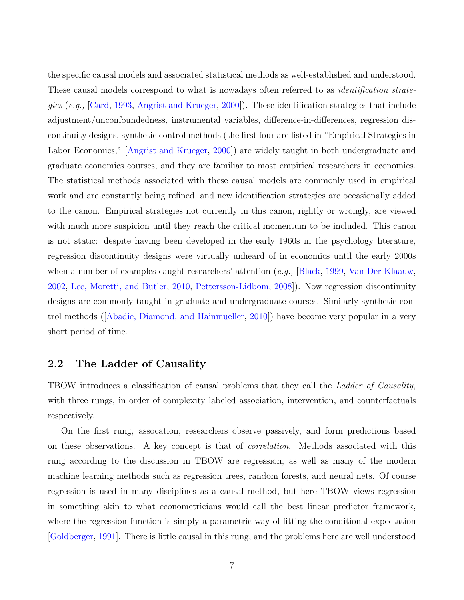the specific causal models and associated statistical methods as well-established and understood. These causal models correspond to what is nowadays often referred to as *identification strate*gies (e.g., [\[Card,](#page-62-2) [1993,](#page-62-2) [Angrist and Krueger,](#page-59-3) [2000\]](#page-59-3)). These identification strategies that include adjustment/unconfoundedness, instrumental variables, difference-in-differences, regression discontinuity designs, synthetic control methods (the first four are listed in "Empirical Strategies in Labor Economics," [\[Angrist and Krueger,](#page-59-3) [2000\]](#page-59-3)) are widely taught in both undergraduate and graduate economics courses, and they are familiar to most empirical researchers in economics. The statistical methods associated with these causal models are commonly used in empirical work and are constantly being refined, and new identification strategies are occasionally added to the canon. Empirical strategies not currently in this canon, rightly or wrongly, are viewed with much more suspicion until they reach the critical momentum to be included. This canon is not static: despite having been developed in the early 1960s in the psychology literature, regression discontinuity designs were virtually unheard of in economics until the early 2000s when a number of examples caught researchers' attention (e.g., [\[Black,](#page-61-4) [1999,](#page-61-4) [Van Der Klaauw,](#page-72-3) [2002,](#page-72-3) [Lee, Moretti, and Butler,](#page-68-4) [2010,](#page-68-4) [Pettersson-Lidbom,](#page-70-3) [2008\]](#page-70-3)). Now regression discontinuity designs are commonly taught in graduate and undergraduate courses. Similarly synthetic control methods ([\[Abadie, Diamond, and Hainmueller,](#page-59-0) [2010\]](#page-59-0)) have become very popular in a very short period of time.

## 2.2 The Ladder of Causality

TBOW introduces a classification of causal problems that they call the *Ladder of Causality*, with three rungs, in order of complexity labeled association, intervention, and counterfactuals respectively.

On the first rung, assocation, researchers observe passively, and form predictions based on these observations. A key concept is that of correlation. Methods associated with this rung according to the discussion in TBOW are regression, as well as many of the modern machine learning methods such as regression trees, random forests, and neural nets. Of course regression is used in many disciplines as a causal method, but here TBOW views regression in something akin to what econometricians would call the best linear predictor framework, where the regression function is simply a parametric way of fitting the conditional expectation [\[Goldberger,](#page-64-3) [1991\]](#page-64-3). There is little causal in this rung, and the problems here are well understood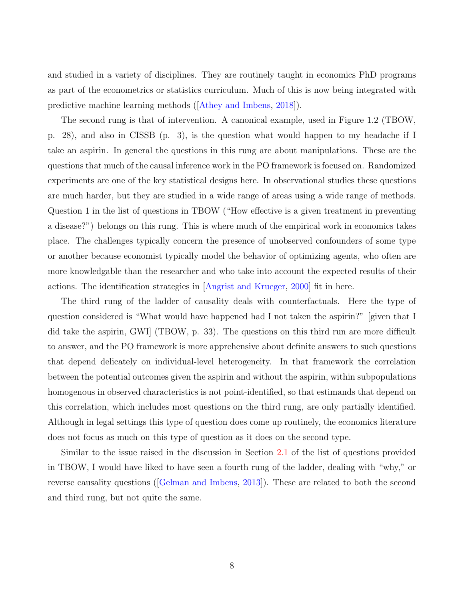and studied in a variety of disciplines. They are routinely taught in economics PhD programs as part of the econometrics or statistics curriculum. Much of this is now being integrated with predictive machine learning methods ([\[Athey and Imbens,](#page-60-2) [2018\]](#page-60-2)).

The second rung is that of intervention. A canonical example, used in Figure 1.2 (TBOW, p. 28), and also in CISSB (p. 3), is the question what would happen to my headache if I take an aspirin. In general the questions in this rung are about manipulations. These are the questions that much of the causal inference work in the PO framework is focused on. Randomized experiments are one of the key statistical designs here. In observational studies these questions are much harder, but they are studied in a wide range of areas using a wide range of methods. Question 1 in the list of questions in TBOW ("How effective is a given treatment in preventing a disease?") belongs on this rung. This is where much of the empirical work in economics takes place. The challenges typically concern the presence of unobserved confounders of some type or another because economist typically model the behavior of optimizing agents, who often are more knowledgable than the researcher and who take into account the expected results of their actions. The identification strategies in [\[Angrist and Krueger,](#page-59-3) [2000\]](#page-59-3) fit in here.

The third rung of the ladder of causality deals with counterfactuals. Here the type of question considered is "What would have happened had I not taken the aspirin?" [given that I did take the aspirin, GWI] (TBOW, p. 33). The questions on this third run are more difficult to answer, and the PO framework is more apprehensive about definite answers to such questions that depend delicately on individual-level heterogeneity. In that framework the correlation between the potential outcomes given the aspirin and without the aspirin, within subpopulations homogenous in observed characteristics is not point-identified, so that estimands that depend on this correlation, which includes most questions on the third rung, are only partially identified. Although in legal settings this type of question does come up routinely, the economics literature does not focus as much on this type of question as it does on the second type.

Similar to the issue raised in the discussion in Section [2.1](#page-5-0) of the list of questions provided in TBOW, I would have liked to have seen a fourth rung of the ladder, dealing with "why," or reverse causality questions ([\[Gelman and Imbens,](#page-64-1) [2013\]](#page-64-1)). These are related to both the second and third rung, but not quite the same.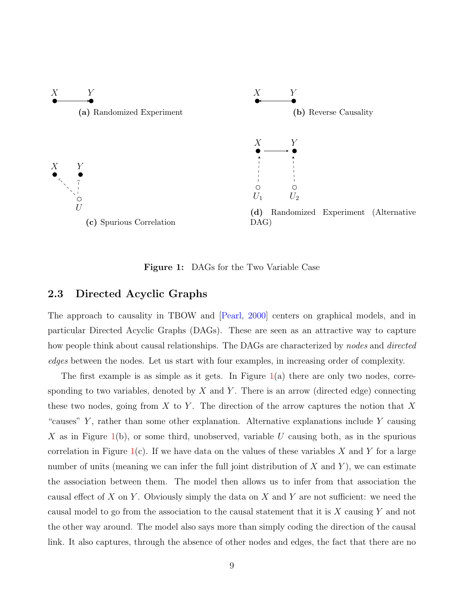<span id="page-10-0"></span>

Figure 1: DAGs for the Two Variable Case

## 2.3 Directed Acyclic Graphs

The approach to causality in TBOW and [\[Pearl,](#page-69-0) [2000\]](#page-69-0) centers on graphical models, and in particular Directed Acyclic Graphs (DAGs). These are seen as an attractive way to capture how people think about causal relationships. The DAGs are characterized by nodes and directed edges between the nodes. Let us start with four examples, in increasing order of complexity.

The first example is as simple as it gets. In Figure  $1(a)$  $1(a)$  there are only two nodes, corresponding to two variables, denoted by  $X$  and  $Y$ . There is an arrow (directed edge) connecting these two nodes, going from X to Y. The direction of the arrow captures the notion that X "causes"  $Y$ , rather than some other explanation. Alternative explanations include  $Y$  causing X as in Figure [1\(](#page-10-0)b), or some third, unobserved, variable U causing both, as in the spurious correlation in Figure  $1(c)$  $1(c)$ . If we have data on the values of these variables X and Y for a large number of units (meaning we can infer the full joint distribution of  $X$  and  $Y$ ), we can estimate the association between them. The model then allows us to infer from that association the causal effect of X on Y. Obviously simply the data on X and Y are not sufficient: we need the causal model to go from the association to the causal statement that it is X causing Y and not the other way around. The model also says more than simply coding the direction of the causal link. It also captures, through the absence of other nodes and edges, the fact that there are no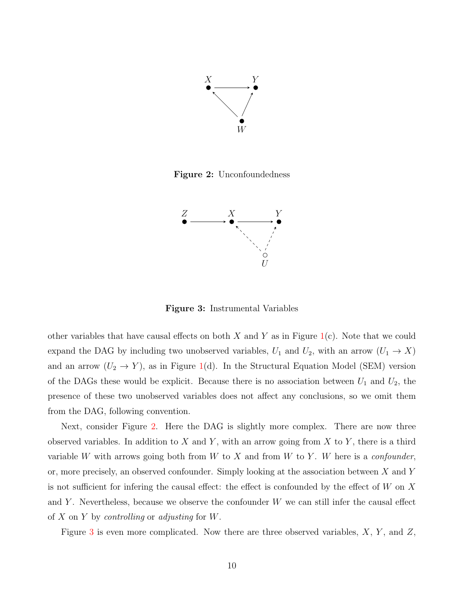<span id="page-11-0"></span>

<span id="page-11-1"></span>Figure 2: Unconfoundedness



Figure 3: Instrumental Variables

other variables that have causal effects on both X and Y as in Figure  $1(c)$  $1(c)$ . Note that we could expand the DAG by including two unobserved variables,  $U_1$  and  $U_2$ , with an arrow  $(U_1 \rightarrow X)$ and an arrow  $(U_2 \to Y)$ , as in Figure [1\(](#page-10-0)d). In the Structural Equation Model (SEM) version of the DAGs these would be explicit. Because there is no association between  $U_1$  and  $U_2$ , the presence of these two unobserved variables does not affect any conclusions, so we omit them from the DAG, following convention.

Next, consider Figure [2.](#page-11-0) Here the DAG is slightly more complex. There are now three observed variables. In addition to X and Y, with an arrow going from X to Y, there is a third variable W with arrows going both from W to X and from W to Y. W here is a *confounder*, or, more precisely, an observed confounder. Simply looking at the association between X and Y is not sufficient for infering the causal effect: the effect is confounded by the effect of  $W$  on  $X$ and Y. Nevertheless, because we observe the confounder  $W$  we can still infer the causal effect of X on Y by *controlling* or *adjusting* for W.

Figure [3](#page-11-1) is even more complicated. Now there are three observed variables,  $X$ ,  $Y$ , and  $Z$ ,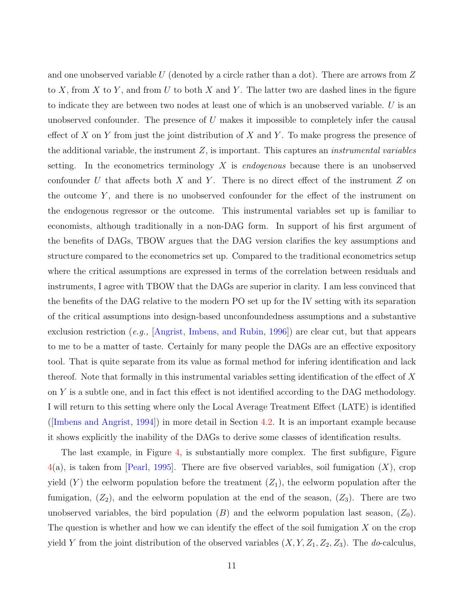and one unobserved variable U (denoted by a circle rather than a dot). There are arrows from  $Z$ to X, from X to Y, and from U to both X and Y. The latter two are dashed lines in the figure to indicate they are between two nodes at least one of which is an unobserved variable. U is an unobserved confounder. The presence of  $U$  makes it impossible to completely infer the causal effect of X on Y from just the joint distribution of X and Y. To make progress the presence of the additional variable, the instrument  $Z$ , is important. This captures an *instrumental variables* setting. In the econometrics terminology  $X$  is *endogenous* because there is an unobserved confounder U that affects both X and Y. There is no direct effect of the instrument Z on the outcome  $Y$ , and there is no unobserved confounder for the effect of the instrument on the endogenous regressor or the outcome. This instrumental variables set up is familiar to economists, although traditionally in a non-DAG form. In support of his first argument of the benefits of DAGs, TBOW argues that the DAG version clarifies the key assumptions and structure compared to the econometrics set up. Compared to the traditional econometrics setup where the critical assumptions are expressed in terms of the correlation between residuals and instruments, I agree with TBOW that the DAGs are superior in clarity. I am less convinced that the benefits of the DAG relative to the modern PO set up for the IV setting with its separation of the critical assumptions into design-based unconfoundedness assumptions and a substantive exclusion restriction (e.g., [\[Angrist, Imbens, and Rubin,](#page-60-3) [1996\]](#page-60-3)) are clear cut, but that appears to me to be a matter of taste. Certainly for many people the DAGs are an effective expository tool. That is quite separate from its value as formal method for infering identification and lack thereof. Note that formally in this instrumental variables setting identification of the effect of  $X$ on Y is a subtle one, and in fact this effect is not identified according to the DAG methodology. I will return to this setting where only the Local Average Treatment Effect (LATE) is identified ([\[Imbens and Angrist,](#page-67-1) [1994\]](#page-67-1)) in more detail in Section [4.2.](#page-39-0) It is an important example because it shows explicitly the inability of the DAGs to derive some classes of identification results.

The last example, in Figure [4,](#page-13-0) is substantially more complex. The first subfigure, Figure  $4(a)$  $4(a)$ , is taken from [\[Pearl,](#page-69-2) [1995\]](#page-69-2). There are five observed variables, soil fumigation  $(X)$ , crop yield  $(Y)$  the eelworm population before the treatment  $(Z_1)$ , the eelworm population after the fumigation,  $(Z_2)$ , and the eelworm population at the end of the season,  $(Z_3)$ . There are two unobserved variables, the bird population  $(B)$  and the eelworm population last season,  $(Z_0)$ . The question is whether and how we can identify the effect of the soil fumigation  $X$  on the crop yield Y from the joint distribution of the observed variables  $(X, Y, Z_1, Z_2, Z_3)$ . The *do*-calculus,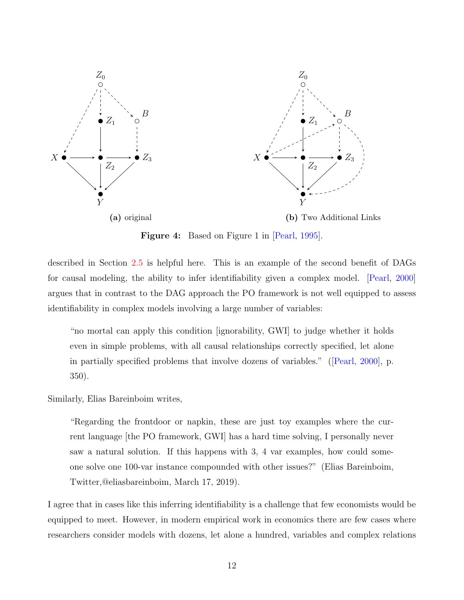<span id="page-13-0"></span>

Figure 4: Based on Figure 1 in [\[Pearl,](#page-69-2) [1995\]](#page-69-2).

described in Section [2.5](#page-17-0) is helpful here. This is an example of the second benefit of DAGs for causal modeling, the ability to infer identifiability given a complex model. [\[Pearl,](#page-69-0) [2000\]](#page-69-0) argues that in contrast to the DAG approach the PO framework is not well equipped to assess identifiability in complex models involving a large number of variables:

"no mortal can apply this condition [ignorability, GWI] to judge whether it holds even in simple problems, with all causal relationships correctly specified, let alone in partially specified problems that involve dozens of variables." ([\[Pearl,](#page-69-0) [2000\]](#page-69-0), p. 350).

Similarly, Elias Bareinboim writes,

"Regarding the frontdoor or napkin, these are just toy examples where the current language [the PO framework, GWI] has a hard time solving, I personally never saw a natural solution. If this happens with 3, 4 var examples, how could someone solve one 100-var instance compounded with other issues?" (Elias Bareinboim, Twitter,@eliasbareinboim, March 17, 2019).

I agree that in cases like this inferring identifiability is a challenge that few economists would be equipped to meet. However, in modern empirical work in economics there are few cases where researchers consider models with dozens, let alone a hundred, variables and complex relations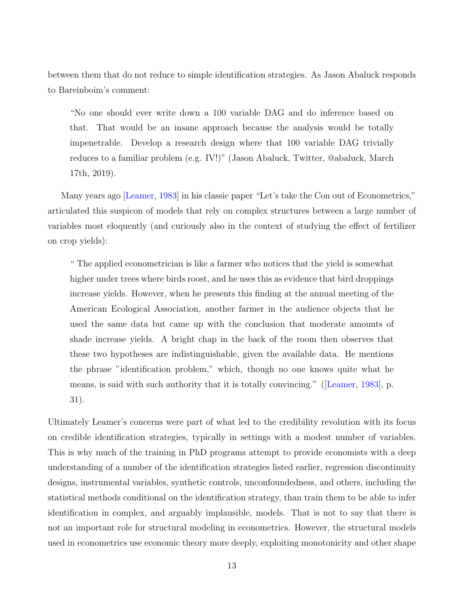between them that do not reduce to simple identification strategies. As Jason Abaluck responds to Bareinboim's comment:

"No one should ever write down a 100 variable DAG and do inference based on that. That would be an insane approach because the analysis would be totally impenetrable. Develop a research design where that 100 variable DAG trivially reduces to a familiar problem (e.g. IV!)" (Jason Abaluck, Twitter, @abaluck, March 17th, 2019).

Many years ago [\[Leamer,](#page-67-4) [1983\]](#page-67-4) in his classic paper "Let's take the Con out of Econometrics," articulated this suspicon of models that rely on complex structures between a large number of variables most eloquently (and curiously also in the context of studying the effect of fertilizer on crop yields):

" The applied econometrician is like a farmer who notices that the yield is somewhat higher under trees where birds roost, and he uses this as evidence that bird droppings increase yields. However, when he presents this finding at the annual meeting of the American Ecological Association, another farmer in the audience objects that he used the same data but came up with the conclusion that moderate amounts of shade increase yields. A bright chap in the back of the room then observes that these two hypotheses are indistinguishable, given the available data. He mentions the phrase "identification problem," which, though no one knows quite what he means, is said with such authority that it is totally convincing." ([\[Leamer,](#page-67-4) [1983\]](#page-67-4), p. 31).

Ultimately Leamer's concerns were part of what led to the credibility revolution with its focus on credible identification strategies, typically in settings with a modest number of variables. This is why much of the training in PhD programs attempt to provide economists with a deep understanding of a number of the identification strategies listed earlier, regression discontinuity designs, instrumental variables, synthetic controls, unconfoundedness, and others, including the statistical methods conditional on the identification strategy, than train them to be able to infer identification in complex, and arguably implausible, models. That is not to say that there is not an important role for structural modeling in econometrics. However, the structural models used in econometrics use economic theory more deeply, exploiting monotonicity and other shape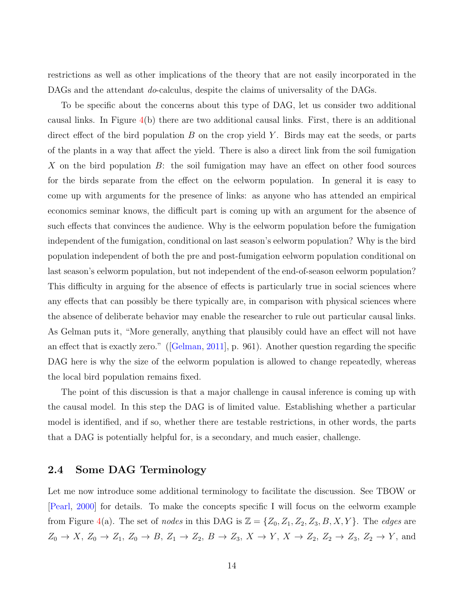restrictions as well as other implications of the theory that are not easily incorporated in the DAGs and the attendant *do*-calculus, despite the claims of universality of the DAGs.

To be specific about the concerns about this type of DAG, let us consider two additional causal links. In Figure  $4(b)$  $4(b)$  there are two additional causal links. First, there is an additional direct effect of the bird population  $B$  on the crop yield Y. Birds may eat the seeds, or parts of the plants in a way that affect the yield. There is also a direct link from the soil fumigation X on the bird population  $B$ : the soil fumigation may have an effect on other food sources for the birds separate from the effect on the eelworm population. In general it is easy to come up with arguments for the presence of links: as anyone who has attended an empirical economics seminar knows, the difficult part is coming up with an argument for the absence of such effects that convinces the audience. Why is the eelworm population before the fumigation independent of the fumigation, conditional on last season's eelworm population? Why is the bird population independent of both the pre and post-fumigation eelworm population conditional on last season's eelworm population, but not independent of the end-of-season eelworm population? This difficulty in arguing for the absence of effects is particularly true in social sciences where any effects that can possibly be there typically are, in comparison with physical sciences where the absence of deliberate behavior may enable the researcher to rule out particular causal links. As Gelman puts it, "More generally, anything that plausibly could have an effect will not have an effect that is exactly zero." ([\[Gelman,](#page-64-4) [2011\]](#page-64-4), p. 961). Another question regarding the specific DAG here is why the size of the eelworm population is allowed to change repeatedly, whereas the local bird population remains fixed.

The point of this discussion is that a major challenge in causal inference is coming up with the causal model. In this step the DAG is of limited value. Establishing whether a particular model is identified, and if so, whether there are testable restrictions, in other words, the parts that a DAG is potentially helpful for, is a secondary, and much easier, challenge.

## 2.4 Some DAG Terminology

Let me now introduce some additional terminology to facilitate the discussion. See TBOW or [\[Pearl,](#page-69-0) [2000\]](#page-69-0) for details. To make the concepts specific I will focus on the eelworm example from Figure [4\(](#page-13-0)a). The set of nodes in this DAG is  $\mathbb{Z} = \{Z_0, Z_1, Z_2, Z_3, B, X, Y\}$ . The edges are  $Z_0 \rightarrow X$ ,  $Z_0 \rightarrow Z_1$ ,  $Z_0 \rightarrow B$ ,  $Z_1 \rightarrow Z_2$ ,  $B \rightarrow Z_3$ ,  $X \rightarrow Y$ ,  $X \rightarrow Z_2$ ,  $Z_2 \rightarrow Z_3$ ,  $Z_2 \rightarrow Y$ , and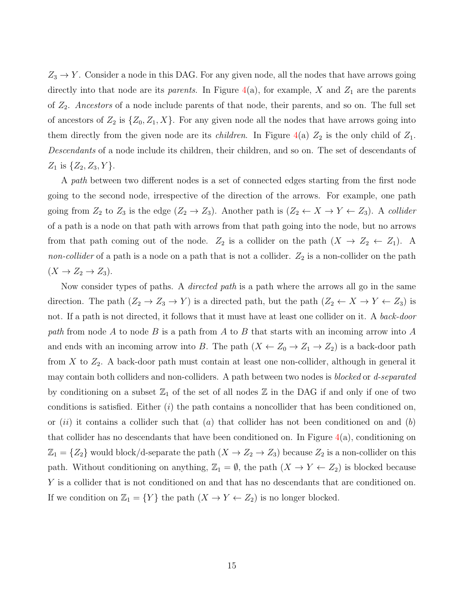$Z_3 \rightarrow Y$ . Consider a node in this DAG. For any given node, all the nodes that have arrows going directly into that node are its *parents*. In Figure  $4(a)$  $4(a)$ , for example, X and  $Z_1$  are the parents of  $Z_2$ . Ancestors of a node include parents of that node, their parents, and so on. The full set of ancestors of  $Z_2$  is  $\{Z_0, Z_1, X\}$ . For any given node all the nodes that have arrows going into them directly from the given node are its *children*. In Figure [4\(](#page-13-0)a)  $Z_2$  is the only child of  $Z_1$ . Descendants of a node include its children, their children, and so on. The set of descendants of  $Z_1$  is  $\{Z_2, Z_3, Y\}.$ 

A path between two different nodes is a set of connected edges starting from the first node going to the second node, irrespective of the direction of the arrows. For example, one path going from  $Z_2$  to  $Z_3$  is the edge  $(Z_2 \to Z_3)$ . Another path is  $(Z_2 \leftarrow X \to Y \leftarrow Z_3)$ . A collider of a path is a node on that path with arrows from that path going into the node, but no arrows from that path coming out of the node.  $Z_2$  is a collider on the path  $(X \to Z_2 \leftarrow Z_1)$ . A non-collider of a path is a node on a path that is not a collider.  $Z_2$  is a non-collider on the path  $(X \to Z_2 \to Z_3).$ 

Now consider types of paths. A *directed path* is a path where the arrows all go in the same direction. The path  $(Z_2 \to Z_3 \to Y)$  is a directed path, but the path  $(Z_2 \leftarrow X \to Y \leftarrow Z_3)$  is not. If a path is not directed, it follows that it must have at least one collider on it. A back-door path from node A to node B is a path from A to B that starts with an incoming arrow into A and ends with an incoming arrow into B. The path  $(X \leftarrow Z_0 \rightarrow Z_1 \rightarrow Z_2)$  is a back-door path from X to  $Z_2$ . A back-door path must contain at least one non-collider, although in general it may contain both colliders and non-colliders. A path between two nodes is blocked or d-separated by conditioning on a subset  $\mathbb{Z}_1$  of the set of all nodes  $\mathbb Z$  in the DAG if and only if one of two conditions is satisfied. Either  $(i)$  the path contains a noncollider that has been conditioned on, or  $(ii)$  it contains a collider such that  $(a)$  that collider has not been conditioned on and  $(b)$ that collider has no descendants that have been conditioned on. In Figure  $4(a)$  $4(a)$ , conditioning on  $\mathbb{Z}_1 = \{Z_2\}$  would block/d-separate the path  $(X \to Z_2 \to Z_3)$  because  $Z_2$  is a non-collider on this path. Without conditioning on anything,  $\mathbb{Z}_1 = \emptyset$ , the path  $(X \to Y \leftarrow Z_2)$  is blocked because Y is a collider that is not conditioned on and that has no descendants that are conditioned on. If we condition on  $\mathbb{Z}_1 = \{Y\}$  the path  $(X \to Y \leftarrow Z_2)$  is no longer blocked.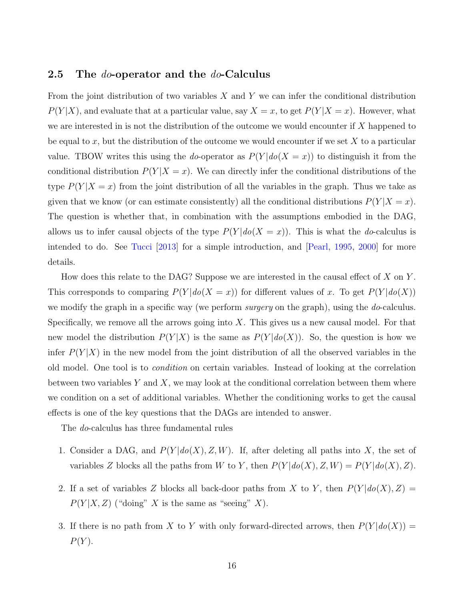## <span id="page-17-0"></span>2.5 The *do*-operator and the *do*-Calculus

From the joint distribution of two variables  $X$  and  $Y$  we can infer the conditional distribution  $P(Y|X)$ , and evaluate that at a particular value, say  $X = x$ , to get  $P(Y|X = x)$ . However, what we are interested in is not the distribution of the outcome we would encounter if X happened to be equal to x, but the distribution of the outcome we would encounter if we set  $X$  to a particular value. TBOW writes this using the do-operator as  $P(Y|do(X = x))$  to distinguish it from the conditional distribution  $P(Y|X=x)$ . We can directly infer the conditional distributions of the type  $P(Y|X=x)$  from the joint distribution of all the variables in the graph. Thus we take as given that we know (or can estimate consistently) all the conditional distributions  $P(Y|X=x)$ . The question is whether that, in combination with the assumptions embodied in the DAG, allows us to infer causal objects of the type  $P(Y | do(X = x))$ . This is what the *do*-calculus is intended to do. See [Tucci](#page-72-4) [\[2013\]](#page-72-4) for a simple introduction, and [\[Pearl,](#page-69-2) [1995,](#page-69-2) [2000\]](#page-69-0) for more details.

How does this relate to the DAG? Suppose we are interested in the causal effect of  $X$  on  $Y$ . This corresponds to comparing  $P(Y|do(X = x))$  for different values of x. To get  $P(Y|do(X))$ we modify the graph in a specific way (we perform *surgery* on the graph), using the *do*-calculus. Specifically, we remove all the arrows going into  $X$ . This gives us a new causal model. For that new model the distribution  $P(Y|X)$  is the same as  $P(Y|do(X))$ . So, the question is how we infer  $P(Y|X)$  in the new model from the joint distribution of all the observed variables in the old model. One tool is to condition on certain variables. Instead of looking at the correlation between two variables  $Y$  and  $X$ , we may look at the conditional correlation between them where we condition on a set of additional variables. Whether the conditioning works to get the causal effects is one of the key questions that the DAGs are intended to answer.

The do-calculus has three fundamental rules

- 1. Consider a DAG, and  $P(Y|do(X), Z, W)$ . If, after deleting all paths into X, the set of variables Z blocks all the paths from W to Y, then  $P(Y|do(X), Z, W) = P(Y|do(X), Z)$ .
- 2. If a set of variables Z blocks all back-door paths from X to Y, then  $P(Y|do(X), Z) =$  $P(Y|X, Z)$  ("doing" X is the same as "seeing" X).
- 3. If there is no path from X to Y with only forward-directed arrows, then  $P(Y|do(X))$  =  $P(Y)$ .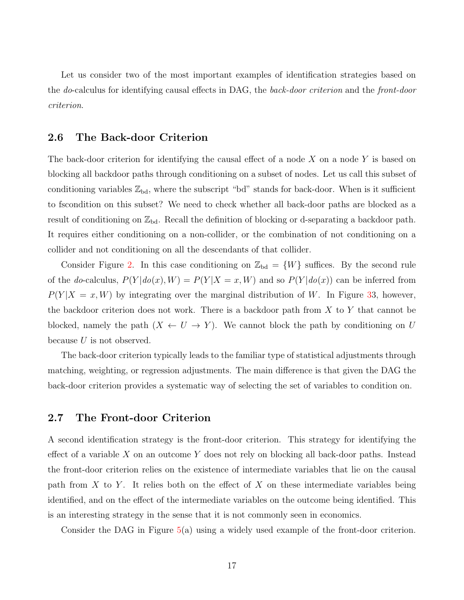Let us consider two of the most important examples of identification strategies based on the do-calculus for identifying causal effects in DAG, the back-door criterion and the front-door criterion.

## 2.6 The Back-door Criterion

The back-door criterion for identifying the causal effect of a node  $X$  on a node  $Y$  is based on blocking all backdoor paths through conditioning on a subset of nodes. Let us call this subset of conditioning variables  $\mathbb{Z}_{\text{bd}}$ , where the subscript "bd" stands for back-door. When is it sufficient to fscondition on this subset? We need to check whether all back-door paths are blocked as a result of conditioning on  $\mathbb{Z}_{\text{bd}}$ . Recall the definition of blocking or d-separating a backdoor path. It requires either conditioning on a non-collider, or the combination of not conditioning on a collider and not conditioning on all the descendants of that collider.

Consider Figure [2.](#page-11-0) In this case conditioning on  $\mathbb{Z}_{\text{bd}} = \{W\}$  suffices. By the second rule of the do-calculus,  $P(Y|do(x), W) = P(Y|X=x, W)$  and so  $P(Y|do(x))$  can be inferred from  $P(Y | X = x, W)$  by integrating over the marginal distribution of W. In Figure [33](#page-11-1), however, the backdoor criterion does not work. There is a backdoor path from  $X$  to  $Y$  that cannot be blocked, namely the path  $(X \leftarrow U \rightarrow Y)$ . We cannot block the path by conditioning on U because  $U$  is not observed.

The back-door criterion typically leads to the familiar type of statistical adjustments through matching, weighting, or regression adjustments. The main difference is that given the DAG the back-door criterion provides a systematic way of selecting the set of variables to condition on.

## 2.7 The Front-door Criterion

A second identification strategy is the front-door criterion. This strategy for identifying the effect of a variable  $X$  on an outcome  $Y$  does not rely on blocking all back-door paths. Instead the front-door criterion relies on the existence of intermediate variables that lie on the causal path from  $X$  to  $Y$ . It relies both on the effect of  $X$  on these intermediate variables being identified, and on the effect of the intermediate variables on the outcome being identified. This is an interesting strategy in the sense that it is not commonly seen in economics.

Consider the DAG in Figure [5\(](#page-19-0)a) using a widely used example of the front-door criterion.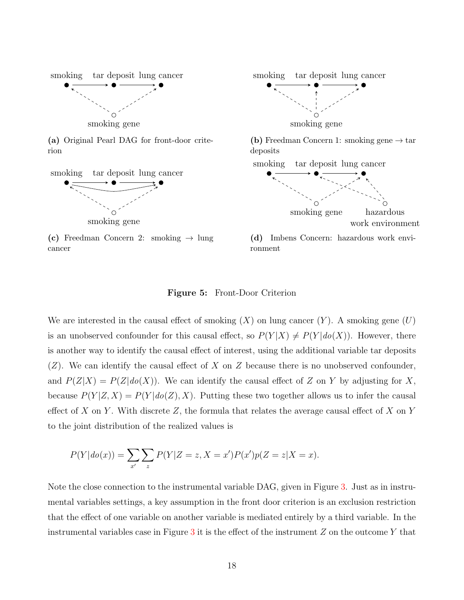<span id="page-19-0"></span>

(a) Original Pearl DAG for front-door criterion



(c) Freedman Concern 2: smoking  $\rightarrow$  lung cancer



ronment

#### Figure 5: Front-Door Criterion

We are interested in the causal effect of smoking  $(X)$  on lung cancer  $(Y)$ . A smoking gene  $(U)$ is an unobserved confounder for this causal effect, so  $P(Y|X) \neq P(Y|do(X))$ . However, there is another way to identify the causal effect of interest, using the additional variable tar deposits  $(Z)$ . We can identify the causal effect of X on Z because there is no unobserved confounder, and  $P(Z|X) = P(Z|do(X))$ . We can identify the causal effect of Z on Y by adjusting for X, because  $P(Y|Z, X) = P(Y|do(Z), X)$ . Putting these two together allows us to infer the causal effect of X on Y. With discrete Z, the formula that relates the average causal effect of X on Y to the joint distribution of the realized values is

$$
P(Y|do(x)) = \sum_{x'} \sum_{z} P(Y|Z=z, X=x')P(x')p(Z=z|X=x).
$$

Note the close connection to the instrumental variable DAG, given in Figure [3.](#page-11-1) Just as in instrumental variables settings, a key assumption in the front door criterion is an exclusion restriction that the effect of one variable on another variable is mediated entirely by a third variable. In the instrumental variables case in Figure  $3$  it is the effect of the instrument  $Z$  on the outcome Y that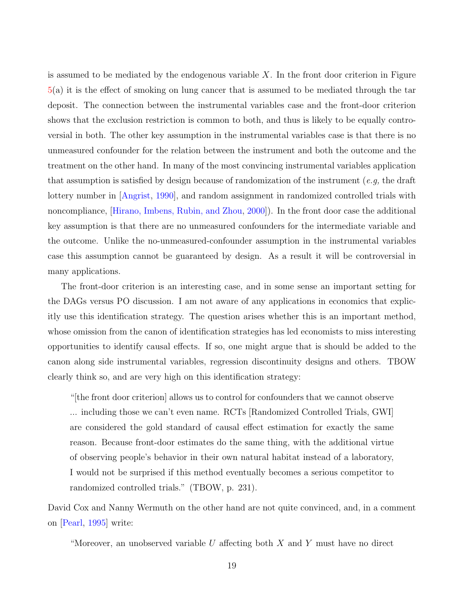is assumed to be mediated by the endogenous variable  $X$ . In the front door criterion in Figure [5\(](#page-19-0)a) it is the effect of smoking on lung cancer that is assumed to be mediated through the tar deposit. The connection between the instrumental variables case and the front-door criterion shows that the exclusion restriction is common to both, and thus is likely to be equally controversial in both. The other key assumption in the instrumental variables case is that there is no unmeasured confounder for the relation between the instrument and both the outcome and the treatment on the other hand. In many of the most convincing instrumental variables application that assumption is satisfied by design because of randomization of the instrument (e.g, the draft lottery number in [\[Angrist,](#page-59-4) [1990\]](#page-59-4), and random assignment in randomized controlled trials with noncompliance, [\[Hirano, Imbens, Rubin, and Zhou,](#page-65-2) [2000\]](#page-65-2)). In the front door case the additional key assumption is that there are no unmeasured confounders for the intermediate variable and the outcome. Unlike the no-unmeasured-confounder assumption in the instrumental variables case this assumption cannot be guaranteed by design. As a result it will be controversial in many applications.

The front-door criterion is an interesting case, and in some sense an important setting for the DAGs versus PO discussion. I am not aware of any applications in economics that explicitly use this identification strategy. The question arises whether this is an important method, whose omission from the canon of identification strategies has led economists to miss interesting opportunities to identify causal effects. If so, one might argue that is should be added to the canon along side instrumental variables, regression discontinuity designs and others. TBOW clearly think so, and are very high on this identification strategy:

"[the front door criterion] allows us to control for confounders that we cannot observe ... including those we can't even name. RCTs [Randomized Controlled Trials, GWI] are considered the gold standard of causal effect estimation for exactly the same reason. Because front-door estimates do the same thing, with the additional virtue of observing people's behavior in their own natural habitat instead of a laboratory, I would not be surprised if this method eventually becomes a serious competitor to randomized controlled trials." (TBOW, p. 231).

David Cox and Nanny Wermuth on the other hand are not quite convinced, and, in a comment on [\[Pearl,](#page-69-2) [1995\]](#page-69-2) write:

"Moreover, an unobserved variable  $U$  affecting both  $X$  and  $Y$  must have no direct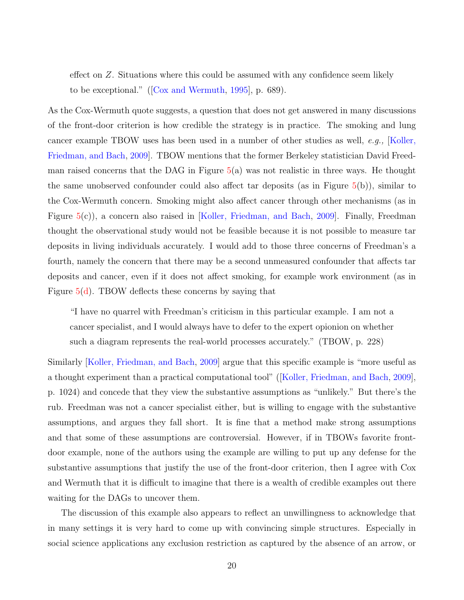effect on Z. Situations where this could be assumed with any confidence seem likely to be exceptional." ([\[Cox and Wermuth,](#page-63-2) [1995\]](#page-63-2), p. 689).

As the Cox-Wermuth quote suggests, a question that does not get answered in many discussions of the front-door criterion is how credible the strategy is in practice. The smoking and lung cancer example TBOW uses has been used in a number of other studies as well, e.g., [\[Koller,](#page-67-3) [Friedman, and Bach,](#page-67-3) [2009\]](#page-67-3). TBOW mentions that the former Berkeley statistician David Freedman raised concerns that the DAG in Figure  $5(a)$  $5(a)$  was not realistic in three ways. He thought the same unobserved confounder could also affect tar deposits (as in Figure [5\(](#page-19-0)b)), similar to the Cox-Wermuth concern. Smoking might also affect cancer through other mechanisms (as in Figure [5\(](#page-19-0)c)), a concern also raised in [\[Koller, Friedman, and Bach,](#page-67-3) [2009\]](#page-67-3). Finally, Freedman thought the observational study would not be feasible because it is not possible to measure tar deposits in living individuals accurately. I would add to those three concerns of Freedman's a fourth, namely the concern that there may be a second unmeasured confounder that affects tar deposits and cancer, even if it does not affect smoking, for example work environment (as in Figure  $5(d)$ . TBOW deflects these concerns by saying that

"I have no quarrel with Freedman's criticism in this particular example. I am not a cancer specialist, and I would always have to defer to the expert opionion on whether such a diagram represents the real-world processes accurately." (TBOW, p. 228)

Similarly [\[Koller, Friedman, and Bach,](#page-67-3) [2009\]](#page-67-3) argue that this specific example is "more useful as a thought experiment than a practical computational tool" ([\[Koller, Friedman, and Bach,](#page-67-3) [2009\]](#page-67-3), p. 1024) and concede that they view the substantive assumptions as "unlikely." But there's the rub. Freedman was not a cancer specialist either, but is willing to engage with the substantive assumptions, and argues they fall short. It is fine that a method make strong assumptions and that some of these assumptions are controversial. However, if in TBOWs favorite frontdoor example, none of the authors using the example are willing to put up any defense for the substantive assumptions that justify the use of the front-door criterion, then I agree with Cox and Wermuth that it is difficult to imagine that there is a wealth of credible examples out there waiting for the DAGs to uncover them.

The discussion of this example also appears to reflect an unwillingness to acknowledge that in many settings it is very hard to come up with convincing simple structures. Especially in social science applications any exclusion restriction as captured by the absence of an arrow, or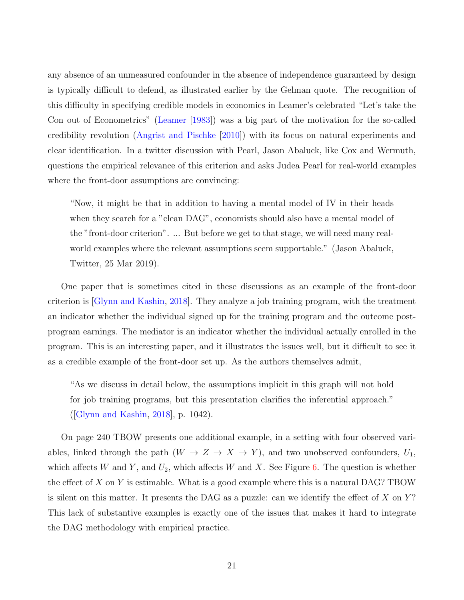any absence of an unmeasured confounder in the absence of independence guaranteed by design is typically difficult to defend, as illustrated earlier by the Gelman quote. The recognition of this difficulty in specifying credible models in economics in Leamer's celebrated "Let's take the Con out of Econometrics" [\(Leamer](#page-67-4) [\[1983\]](#page-67-4)) was a big part of the motivation for the so-called credibility revolution [\(Angrist and Pischke](#page-60-4) [\[2010\]](#page-60-4)) with its focus on natural experiments and clear identification. In a twitter discussion with Pearl, Jason Abaluck, like Cox and Wermuth, questions the empirical relevance of this criterion and asks Judea Pearl for real-world examples where the front-door assumptions are convincing:

"Now, it might be that in addition to having a mental model of IV in their heads when they search for a "clean DAG", economists should also have a mental model of the "front-door criterion". ... But before we get to that stage, we will need many realworld examples where the relevant assumptions seem supportable." (Jason Abaluck, Twitter, 25 Mar 2019).

One paper that is sometimes cited in these discussions as an example of the front-door criterion is [\[Glynn and Kashin,](#page-64-5) [2018\]](#page-64-5). They analyze a job training program, with the treatment an indicator whether the individual signed up for the training program and the outcome postprogram earnings. The mediator is an indicator whether the individual actually enrolled in the program. This is an interesting paper, and it illustrates the issues well, but it difficult to see it as a credible example of the front-door set up. As the authors themselves admit,

"As we discuss in detail below, the assumptions implicit in this graph will not hold for job training programs, but this presentation clarifies the inferential approach." ([\[Glynn and Kashin,](#page-64-5) [2018\]](#page-64-5), p. 1042).

On page 240 TBOW presents one additional example, in a setting with four observed variables, linked through the path  $(W \to Z \to X \to Y)$ , and two unobserved confounders,  $U_1$ , which affects W and Y, and  $U_2$ , which affects W and X. See Figure [6.](#page-23-0) The question is whether the effect of  $X$  on  $Y$  is estimable. What is a good example where this is a natural DAG? TBOW is silent on this matter. It presents the DAG as a puzzle: can we identify the effect of  $X$  on  $Y$ ? This lack of substantive examples is exactly one of the issues that makes it hard to integrate the DAG methodology with empirical practice.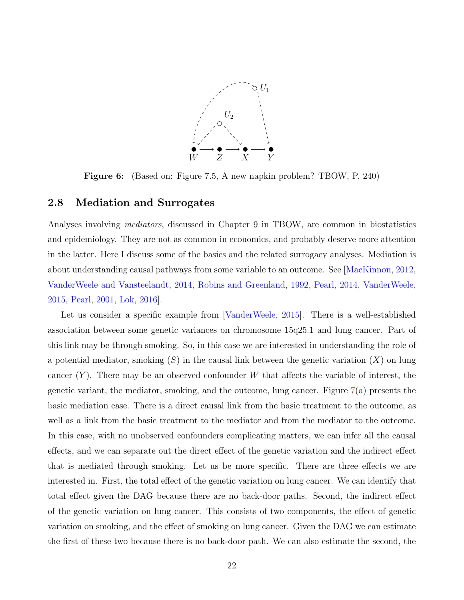

<span id="page-23-0"></span>Figure 6: (Based on: Figure 7.5, A new napkin problem? TBOW, P. 240)

#### 2.8 Mediation and Surrogates

Analyses involving *mediators*, discussed in Chapter 9 in TBOW, are common in biostatistics and epidemiology. They are not as common in economics, and probably deserve more attention in the latter. Here I discuss some of the basics and the related surrogacy analyses. Mediation is about understanding causal pathways from some variable to an outcome. See [\[MacKinnon,](#page-68-5) [2012,](#page-68-5) [VanderWeele and Vansteelandt,](#page-72-5) [2014,](#page-72-5) [Robins and Greenland,](#page-70-4) [1992,](#page-70-4) [Pearl,](#page-69-3) [2014,](#page-69-3) [VanderWeele,](#page-72-6) [2015,](#page-72-6) [Pearl,](#page-69-4) [2001,](#page-69-4) [Lok,](#page-68-6) [2016\]](#page-68-6).

Let us consider a specific example from [\[VanderWeele,](#page-72-6) [2015\]](#page-72-6). There is a well-established association between some genetic variances on chromosome 15q25.1 and lung cancer. Part of this link may be through smoking. So, in this case we are interested in understanding the role of a potential mediator, smoking  $(S)$  in the causal link between the genetic variation  $(X)$  on lung cancer  $(Y)$ . There may be an observed confounder W that affects the variable of interest, the genetic variant, the mediator, smoking, and the outcome, lung cancer. Figure [7\(](#page-24-0)a) presents the basic mediation case. There is a direct causal link from the basic treatment to the outcome, as well as a link from the basic treatment to the mediator and from the mediator to the outcome. In this case, with no unobserved confounders complicating matters, we can infer all the causal effects, and we can separate out the direct effect of the genetic variation and the indirect effect that is mediated through smoking. Let us be more specific. There are three effects we are interested in. First, the total effect of the genetic variation on lung cancer. We can identify that total effect given the DAG because there are no back-door paths. Second, the indirect effect of the genetic variation on lung cancer. This consists of two components, the effect of genetic variation on smoking, and the effect of smoking on lung cancer. Given the DAG we can estimate the first of these two because there is no back-door path. We can also estimate the second, the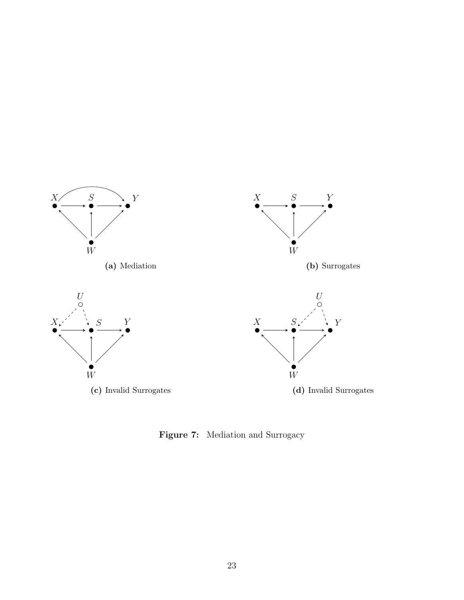<span id="page-24-0"></span>

Figure 7: Mediation and Surrogacy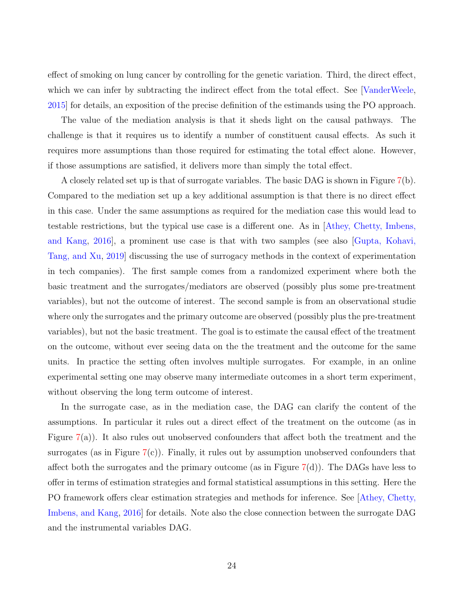effect of smoking on lung cancer by controlling for the genetic variation. Third, the direct effect, which we can infer by subtracting the indirect effect from the total effect. See [\[VanderWeele,](#page-72-6) [2015\]](#page-72-6) for details, an exposition of the precise definition of the estimands using the PO approach.

The value of the mediation analysis is that it sheds light on the causal pathways. The challenge is that it requires us to identify a number of constituent causal effects. As such it requires more assumptions than those required for estimating the total effect alone. However, if those assumptions are satisfied, it delivers more than simply the total effect.

A closely related set up is that of surrogate variables. The basic DAG is shown in Figure [7\(](#page-24-0)b). Compared to the mediation set up a key additional assumption is that there is no direct effect in this case. Under the same assumptions as required for the mediation case this would lead to testable restrictions, but the typical use case is a different one. As in [\[Athey, Chetty, Imbens,](#page-61-5) [and Kang,](#page-61-5) [2016\]](#page-61-5), a prominent use case is that with two samples (see also [\[Gupta, Kohavi,](#page-65-3) [Tang, and Xu,](#page-65-3) [2019\]](#page-65-3) discussing the use of surrogacy methods in the context of experimentation in tech companies). The first sample comes from a randomized experiment where both the basic treatment and the surrogates/mediators are observed (possibly plus some pre-treatment variables), but not the outcome of interest. The second sample is from an observational studie where only the surrogates and the primary outcome are observed (possibly plus the pre-treatment variables), but not the basic treatment. The goal is to estimate the causal effect of the treatment on the outcome, without ever seeing data on the the treatment and the outcome for the same units. In practice the setting often involves multiple surrogates. For example, in an online experimental setting one may observe many intermediate outcomes in a short term experiment, without observing the long term outcome of interest.

In the surrogate case, as in the mediation case, the DAG can clarify the content of the assumptions. In particular it rules out a direct effect of the treatment on the outcome (as in Figure  $7(a)$  $7(a)$ ). It also rules out unobserved confounders that affect both the treatment and the surrogates (as in Figure [7\(](#page-24-0)c)). Finally, it rules out by assumption unobserved confounders that affect both the surrogates and the primary outcome (as in Figure  $7(d)$  $7(d)$ ). The DAGs have less to offer in terms of estimation strategies and formal statistical assumptions in this setting. Here the PO framework offers clear estimation strategies and methods for inference. See [\[Athey, Chetty,](#page-61-5) [Imbens, and Kang,](#page-61-5) [2016\]](#page-61-5) for details. Note also the close connection between the surrogate DAG and the instrumental variables DAG.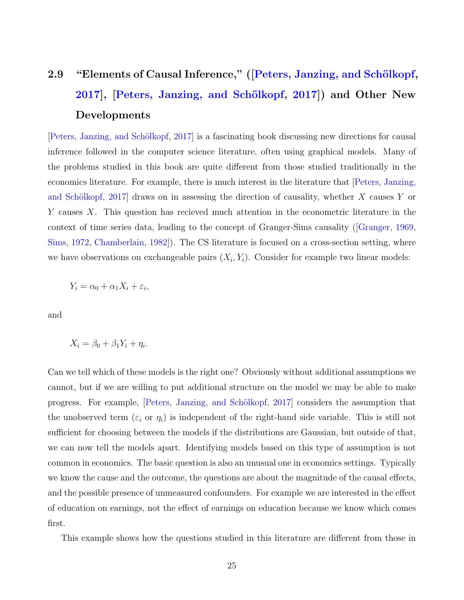# 2.9 "Elements of Causal Inference," ([Peters, Janzing, and Schölkopf, [2017\]](#page-70-1), [Peters, Janzing, and Schölkopf, 2017]) and Other New Developments

[\[Peters, Janzing, and Sch¨olkopf,](#page-70-1) [2017\]](#page-70-1) is a fascinating book discussing new directions for causal inference followed in the computer science literature, often using graphical models. Many of the problems studied in this book are quite different from those studied traditionally in the economics literature. For example, there is much interest in the literature that [\[Peters, Janzing,](#page-70-1) and Schölkopf, [2017\]](#page-70-1) draws on in assessing the direction of causality, whether  $X$  causes  $Y$  or Y causes X. This question has recieved much attention in the econometric literature in the context of time series data, leading to the concept of Granger-Sims causality ([\[Granger,](#page-64-6) [1969,](#page-64-6) [Sims,](#page-71-7) [1972,](#page-71-7) [Chamberlain,](#page-62-3) [1982\]](#page-62-3)). The CS literature is focused on a cross-section setting, where we have observations on exchangeable pairs  $(X_i, Y_i)$ . Consider for example two linear models:

 $Y_i = \alpha_0 + \alpha_1 X_i + \varepsilon_i,$ 

and

$$
X_i = \beta_0 + \beta_1 Y_i + \eta_i.
$$

Can we tell which of these models is the right one? Obviously without additional assumptions we cannot, but if we are willing to put additional structure on the model we may be able to make progress. For example, [Peters, Janzing, and Schölkopf, [2017\]](#page-70-1) considers the assumption that the unobserved term  $(\varepsilon_i \text{ or } \eta_i)$  is independent of the right-hand side variable. This is still not sufficient for choosing between the models if the distributions are Gaussian, but outside of that, we can now tell the models apart. Identifying models based on this type of assumption is not common in economics. The basic question is also an unusual one in economics settings. Typically we know the cause and the outcome, the questions are about the magnitude of the causal effects, and the possible presence of unmeasured confounders. For example we are interested in the effect of education on earnings, not the effect of earnings on education because we know which comes first.

This example shows how the questions studied in this literature are different from those in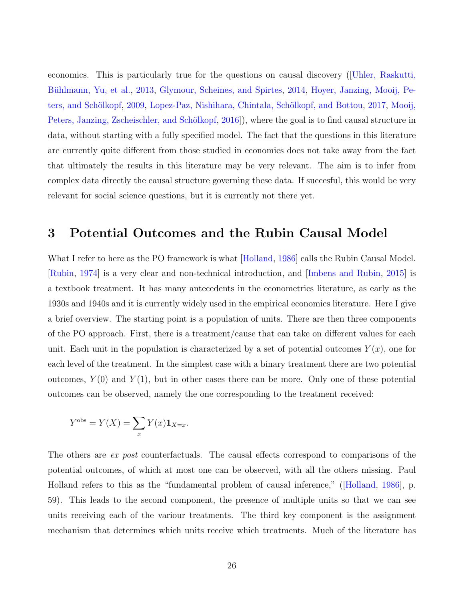economics. This is particularly true for the questions on causal discovery ([\[Uhler, Raskutti,](#page-72-7) Bühlmann, Yu, et al., [2013,](#page-72-7) [Glymour, Scheines, and Spirtes,](#page-64-0) [2014,](#page-64-0) [Hoyer, Janzing, Mooij, Pe-](#page-66-0)ters, and Schölkopf, [2009,](#page-66-0) Lopez-Paz, Nishihara, Chintala, Schölkopf, and Bottou, [2017,](#page-68-0) [Mooij,](#page-69-5) Peters, Janzing, Zscheischler, and Schölkopf, [2016\]](#page-69-5)), where the goal is to find causal structure in data, without starting with a fully specified model. The fact that the questions in this literature are currently quite different from those studied in economics does not take away from the fact that ultimately the results in this literature may be very relevant. The aim is to infer from complex data directly the causal structure governing these data. If succesful, this would be very relevant for social science questions, but it is currently not there yet.

## <span id="page-27-0"></span>3 Potential Outcomes and the Rubin Causal Model

What I refer to here as the PO framework is what [\[Holland,](#page-66-1) [1986\]](#page-66-1) calls the Rubin Causal Model. [\[Rubin,](#page-71-2) [1974\]](#page-71-2) is a very clear and non-technical introduction, and [\[Imbens and Rubin,](#page-67-0) [2015\]](#page-67-0) is a textbook treatment. It has many antecedents in the econometrics literature, as early as the 1930s and 1940s and it is currently widely used in the empirical economics literature. Here I give a brief overview. The starting point is a population of units. There are then three components of the PO approach. First, there is a treatment/cause that can take on different values for each unit. Each unit in the population is characterized by a set of potential outcomes  $Y(x)$ , one for each level of the treatment. In the simplest case with a binary treatment there are two potential outcomes,  $Y(0)$  and  $Y(1)$ , but in other cases there can be more. Only one of these potential outcomes can be observed, namely the one corresponding to the treatment received:

$$
Y^{\text{obs}} = Y(X) = \sum_{x} Y(x) \mathbf{1}_{X=x}.
$$

The others are ex post counterfactuals. The causal effects correspond to comparisons of the potential outcomes, of which at most one can be observed, with all the others missing. Paul Holland refers to this as the "fundamental problem of causal inference," ([\[Holland,](#page-66-1) [1986\]](#page-66-1), p. 59). This leads to the second component, the presence of multiple units so that we can see units receiving each of the variour treatments. The third key component is the assignment mechanism that determines which units receive which treatments. Much of the literature has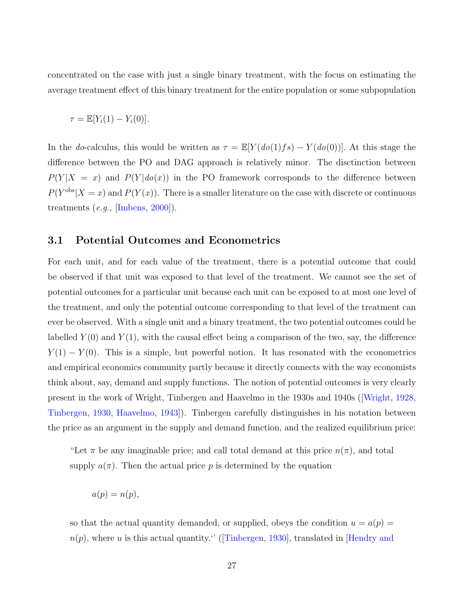concentrated on the case with just a single binary treatment, with the focus on estimating the average treatment effect of this binary treatment for the entire population or some subpopulation

$$
\tau = \mathbb{E}[Y_i(1) - Y_i(0)].
$$

In the do-calculus, this would be written as  $\tau = \mathbb{E}[Y(do(1)fs) - Y(do(0))]$ . At this stage the difference between the PO and DAG approach is relatively minor. The disctinction between  $P(Y|X = x)$  and  $P(Y|do(x))$  in the PO framework corresponds to the difference between  $P(Y^{\text{obs}}|X=x)$  and  $P(Y(x))$ . There is a smaller literature on the case with discrete or continuous treatments  $(e.g.,$  [\[Imbens,](#page-66-4) [2000\]](#page-66-4)).

#### 3.1 Potential Outcomes and Econometrics

For each unit, and for each value of the treatment, there is a potential outcome that could be observed if that unit was exposed to that level of the treatment. We cannot see the set of potential outcomes for a particular unit because each unit can be exposed to at most one level of the treatment, and only the potential outcome corresponding to that level of the treatment can ever be observed. With a single unit and a binary treatment, the two potential outcomes could be labelled  $Y(0)$  and  $Y(1)$ , with the causal effect being a comparison of the two, say, the difference  $Y(1) - Y(0)$ . This is a simple, but powerful notion. It has resonated with the econometrics and empirical economics community partly because it directly connects with the way economists think about, say, demand and supply functions. The notion of potential outcomes is very clearly present in the work of Wright, Tinbergen and Haavelmo in the 1930s and 1940s ([\[Wright,](#page-73-0) [1928,](#page-73-0) [Tinbergen,](#page-72-0) [1930,](#page-72-0) [Haavelmo,](#page-65-0) [1943\]](#page-65-0)). Tinbergen carefully distinguishes in his notation between the price as an argument in the supply and demand function, and the realized equilibrium price:

"Let  $\pi$  be any imaginable price; and call total demand at this price  $n(\pi)$ , and total supply  $a(\pi)$ . Then the actual price p is determined by the equation

 $a(p) = n(p),$ 

so that the actual quantity demanded, or supplied, obeys the condition  $u = a(p)$  $n(p)$ , where u is this actual quantity.'' ([\[Tinbergen,](#page-72-0) [1930\]](#page-72-0), translated in [\[Hendry and](#page-65-4)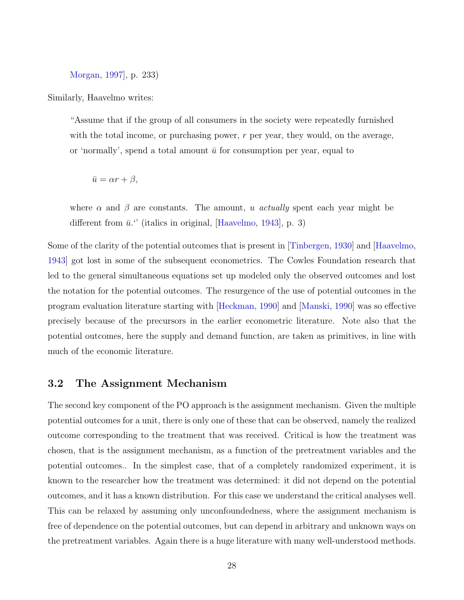[Morgan,](#page-65-4) [1997\]](#page-65-4), p. 233)

Similarly, Haavelmo writes:

"Assume that if the group of all consumers in the society were repeatedly furnished with the total income, or purchasing power,  $r$  per year, they would, on the average, or 'normally', spend a total amount  $\bar{u}$  for consumption per year, equal to

$$
\bar{u} = \alpha r + \beta,
$$

where  $\alpha$  and  $\beta$  are constants. The amount, u actually spent each year might be different from  $\bar{u}$ ." (italics in original, [\[Haavelmo,](#page-65-0) [1943\]](#page-65-0), p. 3)

Some of the clarity of the potential outcomes that is present in [\[Tinbergen,](#page-72-0) [1930\]](#page-72-0) and [\[Haavelmo,](#page-65-0) [1943\]](#page-65-0) got lost in some of the subsequent econometrics. The Cowles Foundation research that led to the general simultaneous equations set up modeled only the observed outcomes and lost the notation for the potential outcomes. The resurgence of the use of potential outcomes in the program evaluation literature starting with [\[Heckman,](#page-65-5) [1990\]](#page-65-5) and [\[Manski,](#page-68-7) [1990\]](#page-68-7) was so effective precisely because of the precursors in the earlier econometric literature. Note also that the potential outcomes, here the supply and demand function, are taken as primitives, in line with much of the economic literature.

## 3.2 The Assignment Mechanism

The second key component of the PO approach is the assignment mechanism. Given the multiple potential outcomes for a unit, there is only one of these that can be observed, namely the realized outcome corresponding to the treatment that was received. Critical is how the treatment was chosen, that is the assignment mechanism, as a function of the pretreatment variables and the potential outcomes.. In the simplest case, that of a completely randomized experiment, it is known to the researcher how the treatment was determined: it did not depend on the potential outcomes, and it has a known distribution. For this case we understand the critical analyses well. This can be relaxed by assuming only unconfoundedness, where the assignment mechanism is free of dependence on the potential outcomes, but can depend in arbitrary and unknown ways on the pretreatment variables. Again there is a huge literature with many well-understood methods.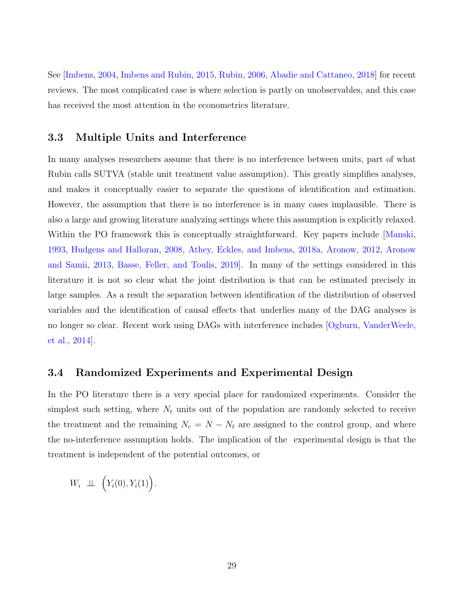See [\[Imbens,](#page-66-2) [2004,](#page-66-2) [Imbens and Rubin,](#page-67-0) [2015,](#page-67-0) [Rubin,](#page-71-0) [2006,](#page-71-0) [Abadie and Cattaneo,](#page-59-5) [2018\]](#page-59-5) for recent reviews. The most complicated case is where selection is partly on unobservables, and this case has received the most attention in the econometrics literature.

## 3.3 Multiple Units and Interference

In many analyses researchers assume that there is no interference between units, part of what Rubin calls SUTVA (stable unit treatment value assumption). This greatly simplifies analyses, and makes it conceptually easier to separate the questions of identification and estimation. However, the assumption that there is no interference is in many cases implausible. There is also a large and growing literature analyzing settings where this assumption is explicitly relaxed. Within the PO framework this is conceptually straightforward. Key papers include Manski, [1993,](#page-68-8) [Hudgens and Halloran,](#page-66-5) [2008,](#page-66-5) [Athey, Eckles, and Imbens,](#page-61-6) [2018a,](#page-61-6) [Aronow,](#page-60-5) [2012,](#page-60-5) [Aronow](#page-60-6) [and Samii,](#page-60-6) [2013,](#page-60-6) [Basse, Feller, and Toulis,](#page-61-7) [2019\]](#page-61-7). In many of the settings considered in this literature it is not so clear what the joint distribution is that can be estimated precisely in large samples. As a result the separation between identification of the distribution of observed variables and the identification of causal effects that underlies many of the DAG analyses is no longer so clear. Recent work using DAGs with interference includes [\[Ogburn, VanderWeele,](#page-69-1) [et al.,](#page-69-1) [2014\]](#page-69-1).

## 3.4 Randomized Experiments and Experimental Design

In the PO literature there is a very special place for randomized experiments. Consider the simplest such setting, where  $N_t$  units out of the population are randomly selected to receive the treatment and the remaining  $N_c = N - N_t$  are assigned to the control group, and where the no-interference assumption holds. The implication of the experimental design is that the treatment is independent of the potential outcomes, or

$$
W_i \perp \!\!\! \perp \!\!\! \perp \big(Y_i(0),Y_i(1)\big).
$$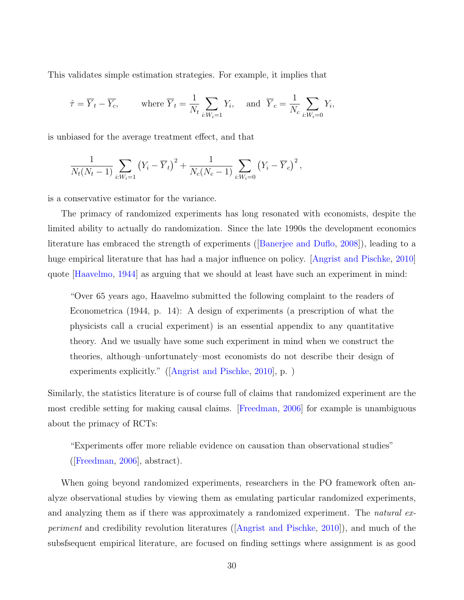This validates simple estimation strategies. For example, it implies that

$$
\hat{\tau} = \overline{Y}_t - \overline{Y}_c
$$
, where  $\overline{Y}_t = \frac{1}{N_t} \sum_{i: W_i = 1} Y_i$ , and  $\overline{Y}_c = \frac{1}{N_c} \sum_{i: W_i = 0} Y_i$ ,

is unbiased for the average treatment effect, and that

$$
\frac{1}{N_t(N_t-1)}\sum_{i:W_i=1} (Y_i - \overline{Y}_t)^2 + \frac{1}{N_c(N_c-1)}\sum_{i:W_i=0} (Y_i - \overline{Y}_c)^2,
$$

is a conservative estimator for the variance.

The primacy of randomized experiments has long resonated with economists, despite the limited ability to actually do randomization. Since the late 1990s the development economics literature has embraced the strength of experiments ([\[Banerjee and Duflo,](#page-61-8) [2008\]](#page-61-8)), leading to a huge empirical literature that has had a major influence on policy. [\[Angrist and Pischke,](#page-60-4) [2010\]](#page-60-4) quote [\[Haavelmo,](#page-65-6) [1944\]](#page-65-6) as arguing that we should at least have such an experiment in mind:

"Over 65 years ago, Haavelmo submitted the following complaint to the readers of Econometrica (1944, p. 14): A design of experiments (a prescription of what the physicists call a crucial experiment) is an essential appendix to any quantitative theory. And we usually have some such experiment in mind when we construct the theories, although–unfortunately–most economists do not describe their design of experiments explicitly." ([\[Angrist and Pischke,](#page-60-4) [2010\]](#page-60-4), p. )

Similarly, the statistics literature is of course full of claims that randomized experiment are the most credible setting for making causal claims. [\[Freedman,](#page-64-7) [2006\]](#page-64-7) for example is unambiguous about the primacy of RCTs:

"Experiments offer more reliable evidence on causation than observational studies" ([\[Freedman,](#page-64-7) [2006\]](#page-64-7), abstract).

When going beyond randomized experiments, researchers in the PO framework often analyze observational studies by viewing them as emulating particular randomized experiments, and analyzing them as if there was approximately a randomized experiment. The *natural ex*periment and credibility revolution literatures ([\[Angrist and Pischke,](#page-60-4) [2010\]](#page-60-4)), and much of the subsfsequent empirical literature, are focused on finding settings where assignment is as good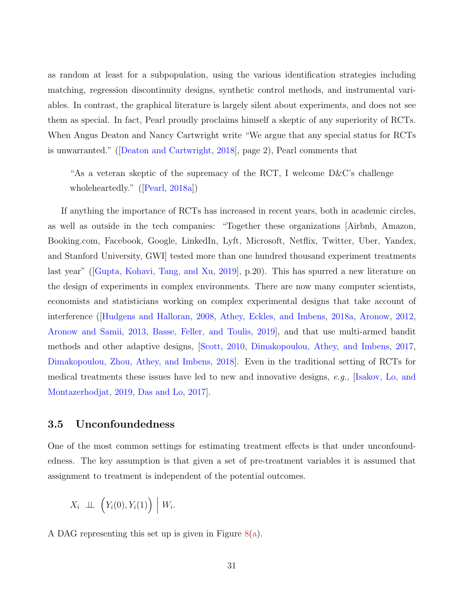as random at least for a subpopulation, using the various identification strategies including matching, regression discontinuity designs, synthetic control methods, and instrumental variables. In contrast, the graphical literature is largely silent about experiments, and does not see them as special. In fact, Pearl proudly proclaims himself a skeptic of any superiority of RCTs. When Angus Deaton and Nancy Cartwright write "We argue that any special status for RCTs is unwarranted." ([\[Deaton and Cartwright,](#page-63-3) [2018\]](#page-63-3), page 2), Pearl comments that

"As a veteran skeptic of the supremacy of the RCT, I welcome D&C's challenge wholeheartedly." ([\[Pearl,](#page-69-6) [2018a\]](#page-69-6))

If anything the importance of RCTs has increased in recent years, both in academic circles, as well as outside in the tech companies: "Together these organizations [Airbnb, Amazon, Booking.com, Facebook, Google, LinkedIn, Lyft, Microsoft, Netflix, Twitter, Uber, Yandex, and Stanford University, GWI] tested more than one hundred thousand experiment treatments last year" ([\[Gupta, Kohavi, Tang, and Xu,](#page-65-3) [2019\]](#page-65-3), p.20). This has spurred a new literature on the design of experiments in complex environments. There are now many computer scientists, economists and statisticians working on complex experimental designs that take account of interference ([\[Hudgens and Halloran,](#page-66-5) [2008,](#page-66-5) [Athey, Eckles, and Imbens,](#page-61-6) [2018a,](#page-61-6) [Aronow,](#page-60-5) [2012,](#page-60-5) [Aronow and Samii,](#page-60-6) [2013,](#page-60-6) [Basse, Feller, and Toulis,](#page-61-7) [2019\]](#page-61-7), and that use multi-armed bandit methods and other adaptive designs, [\[Scott,](#page-71-8) [2010,](#page-71-8) [Dimakopoulou, Athey, and Imbens,](#page-63-4) [2017,](#page-63-4) [Dimakopoulou, Zhou, Athey, and Imbens,](#page-63-5) [2018\]](#page-63-5). Even in the traditional setting of RCTs for medical treatments these issues have led to new and innovative designs, e.g., [\[Isakov, Lo, and](#page-67-5) [Montazerhodjat,](#page-67-5) [2019,](#page-67-5) [Das and Lo,](#page-63-6) [2017\]](#page-63-6).

## 3.5 Unconfoundedness

One of the most common settings for estimating treatment effects is that under unconfoundedness. The key assumption is that given a set of pre-treatment variables it is assumed that assignment to treatment is independent of the potential outcomes.

$$
X_i \perp \!\!\! \perp \left(Y_i(0), Y_i(1)\right) \mid W_i.
$$

A DAG representing this set up is given in Figure  $8(a)$  $8(a)$ .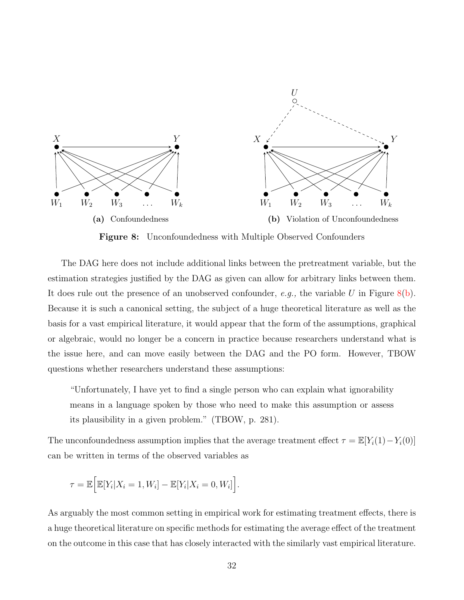<span id="page-33-0"></span>

Figure 8: Unconfoundedness with Multiple Observed Confounders

The DAG here does not include additional links between the pretreatment variable, but the estimation strategies justified by the DAG as given can allow for arbitrary links between them. It does rule out the presence of an unobserved confounder, e.g., the variable U in Figure  $8(b)$ . Because it is such a canonical setting, the subject of a huge theoretical literature as well as the basis for a vast empirical literature, it would appear that the form of the assumptions, graphical or algebraic, would no longer be a concern in practice because researchers understand what is the issue here, and can move easily between the DAG and the PO form. However, TBOW questions whether researchers understand these assumptions:

"Unfortunately, I have yet to find a single person who can explain what ignorability means in a language spoken by those who need to make this assumption or assess its plausibility in a given problem." (TBOW, p. 281).

The unconfoundedness assumption implies that the average treatment effect  $\tau = \mathbb{E}[Y_i(1) - Y_i(0)]$ can be written in terms of the observed variables as

$$
\tau = \mathbb{E}\Big[\mathbb{E}[Y_i|X_i = 1, W_i] - \mathbb{E}[Y_i|X_i = 0, W_i]\Big].
$$

As arguably the most common setting in empirical work for estimating treatment effects, there is a huge theoretical literature on specific methods for estimating the average effect of the treatment on the outcome in this case that has closely interacted with the similarly vast empirical literature.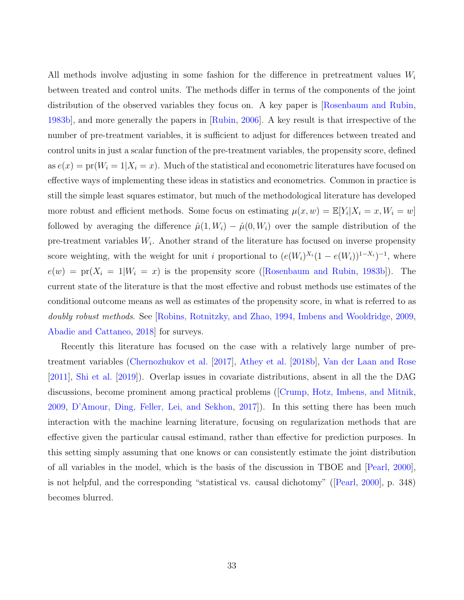All methods involve adjusting in some fashion for the difference in pretreatment values  $W_i$ between treated and control units. The methods differ in terms of the components of the joint distribution of the observed variables they focus on. A key paper is [\[Rosenbaum and Rubin,](#page-71-6) [1983b\]](#page-71-6), and more generally the papers in [\[Rubin,](#page-71-0) [2006\]](#page-71-0). A key result is that irrespective of the number of pre-treatment variables, it is sufficient to adjust for differences between treated and control units in just a scalar function of the pre-treatment variables, the propensity score, defined as  $e(x) = \text{pr}(W_i = 1 | X_i = x)$ . Much of the statistical and econometric literatures have focused on effective ways of implementing these ideas in statistics and econometrics. Common in practice is still the simple least squares estimator, but much of the methodological literature has developed more robust and efficient methods. Some focus on estimating  $\mu(x, w) = \mathbb{E}[Y_i | X_i = x, W_i = w]$ followed by averaging the difference  $\hat{\mu}(1, W_i) - \hat{\mu}(0, W_i)$  over the sample distribution of the pre-treatment variables  $W_i$ . Another strand of the literature has focused on inverse propensity score weighting, with the weight for unit i proportional to  $(e(W_i)^{X_i}(1-e(W_i))^{1-X_i})^{-1}$ , where  $e(w) = \text{pr}(X_i = 1|W_i = x)$  is the propensity score ([\[Rosenbaum and Rubin,](#page-71-6) [1983b\]](#page-71-6)). The current state of the literature is that the most effective and robust methods use estimates of the conditional outcome means as well as estimates of the propensity score, in what is referred to as doubly robust methods. See [\[Robins, Rotnitzky, and Zhao,](#page-70-5) [1994,](#page-70-5) [Imbens and Wooldridge,](#page-67-6) [2009,](#page-67-6) [Abadie and Cattaneo,](#page-59-5) [2018\]](#page-59-5) for surveys.

Recently this literature has focused on the case with a relatively large number of pretreatment variables [\(Chernozhukov et al.](#page-62-4) [\[2017\]](#page-62-4), [Athey et al.](#page-61-3) [\[2018b\]](#page-61-3), [Van der Laan and Rose](#page-72-8) [\[2011\]](#page-72-8), [Shi et al.](#page-71-9) [\[2019\]](#page-71-9)). Overlap issues in covariate distributions, absent in all the the DAG discussions, become prominent among practical problems ([\[Crump, Hotz, Imbens, and Mitnik,](#page-63-0) [2009,](#page-63-0) [D'Amour, Ding, Feller, Lei, and Sekhon,](#page-63-1) [2017\]](#page-63-1)). In this setting there has been much interaction with the machine learning literature, focusing on regularization methods that are effective given the particular causal estimand, rather than effective for prediction purposes. In this setting simply assuming that one knows or can consistently estimate the joint distribution of all variables in the model, which is the basis of the discussion in TBOE and [\[Pearl,](#page-69-0) [2000\]](#page-69-0), is not helpful, and the corresponding "statistical vs. causal dichotomy" ([\[Pearl,](#page-69-0) [2000\]](#page-69-0), p. 348) becomes blurred.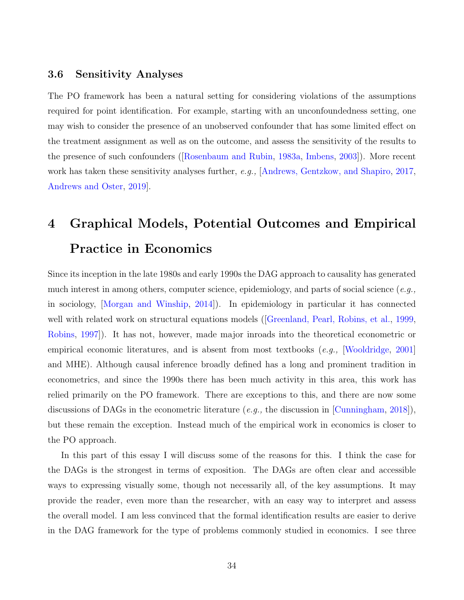## 3.6 Sensitivity Analyses

The PO framework has been a natural setting for considering violations of the assumptions required for point identification. For example, starting with an unconfoundedness setting, one may wish to consider the presence of an unobserved confounder that has some limited effect on the treatment assignment as well as on the outcome, and assess the sensitivity of the results to the presence of such confounders ([\[Rosenbaum and Rubin,](#page-71-10) [1983a,](#page-71-10) [Imbens,](#page-66-6) [2003\]](#page-66-6)). More recent work has taken these sensitivity analyses further, e.g., [\[Andrews, Gentzkow, and Shapiro,](#page-59-6) [2017,](#page-59-6) [Andrews and Oster,](#page-59-7) [2019\]](#page-59-7).

# <span id="page-35-0"></span>4 Graphical Models, Potential Outcomes and Empirical Practice in Economics

Since its inception in the late 1980s and early 1990s the DAG approach to causality has generated much interest in among others, computer science, epidemiology, and parts of social science  $(e.g.,)$ in sociology, [\[Morgan and Winship,](#page-69-7) [2014\]](#page-69-7)). In epidemiology in particular it has connected well with related work on structural equations models (Greenland, Pearl, Robins, et al., [1999,](#page-64-8) [Robins,](#page-70-6) [1997\]](#page-70-6)). It has not, however, made major inroads into the theoretical econometric or empirical economic literatures, and is absent from most textbooks (e.g., [\[Wooldridge,](#page-72-9) [2001\]](#page-72-9) and MHE). Although causal inference broadly defined has a long and prominent tradition in econometrics, and since the 1990s there has been much activity in this area, this work has relied primarily on the PO framework. There are exceptions to this, and there are now some discussions of DAGs in the econometric literature (e.g., the discussion in [\[Cunningham,](#page-63-7) [2018\]](#page-63-7)), but these remain the exception. Instead much of the empirical work in economics is closer to the PO approach.

In this part of this essay I will discuss some of the reasons for this. I think the case for the DAGs is the strongest in terms of exposition. The DAGs are often clear and accessible ways to expressing visually some, though not necessarily all, of the key assumptions. It may provide the reader, even more than the researcher, with an easy way to interpret and assess the overall model. I am less convinced that the formal identification results are easier to derive in the DAG framework for the type of problems commonly studied in economics. I see three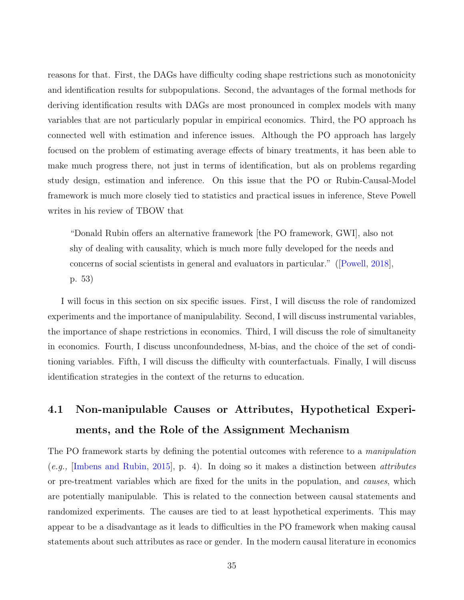reasons for that. First, the DAGs have difficulty coding shape restrictions such as monotonicity and identification results for subpopulations. Second, the advantages of the formal methods for deriving identification results with DAGs are most pronounced in complex models with many variables that are not particularly popular in empirical economics. Third, the PO approach hs connected well with estimation and inference issues. Although the PO approach has largely focused on the problem of estimating average effects of binary treatments, it has been able to make much progress there, not just in terms of identification, but als on problems regarding study design, estimation and inference. On this issue that the PO or Rubin-Causal-Model framework is much more closely tied to statistics and practical issues in inference, Steve Powell writes in his review of TBOW that

"Donald Rubin offers an alternative framework [the PO framework, GWI], also not shy of dealing with causality, which is much more fully developed for the needs and concerns of social scientists in general and evaluators in particular." ([\[Powell,](#page-70-0) [2018\]](#page-70-0), p. 53)

I will focus in this section on six specific issues. First, I will discuss the role of randomized experiments and the importance of manipulability. Second, I will discuss instrumental variables, the importance of shape restrictions in economics. Third, I will discuss the role of simultaneity in economics. Fourth, I discuss unconfoundedness, M-bias, and the choice of the set of conditioning variables. Fifth, I will discuss the difficulty with counterfactuals. Finally, I will discuss identification strategies in the context of the returns to education.

# 4.1 Non-manipulable Causes or Attributes, Hypothetical Experiments, and the Role of the Assignment Mechanism

The PO framework starts by defining the potential outcomes with reference to a *manipulation*  $(e.g.,$  [\[Imbens and Rubin,](#page-67-0) [2015\]](#page-67-0), p. 4). In doing so it makes a distinction between *attributes* or pre-treatment variables which are fixed for the units in the population, and causes, which are potentially manipulable. This is related to the connection between causal statements and randomized experiments. The causes are tied to at least hypothetical experiments. This may appear to be a disadvantage as it leads to difficulties in the PO framework when making causal statements about such attributes as race or gender. In the modern causal literature in economics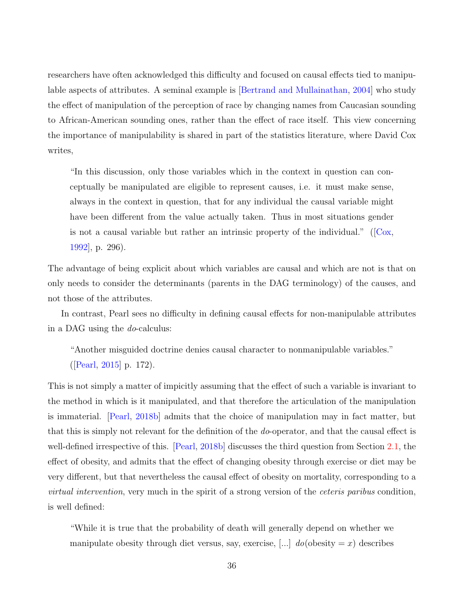researchers have often acknowledged this difficulty and focused on causal effects tied to manipulable aspects of attributes. A seminal example is [\[Bertrand and Mullainathan,](#page-61-0) [2004\]](#page-61-0) who study the effect of manipulation of the perception of race by changing names from Caucasian sounding to African-American sounding ones, rather than the effect of race itself. This view concerning the importance of manipulability is shared in part of the statistics literature, where David Cox writes,

"In this discussion, only those variables which in the context in question can conceptually be manipulated are eligible to represent causes, i.e. it must make sense, always in the context in question, that for any individual the causal variable might have been different from the value actually taken. Thus in most situations gender is not a causal variable but rather an intrinsic property of the individual." ( $\left[ \right]$ Cox, [1992\]](#page-63-0), p. 296).

The advantage of being explicit about which variables are causal and which are not is that on only needs to consider the determinants (parents in the DAG terminology) of the causes, and not those of the attributes.

In contrast, Pearl sees no difficulty in defining causal effects for non-manipulable attributes in a DAG using the do-calculus:

"Another misguided doctrine denies causal character to nonmanipulable variables." ([\[Pearl,](#page-69-0) [2015\]](#page-69-0) p. 172).

This is not simply a matter of impicitly assuming that the effect of such a variable is invariant to the method in which is it manipulated, and that therefore the articulation of the manipulation is immaterial. [\[Pearl,](#page-70-1) [2018b\]](#page-70-1) admits that the choice of manipulation may in fact matter, but that this is simply not relevant for the definition of the do-operator, and that the causal effect is well-defined irrespective of this. [\[Pearl,](#page-70-1) [2018b\]](#page-70-1) discusses the third question from Section [2.1,](#page-5-0) the effect of obesity, and admits that the effect of changing obesity through exercise or diet may be very different, but that nevertheless the causal effect of obesity on mortality, corresponding to a virtual intervention, very much in the spirit of a strong version of the ceteris paribus condition, is well defined:

"While it is true that the probability of death will generally depend on whether we manipulate obesity through diet versus, say, exercise,  $[\dots]$  do(obesity  $=x$ ) describes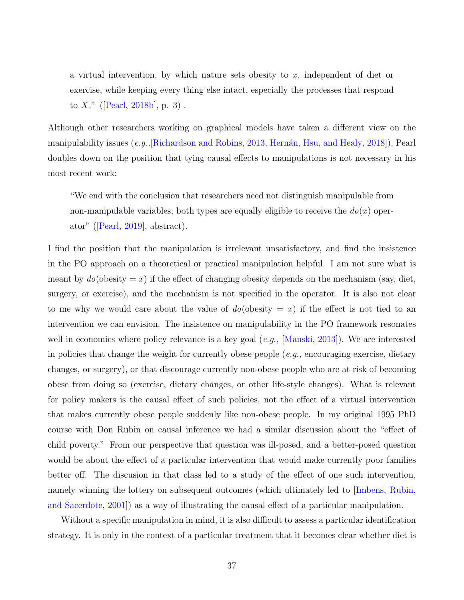a virtual intervention, by which nature sets obesity to  $x$ , independent of diet or exercise, while keeping every thing else intact, especially the processes that respond to X." ([\[Pearl,](#page-70-1) [2018b\]](#page-70-1), p. 3).

Although other researchers working on graphical models have taken a different view on the manipulability issues  $(e.g.,[\text{Richardson and Robbins}, 2013], \text{Hernán}, \text{Hsu}, \text{and Heavy}, 2018])$  $(e.g.,[\text{Richardson and Robbins}, 2013], \text{Hernán}, \text{Hsu}, \text{and Heavy}, 2018])$  $(e.g.,[\text{Richardson and Robbins}, 2013], \text{Hernán}, \text{Hsu}, \text{and Heavy}, 2018])$ , Pearl doubles down on the position that tying causal effects to manipulations is not necessary in his most recent work:

"We end with the conclusion that researchers need not distinguish manipulable from non-manipulable variables; both types are equally eligible to receive the  $d\rho(x)$  operator" ([\[Pearl,](#page-70-3) [2019\]](#page-70-3), abstract).

I find the position that the manipulation is irrelevant unsatisfactory, and find the insistence in the PO approach on a theoretical or practical manipulation helpful. I am not sure what is meant by  $do(obesity = x)$  if the effect of changing obesity depends on the mechanism (say, diet, surgery, or exercise), and the mechanism is not specified in the operator. It is also not clear to me why we would care about the value of  $do$ (obesity  $= x$ ) if the effect is not tied to an intervention we can envision. The insistence on manipulability in the PO framework resonates well in economics where policy relevance is a key goal (*e.g.*, [\[Manski,](#page-68-0) [2013\]](#page-68-0)). We are interested in policies that change the weight for currently obese people  $(e.g.,$  encouraging exercise, dietary changes, or surgery), or that discourage currently non-obese people who are at risk of becoming obese from doing so (exercise, dietary changes, or other life-style changes). What is relevant for policy makers is the causal effect of such policies, not the effect of a virtual intervention that makes currently obese people suddenly like non-obese people. In my original 1995 PhD course with Don Rubin on causal inference we had a similar discussion about the "effect of child poverty." From our perspective that question was ill-posed, and a better-posed question would be about the effect of a particular intervention that would make currently poor families better off. The discusion in that class led to a study of the effect of one such intervention, namely winning the lottery on subsequent outcomes (which ultimately led to [\[Imbens, Rubin,](#page-67-1) [and Sacerdote,](#page-67-1) [2001\]](#page-67-1)) as a way of illustrating the causal effect of a particular manipulation.

Without a specific manipulation in mind, it is also difficult to assess a particular identification strategy. It is only in the context of a particular treatment that it becomes clear whether diet is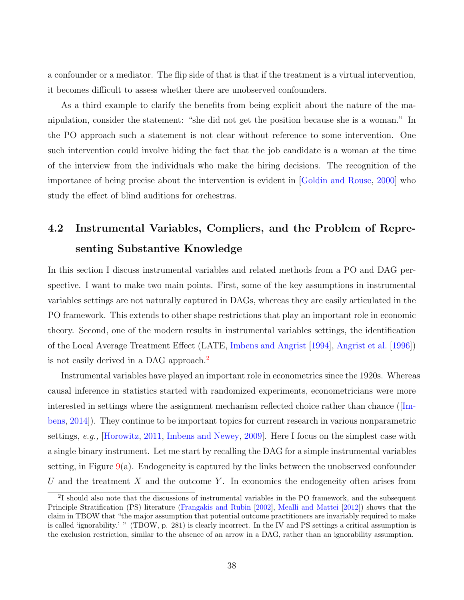a confounder or a mediator. The flip side of that is that if the treatment is a virtual intervention, it becomes difficult to assess whether there are unobserved confounders.

As a third example to clarify the benefits from being explicit about the nature of the manipulation, consider the statement: "she did not get the position because she is a woman." In the PO approach such a statement is not clear without reference to some intervention. One such intervention could involve hiding the fact that the job candidate is a woman at the time of the interview from the individuals who make the hiring decisions. The recognition of the importance of being precise about the intervention is evident in [\[Goldin and Rouse,](#page-64-0) [2000\]](#page-64-0) who study the effect of blind auditions for orchestras.

# 4.2 Instrumental Variables, Compliers, and the Problem of Representing Substantive Knowledge

In this section I discuss instrumental variables and related methods from a PO and DAG perspective. I want to make two main points. First, some of the key assumptions in instrumental variables settings are not naturally captured in DAGs, whereas they are easily articulated in the PO framework. This extends to other shape restrictions that play an important role in economic theory. Second, one of the modern results in instrumental variables settings, the identification of the Local Average Treatment Effect (LATE, [Imbens and Angrist](#page-67-2) [\[1994\]](#page-67-2), [Angrist et al.](#page-60-0) [\[1996\]](#page-60-0)) is not easily derived in a DAG approach.<sup>[2](#page-39-0)</sup>

Instrumental variables have played an important role in econometrics since the 1920s. Whereas causal inference in statistics started with randomized experiments, econometricians were more interested in settings where the assignment mechanism reflected choice rather than chance ([\[Im](#page-66-0)[bens,](#page-66-0) [2014\]](#page-66-0)). They continue to be important topics for current research in various nonparametric settings, e.g., [\[Horowitz,](#page-66-1) [2011,](#page-66-1) [Imbens and Newey,](#page-67-3) [2009\]](#page-67-3). Here I focus on the simplest case with a single binary instrument. Let me start by recalling the DAG for a simple instrumental variables setting, in Figure  $9(a)$  $9(a)$ . Endogeneity is captured by the links between the unobserved confounder U and the treatment X and the outcome Y. In economics the endogeneity often arises from

<span id="page-39-0"></span><sup>&</sup>lt;sup>2</sup>I should also note that the discussions of instrumental variables in the PO framework, and the subsequent Principle Stratification (PS) literature [\(Frangakis and Rubin](#page-64-1) [\[2002\]](#page-64-1), [Mealli and Mattei](#page-69-1) [\[2012\]](#page-69-1)) shows that the claim in TBOW that "the major assumption that potential outcome practitioners are invariably required to make is called 'ignorability.' " (TBOW, p. 281) is clearly incorrect. In the IV and PS settings a critical assumption is the exclusion restriction, similar to the absence of an arrow in a DAG, rather than an ignorability assumption.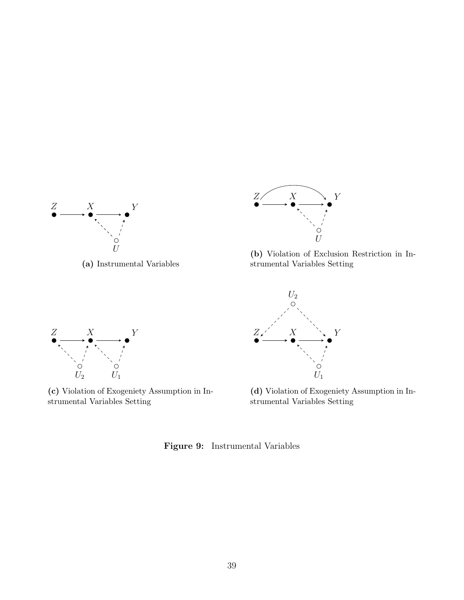<span id="page-40-0"></span>

(a) Instrumental Variables



(b) Violation of Exclusion Restriction in Instrumental Variables Setting



(c) Violation of Exogeniety Assumption in Instrumental Variables Setting



(d) Violation of Exogeniety Assumption in Instrumental Variables Setting

Figure 9: Instrumental Variables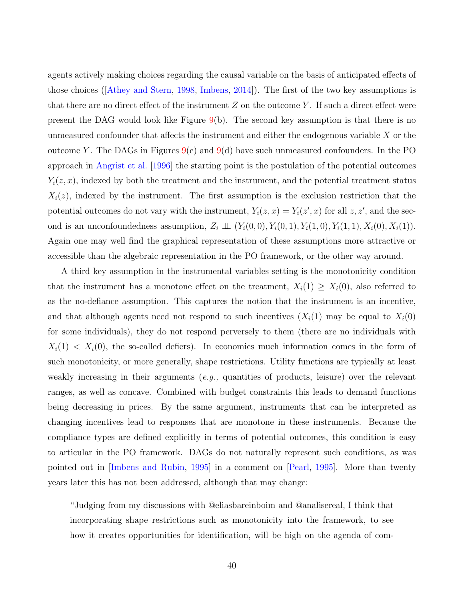agents actively making choices regarding the causal variable on the basis of anticipated effects of those choices ([\[Athey and Stern,](#page-61-1) [1998,](#page-61-1) [Imbens,](#page-66-0) [2014\]](#page-66-0)). The first of the two key assumptions is that there are no direct effect of the instrument  $Z$  on the outcome Y. If such a direct effect were present the DAG would look like Figure  $9(b)$  $9(b)$ . The second key assumption is that there is no unmeasured confounder that affects the instrument and either the endogenous variable  $X$  or the outcome Y. The DAGs in Figures  $9(c)$  $9(c)$  and  $9(d)$  have such unmeasured confounders. In the PO approach in [Angrist et al.](#page-60-0) [\[1996\]](#page-60-0) the starting point is the postulation of the potential outcomes  $Y_i(z, x)$ , indexed by both the treatment and the instrument, and the potential treatment status  $X_i(z)$ , indexed by the instrument. The first assumption is the exclusion restriction that the potential outcomes do not vary with the instrument,  $Y_i(z, x) = Y_i(z', x)$  for all  $z, z'$ , and the second is an unconfoundedness assumption,  $Z_i \perp\!\!\!\perp (Y_i(0,0), Y_i(0,1), Y_i(1,0), Y_i(1,1), X_i(0), X_i(1)).$ Again one may well find the graphical representation of these assumptions more attractive or accessible than the algebraic representation in the PO framework, or the other way around.

A third key assumption in the instrumental variables setting is the monotonicity condition that the instrument has a monotone effect on the treatment,  $X_i(1) \geq X_i(0)$ , also referred to as the no-defiance assumption. This captures the notion that the instrument is an incentive, and that although agents need not respond to such incentives  $(X_i(1)$  may be equal to  $X_i(0)$ for some individuals), they do not respond perversely to them (there are no individuals with  $X_i(1) \leq X_i(0)$ , the so-called defiers). In economics much information comes in the form of such monotonicity, or more generally, shape restrictions. Utility functions are typically at least weakly increasing in their arguments  $(e.q.,$  quantities of products, leisure) over the relevant ranges, as well as concave. Combined with budget constraints this leads to demand functions being decreasing in prices. By the same argument, instruments that can be interpreted as changing incentives lead to responses that are monotone in these instruments. Because the compliance types are defined explicitly in terms of potential outcomes, this condition is easy to articular in the PO framework. DAGs do not naturally represent such conditions, as was pointed out in [\[Imbens and Rubin,](#page-67-4) [1995\]](#page-67-4) in a comment on [\[Pearl,](#page-69-2) [1995\]](#page-69-2). More than twenty years later this has not been addressed, although that may change:

"Judging from my discussions with @eliasbareinboim and @analisereal, I think that incorporating shape restrictions such as monotonicity into the framework, to see how it creates opportunities for identification, will be high on the agenda of com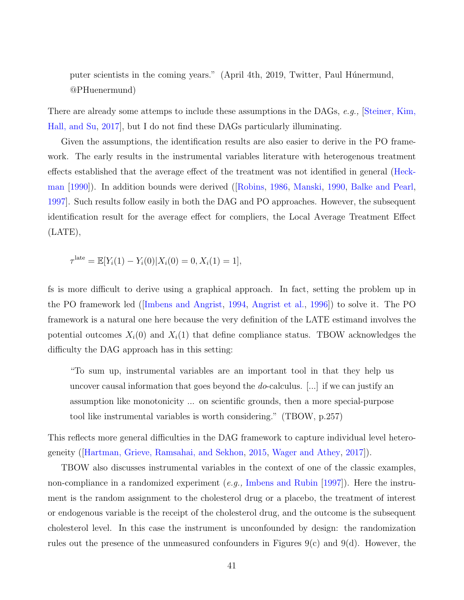puter scientists in the coming years." (April 4th, 2019, Twitter, Paul Húnermund, @PHuenermund)

There are already some attemps to include these assumptions in the DAGs, e.g., Steiner, Kim, [Hall, and Su,](#page-72-0) [2017\]](#page-72-0), but I do not find these DAGs particularly illuminating.

Given the assumptions, the identification results are also easier to derive in the PO framework. The early results in the instrumental variables literature with heterogenous treatment effects established that the average effect of the treatment was not identified in general [\(Heck](#page-65-1)[man](#page-65-1) [\[1990\]](#page-65-1)). In addition bounds were derived ([\[Robins,](#page-70-4) [1986,](#page-70-4) [Manski,](#page-68-1) [1990,](#page-68-1) [Balke and Pearl,](#page-61-2) [1997\]](#page-61-2). Such results follow easily in both the DAG and PO approaches. However, the subsequent identification result for the average effect for compliers, the Local Average Treatment Effect (LATE),

$$
\tau^{\text{late}} = \mathbb{E}[Y_i(1) - Y_i(0)|X_i(0) = 0, X_i(1) = 1],
$$

fs is more difficult to derive using a graphical approach. In fact, setting the problem up in the PO framework led ([\[Imbens and Angrist,](#page-67-2) [1994,](#page-67-2) [Angrist et al.,](#page-60-0) [1996\]](#page-60-0)) to solve it. The PO framework is a natural one here because the very definition of the LATE estimand involves the potential outcomes  $X_i(0)$  and  $X_i(1)$  that define compliance status. TBOW acknowledges the difficulty the DAG approach has in this setting:

"To sum up, instrumental variables are an important tool in that they help us uncover causal information that goes beyond the  $do$ -calculus. [...] if we can justify an assumption like monotonicity ... on scientific grounds, then a more special-purpose tool like instrumental variables is worth considering." (TBOW, p.257)

This reflects more general difficulties in the DAG framework to capture individual level heterogeneity ([\[Hartman, Grieve, Ramsahai, and Sekhon,](#page-65-2) [2015,](#page-65-2) [Wager and Athey,](#page-72-1) [2017\]](#page-72-1)).

TBOW also discusses instrumental variables in the context of one of the classic examples, non-compliance in a randomized experiment (e.g., [Imbens and Rubin](#page-67-5) [\[1997\]](#page-67-5)). Here the instrument is the random assignment to the cholesterol drug or a placebo, the treatment of interest or endogenous variable is the receipt of the cholesterol drug, and the outcome is the subsequent cholesterol level. In this case the instrument is unconfounded by design: the randomization rules out the presence of the unmeasured confounders in Figures  $9(c)$  and  $9(d)$ . However, the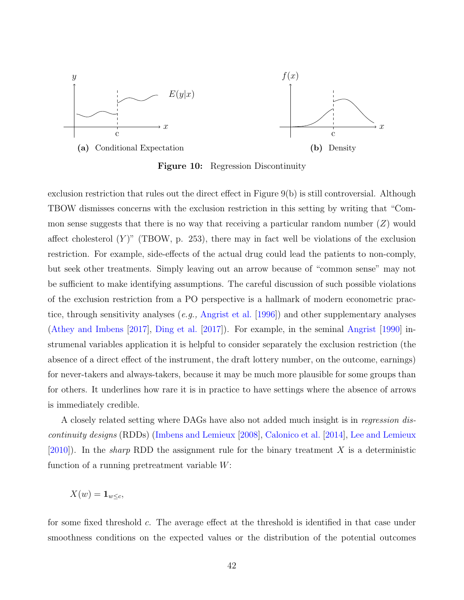<span id="page-43-0"></span>

Figure 10: Regression Discontinuity

exclusion restriction that rules out the direct effect in Figure 9(b) is still controversial. Although TBOW dismisses concerns with the exclusion restriction in this setting by writing that "Common sense suggests that there is no way that receiving a particular random number  $(Z)$  would affect cholesterol  $(Y)$ " (TBOW, p. 253), there may in fact well be violations of the exclusion restriction. For example, side-effects of the actual drug could lead the patients to non-comply, but seek other treatments. Simply leaving out an arrow because of "common sense" may not be sufficient to make identifying assumptions. The careful discussion of such possible violations of the exclusion restriction from a PO perspective is a hallmark of modern econometric prac-tice, through sensitivity analyses (e.g., [Angrist et al.](#page-60-0) [\[1996\]](#page-60-0)) and other supplementary analyses [\(Athey and Imbens](#page-60-1) [\[2017\]](#page-60-1), [Ding et al.](#page-63-1) [\[2017\]](#page-63-1)). For example, in the seminal [Angrist](#page-59-0) [\[1990\]](#page-59-0) instrumenal variables application it is helpful to consider separately the exclusion restriction (the absence of a direct effect of the instrument, the draft lottery number, on the outcome, earnings) for never-takers and always-takers, because it may be much more plausible for some groups than for others. It underlines how rare it is in practice to have settings where the absence of arrows is immediately credible.

A closely related setting where DAGs have also not added much insight is in regression discontinuity designs (RDDs) [\(Imbens and Lemieux](#page-66-2) [\[2008\]](#page-66-2), [Calonico et al.](#page-62-0) [\[2014\]](#page-62-0), [Lee and Lemieux](#page-68-2)  $[2010]$ . In the *sharp* RDD the assignment rule for the binary treatment X is a deterministic function of a running pretreatment variable  $W$ :

$$
X(w) = \mathbf{1}_{w \leq c},
$$

for some fixed threshold c. The average effect at the threshold is identified in that case under smoothness conditions on the expected values or the distribution of the potential outcomes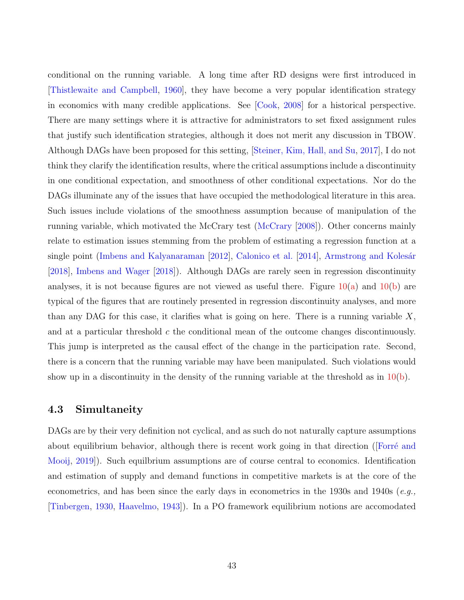conditional on the running variable. A long time after RD designs were first introduced in [\[Thistlewaite and Campbell,](#page-72-2) [1960\]](#page-72-2), they have become a very popular identification strategy in economics with many credible applications. See [\[Cook,](#page-62-1) [2008\]](#page-62-1) for a historical perspective. There are many settings where it is attractive for administrators to set fixed assignment rules that justify such identification strategies, although it does not merit any discussion in TBOW. Although DAGs have been proposed for this setting, [\[Steiner, Kim, Hall, and Su,](#page-72-0) [2017\]](#page-72-0), I do not think they clarify the identification results, where the critical assumptions include a discontinuity in one conditional expectation, and smoothness of other conditional expectations. Nor do the DAGs illuminate any of the issues that have occupied the methodological literature in this area. Such issues include violations of the smoothness assumption because of manipulation of the running variable, which motivated the McCrary test [\(McCrary](#page-68-3) [\[2008\]](#page-68-3)). Other concerns mainly relate to estimation issues stemming from the problem of estimating a regression function at a single point [\(Imbens and Kalyanaraman](#page-66-3) [\[2012\]](#page-66-3), [Calonico et al.](#page-62-0) [\[2014\]](#page-62-0), Armstrong and Kolesár [\[2018\]](#page-60-2), [Imbens and Wager](#page-66-4) [\[2018\]](#page-66-4)). Although DAGs are rarely seen in regression discontinuity analyses, it is not because figures are not viewed as useful there. Figure  $10(a)$  and  $10(b)$  are typical of the figures that are routinely presented in regression discontinuity analyses, and more than any DAG for this case, it clarifies what is going on here. There is a running variable  $X$ , and at a particular threshold  $c$  the conditional mean of the outcome changes discontinuously. This jump is interpreted as the causal effect of the change in the participation rate. Second, there is a concern that the running variable may have been manipulated. Such violations would show up in a discontinuity in the density of the running variable at the threshold as in  $10(b)$ .

#### 4.3 Simultaneity

DAGs are by their very definition not cyclical, and as such do not naturally capture assumptions about equilibrium behavior, although there is recent work going in that direction (Forré and [Mooij,](#page-64-2) [2019\]](#page-64-2)). Such equilbrium assumptions are of course central to economics. Identification and estimation of supply and demand functions in competitive markets is at the core of the econometrics, and has been since the early days in econometrics in the 1930s and 1940s (e.g., [\[Tinbergen,](#page-72-3) [1930,](#page-72-3) [Haavelmo,](#page-65-3) [1943\]](#page-65-3)). In a PO framework equilibrium notions are accomodated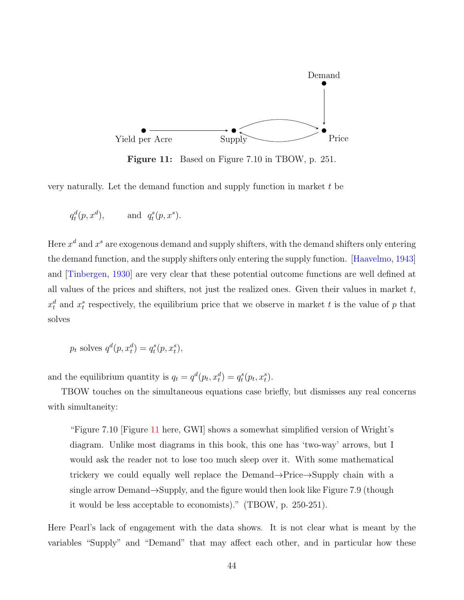<span id="page-45-0"></span>

Figure 11: Based on Figure 7.10 in TBOW, p. 251.

very naturally. Let the demand function and supply function in market t be

$$
q_t^d(p, x^d), \qquad \text{and} \ \ q_t^s(p, x^s).
$$

Here  $x^d$  and  $x^s$  are exogenous demand and supply shifters, with the demand shifters only entering the demand function, and the supply shifters only entering the supply function. [\[Haavelmo,](#page-65-3) [1943\]](#page-65-3) and [\[Tinbergen,](#page-72-3) [1930\]](#page-72-3) are very clear that these potential outcome functions are well defined at all values of the prices and shifters, not just the realized ones. Given their values in market  $t$ ,  $x_t^d$  and  $x_t^s$  respectively, the equilibrium price that we observe in market t is the value of p that solves

$$
p_t \text{ solves } q^d(p, x_t^d) = q_t^s(p, x_t^s),
$$

and the equilibrium quantity is  $q_t = q^d(p_t, x_t^d) = q_t^s(p_t, x_t^s)$ .

TBOW touches on the simultaneous equations case briefly, but dismisses any real concerns with simultaneity:

"Figure 7.10 [Figure [11](#page-45-0) here, GWI] shows a somewhat simplified version of Wright's diagram. Unlike most diagrams in this book, this one has 'two-way' arrows, but I would ask the reader not to lose too much sleep over it. With some mathematical trickery we could equally well replace the Demand→Price→Supply chain with a single arrow Demand→Supply, and the figure would then look like Figure 7.9 (though it would be less acceptable to economists)." (TBOW, p. 250-251).

Here Pearl's lack of engagement with the data shows. It is not clear what is meant by the variables "Supply" and "Demand" that may affect each other, and in particular how these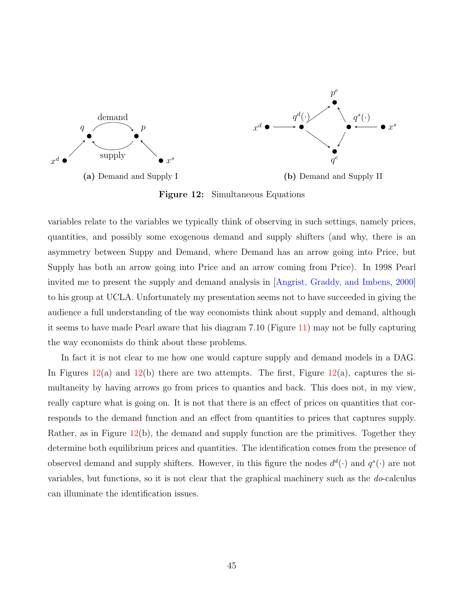<span id="page-46-0"></span>

Figure 12: Simultaneous Equations

variables relate to the variables we typically think of observing in such settings, namely prices, quantities, and possibly some exogenous demand and supply shifters (and why, there is an asymmetry between Suppy and Demand, where Demand has an arrow going into Price, but Supply has both an arrow going into Price and an arrow coming from Price). In 1998 Pearl invited me to present the supply and demand analysis in [\[Angrist, Graddy, and Imbens,](#page-60-3) [2000\]](#page-60-3) to his group at UCLA. Unfortunately my presentation seems not to have succeeded in giving the audience a full understanding of the way economists think about supply and demand, although it seems to have made Pearl aware that his diagram 7.10 (Figure [11\)](#page-45-0) may not be fully capturing the way economists do think about these problems.

In fact it is not clear to me how one would capture supply and demand models in a DAG. In Figures  $12(a)$  $12(a)$  and  $12(b)$  there are two attempts. The first, Figure  $12(a)$ , captures the simultaneity by having arrows go from prices to quanties and back. This does not, in my view, really capture what is going on. It is not that there is an effect of prices on quantities that corresponds to the demand function and an effect from quantities to prices that captures supply. Rather, as in Figure [12\(](#page-46-0)b), the demand and supply function are the primitives. Together they determine both equilibrium prices and quantities. The identification comes from the presence of observed demand and supply shifters. However, in this figure the nodes  $d^{d}(\cdot)$  and  $q^{s}(\cdot)$  are not variables, but functions, so it is not clear that the graphical machinery such as the do-calculus can illuminate the identification issues.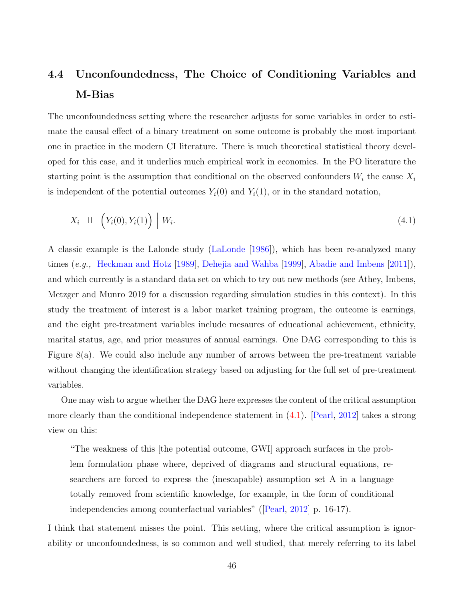# 4.4 Unconfoundedness, The Choice of Conditioning Variables and M-Bias

The unconfoundedness setting where the researcher adjusts for some variables in order to estimate the causal effect of a binary treatment on some outcome is probably the most important one in practice in the modern CI literature. There is much theoretical statistical theory developed for this case, and it underlies much empirical work in economics. In the PO literature the starting point is the assumption that conditional on the observed confounders  $W_i$  the cause  $X_i$ is independent of the potential outcomes  $Y_i(0)$  and  $Y_i(1)$ , or in the standard notation,

<span id="page-47-0"></span>
$$
X_i \perp \!\!\!\perp \left(Y_i(0), Y_i(1)\right) \mid W_i. \tag{4.1}
$$

A classic example is the Lalonde study [\(LaLonde](#page-67-6) [\[1986\]](#page-67-6)), which has been re-analyzed many times (e.g., [Heckman and Hotz](#page-65-4) [\[1989\]](#page-65-4), [Dehejia and Wahba](#page-63-2) [\[1999\]](#page-63-2), [Abadie and Imbens](#page-59-1) [\[2011\]](#page-59-1)), and which currently is a standard data set on which to try out new methods (see Athey, Imbens, Metzger and Munro 2019 for a discussion regarding simulation studies in this context). In this study the treatment of interest is a labor market training program, the outcome is earnings, and the eight pre-treatment variables include mesaures of educational achievement, ethnicity, marital status, age, and prior measures of annual earnings. One DAG corresponding to this is Figure 8(a). We could also include any number of arrows between the pre-treatment variable without changing the identification strategy based on adjusting for the full set of pre-treatment variables.

One may wish to argue whether the DAG here expresses the content of the critical assumption more clearly than the conditional independence statement in  $(4.1)$ . [\[Pearl,](#page-69-3) [2012\]](#page-69-3) takes a strong view on this:

"The weakness of this [the potential outcome, GWI] approach surfaces in the problem formulation phase where, deprived of diagrams and structural equations, researchers are forced to express the (inescapable) assumption set A in a language totally removed from scientific knowledge, for example, in the form of conditional independencies among counterfactual variables" ([\[Pearl,](#page-69-3) [2012\]](#page-69-3) p. 16-17).

I think that statement misses the point. This setting, where the critical assumption is ignorability or unconfoundedness, is so common and well studied, that merely referring to its label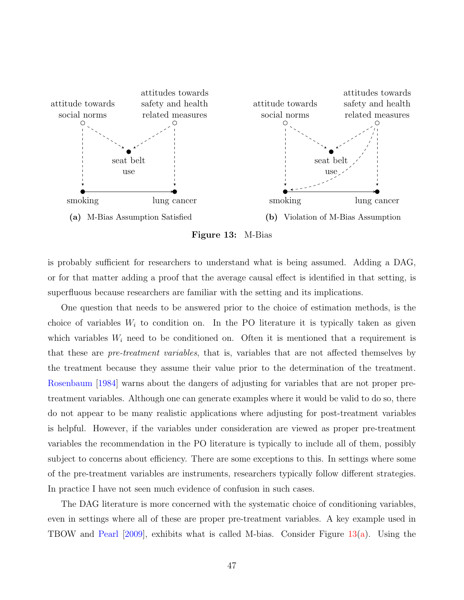<span id="page-48-0"></span>

Figure 13: M-Bias

is probably sufficient for researchers to understand what is being assumed. Adding a DAG, or for that matter adding a proof that the average causal effect is identified in that setting, is superfluous because researchers are familiar with the setting and its implications.

One question that needs to be answered prior to the choice of estimation methods, is the choice of variables  $W_i$  to condition on. In the PO literature it is typically taken as given which variables  $W_i$  need to be conditioned on. Often it is mentioned that a requirement is that these are pre-treatment variables, that is, variables that are not affected themselves by the treatment because they assume their value prior to the determination of the treatment. [Rosenbaum](#page-71-0) [\[1984\]](#page-71-0) warns about the dangers of adjusting for variables that are not proper pretreatment variables. Although one can generate examples where it would be valid to do so, there do not appear to be many realistic applications where adjusting for post-treatment variables is helpful. However, if the variables under consideration are viewed as proper pre-treatment variables the recommendation in the PO literature is typically to include all of them, possibly subject to concerns about efficiency. There are some exceptions to this. In settings where some of the pre-treatment variables are instruments, researchers typically follow different strategies. In practice I have not seen much evidence of confusion in such cases.

The DAG literature is more concerned with the systematic choice of conditioning variables, even in settings where all of these are proper pre-treatment variables. A key example used in TBOW and [Pearl](#page-69-4) [\[2009\]](#page-69-4), exhibits what is called M-bias. Consider Figure [13\(a\)](#page-48-0). Using the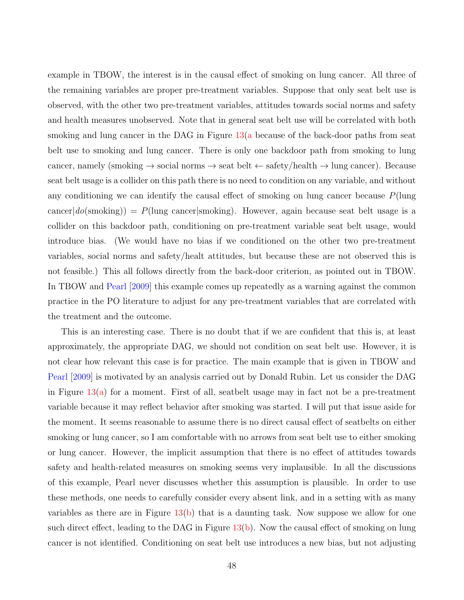example in TBOW, the interest is in the causal effect of smoking on lung cancer. All three of the remaining variables are proper pre-treatment variables. Suppose that only seat belt use is observed, with the other two pre-treatment variables, attitudes towards social norms and safety and health measures unobserved. Note that in general seat belt use will be correlated with both smoking and lung cancer in the DAG in Figure [13\(a](#page-48-0) because of the back-door paths from seat belt use to smoking and lung cancer. There is only one backdoor path from smoking to lung cancer, namely (smoking  $\rightarrow$  social norms  $\rightarrow$  seat belt  $\leftarrow$  safety/health  $\rightarrow$  lung cancer). Because seat belt usage is a collider on this path there is no need to condition on any variable, and without any conditioning we can identify the causal effect of smoking on lung cancer because  $P(\text{lung})$ cancer $|do(\text{smoking})| = P(\text{lung cancer}|\text{smoking})$ . However, again because seat belt usage is a collider on this backdoor path, conditioning on pre-treatment variable seat belt usage, would introduce bias. (We would have no bias if we conditioned on the other two pre-treatment variables, social norms and safety/healt attitudes, but because these are not observed this is not feasible.) This all follows directly from the back-door criterion, as pointed out in TBOW. In TBOW and [Pearl](#page-69-4) [\[2009\]](#page-69-4) this example comes up repeatedly as a warning against the common practice in the PO literature to adjust for any pre-treatment variables that are correlated with the treatment and the outcome.

This is an interesting case. There is no doubt that if we are confident that this is, at least approximately, the appropriate DAG, we should not condition on seat belt use. However, it is not clear how relevant this case is for practice. The main example that is given in TBOW and [Pearl](#page-69-4) [\[2009\]](#page-69-4) is motivated by an analysis carried out by Donald Rubin. Let us consider the DAG in Figure  $13(a)$  for a moment. First of all, seatbelt usage may in fact not be a pre-treatment variable because it may reflect behavior after smoking was started. I will put that issue aside for the moment. It seems reasonable to assume there is no direct causal effect of seatbelts on either smoking or lung cancer, so I am comfortable with no arrows from seat belt use to either smoking or lung cancer. However, the implicit assumption that there is no effect of attitudes towards safety and health-related measures on smoking seems very implausible. In all the discussions of this example, Pearl never discusses whether this assumption is plausible. In order to use these methods, one needs to carefully consider every absent link, and in a setting with as many variables as there are in Figure  $13(b)$  that is a daunting task. Now suppose we allow for one such direct effect, leading to the DAG in Figure [13\(b\)](#page-48-0). Now the causal effect of smoking on lung cancer is not identified. Conditioning on seat belt use introduces a new bias, but not adjusting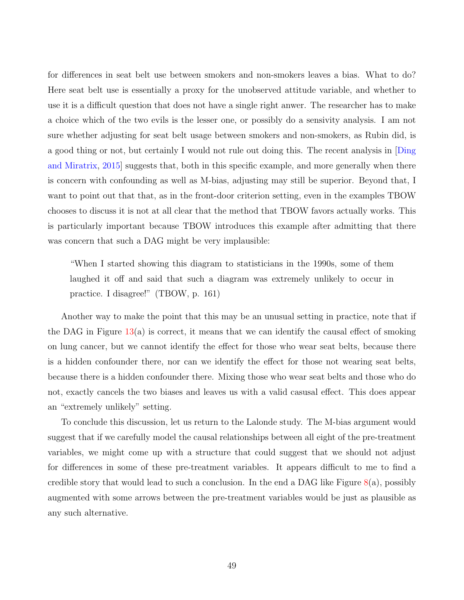for differences in seat belt use between smokers and non-smokers leaves a bias. What to do? Here seat belt use is essentially a proxy for the unobserved attitude variable, and whether to use it is a difficult question that does not have a single right anwer. The researcher has to make a choice which of the two evils is the lesser one, or possibly do a sensivity analysis. I am not sure whether adjusting for seat belt usage between smokers and non-smokers, as Rubin did, is a good thing or not, but certainly I would not rule out doing this. The recent analysis in [\[Ding](#page-63-3) [and Miratrix,](#page-63-3) [2015\]](#page-63-3) suggests that, both in this specific example, and more generally when there is concern with confounding as well as M-bias, adjusting may still be superior. Beyond that, I want to point out that that, as in the front-door criterion setting, even in the examples TBOW chooses to discuss it is not at all clear that the method that TBOW favors actually works. This is particularly important because TBOW introduces this example after admitting that there was concern that such a DAG might be very implausible:

"When I started showing this diagram to statisticians in the 1990s, some of them laughed it off and said that such a diagram was extremely unlikely to occur in practice. I disagree!" (TBOW, p. 161)

Another way to make the point that this may be an unusual setting in practice, note that if the DAG in Figure  $13(a)$  $13(a)$  is correct, it means that we can identify the causal effect of smoking on lung cancer, but we cannot identify the effect for those who wear seat belts, because there is a hidden confounder there, nor can we identify the effect for those not wearing seat belts, because there is a hidden confounder there. Mixing those who wear seat belts and those who do not, exactly cancels the two biases and leaves us with a valid casusal effect. This does appear an "extremely unlikely" setting.

To conclude this discussion, let us return to the Lalonde study. The M-bias argument would suggest that if we carefully model the causal relationships between all eight of the pre-treatment variables, we might come up with a structure that could suggest that we should not adjust for differences in some of these pre-treatment variables. It appears difficult to me to find a credible story that would lead to such a conclusion. In the end a DAG like Figure  $8(a)$  $8(a)$ , possibly augmented with some arrows between the pre-treatment variables would be just as plausible as any such alternative.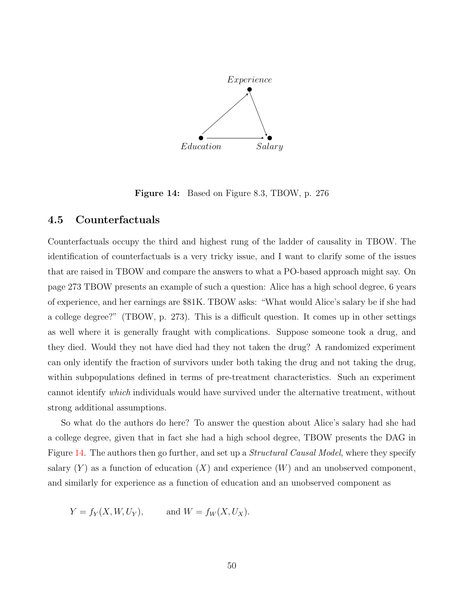<span id="page-51-0"></span>

Figure 14: Based on Figure 8.3, TBOW, p. 276

#### 4.5 Counterfactuals

Counterfactuals occupy the third and highest rung of the ladder of causality in TBOW. The identification of counterfactuals is a very tricky issue, and I want to clarify some of the issues that are raised in TBOW and compare the answers to what a PO-based approach might say. On page 273 TBOW presents an example of such a question: Alice has a high school degree, 6 years of experience, and her earnings are \$81K. TBOW asks: "What would Alice's salary be if she had a college degree?" (TBOW, p. 273). This is a difficult question. It comes up in other settings as well where it is generally fraught with complications. Suppose someone took a drug, and they died. Would they not have died had they not taken the drug? A randomized experiment can only identify the fraction of survivors under both taking the drug and not taking the drug, within subpopulations defined in terms of pre-treatment characteristics. Such an experiment cannot identify which individuals would have survived under the alternative treatment, without strong additional assumptions.

So what do the authors do here? To answer the question about Alice's salary had she had a college degree, given that in fact she had a high school degree, TBOW presents the DAG in Figure [14.](#page-51-0) The authors then go further, and set up a *Structural Causal Model*, where they specify salary  $(Y)$  as a function of education  $(X)$  and experience  $(W)$  and an unobserved component, and similarly for experience as a function of education and an unobserved component as

$$
Y = f_Y(X, W, U_Y), \qquad \text{and } W = f_W(X, U_X).
$$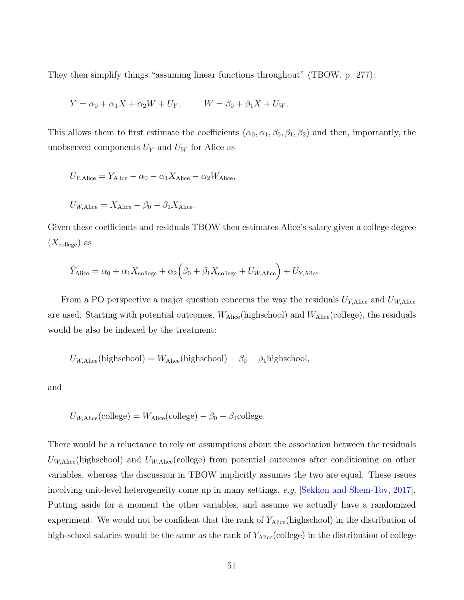They then simplify things "assuming linear functions throughout" (TBOW, p. 277):

$$
Y = \alpha_0 + \alpha_1 X + \alpha_2 W + U_Y,
$$
  $W = \beta_0 + \beta_1 X + U_W.$ 

This allows them to first estimate the coefficients  $(\alpha_0, \alpha_1, \beta_0, \beta_1, \beta_2)$  and then, importantly, the unobserved components  $U_Y$  and  $U_W$  for Alice as

$$
U_{Y,\text{Alice}} = Y_{\text{Alice}} - \alpha_0 - \alpha_1 X_{\text{Alice}} - \alpha_2 W_{\text{Alice}},
$$

$$
U_{W, \text{Alice}} = X_{\text{Alice}} - \beta_0 - \beta_1 X_{\text{Alice}}.
$$

Given these coefficients and residuals TBOW then estimates Alice's salary given a college degree  $(X_{\text{college}})$  as

$$
\hat{Y}_{\text{Alice}} = \alpha_0 + \alpha_1 X_{\text{college}} + \alpha_2 \Big( \beta_0 + \beta_1 X_{\text{college}} + U_{W, \text{Alice}} \Big) + U_{Y, \text{Alice}}.
$$

From a PO perspective a major question concerns the way the residuals  $U_{Y,\text{Alice}}$  and  $U_{W,\text{Alice}}$ are used. Starting with potential outcomes,  $W_{\text{Alice}}(\text{highschool})$  and  $W_{\text{Alice}}(\text{collapse})$ , the residuals would be also be indexed by the treatment:

$$
U_{W,\text{Alice}}(\text{highschool}) = W_{\text{Alice}}(\text{high school}) - \beta_0 - \beta_1 \text{high school},
$$

and

$$
U_{W, \text{Alice}}(\text{college}) = W_{\text{Alice}}(\text{college}) - \beta_0 - \beta_1 \text{college}.
$$

There would be a reluctance to rely on assumptions about the association between the residuals  $U_{W, \text{Alice}}(\text{high school})$  and  $U_{W, \text{Alice}}(\text{college})$  from potential outcomes after conditioning on other variables, whereas the discussion in TBOW implicitly assumes the two are equal. These issues involving unit-level heterogeneity come up in many settings, e.g, [\[Sekhon and Shem-Tov,](#page-71-1) [2017\]](#page-71-1). Putting aside for a moment the other variables, and assume we actually have a randomized experiment. We would not be confident that the rank of  $Y_{Alice}$ (highschool) in the distribution of high-school salaries would be the same as the rank of  $Y_{Alice}(\text{college})$  in the distribution of college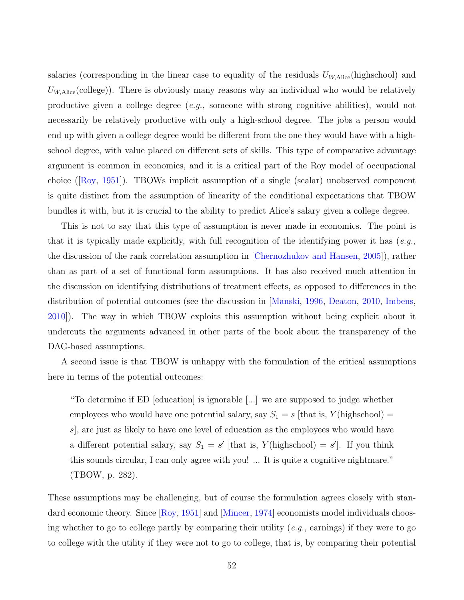salaries (corresponding in the linear case to equality of the residuals  $U_{W,\text{Alice}}(\text{highschool})$  and  $U_{W, \text{Alice}}(\text{college}))$ . There is obviously many reasons why an individual who would be relatively productive given a college degree  $(e.g.,$  someone with strong cognitive abilities), would not necessarily be relatively productive with only a high-school degree. The jobs a person would end up with given a college degree would be different from the one they would have with a highschool degree, with value placed on different sets of skills. This type of comparative advantage argument is common in economics, and it is a critical part of the Roy model of occupational choice ([\[Roy,](#page-71-2) [1951\]](#page-71-2)). TBOWs implicit assumption of a single (scalar) unobserved component is quite distinct from the assumption of linearity of the conditional expectations that TBOW bundles it with, but it is crucial to the ability to predict Alice's salary given a college degree.

This is not to say that this type of assumption is never made in economics. The point is that it is typically made explicitly, with full recognition of the identifying power it has  $(e.g.,)$ the discussion of the rank correlation assumption in [\[Chernozhukov and Hansen,](#page-62-2) [2005\]](#page-62-2)), rather than as part of a set of functional form assumptions. It has also received much attention in the discussion on identifying distributions of treatment effects, as opposed to differences in the distribution of potential outcomes (see the discussion in [\[Manski,](#page-68-4) [1996,](#page-68-4) [Deaton,](#page-63-4) [2010,](#page-63-4) [Imbens,](#page-66-5) [2010\]](#page-66-5)). The way in which TBOW exploits this assumption without being explicit about it undercuts the arguments advanced in other parts of the book about the transparency of the DAG-based assumptions.

A second issue is that TBOW is unhappy with the formulation of the critical assumptions here in terms of the potential outcomes:

"To determine if ED [education] is ignorable [...] we are supposed to judge whether employees who would have one potential salary, say  $S_1 = s$  [that is,  $Y$ (highschool) = s], are just as likely to have one level of education as the employees who would have a different potential salary, say  $S_1 = s'$  [that is,  $Y(\text{highschool}) = s'$ ]. If you think this sounds circular, I can only agree with you! ... It is quite a cognitive nightmare." (TBOW, p. 282).

These assumptions may be challenging, but of course the formulation agrees closely with stan-dard economic theory. Since [\[Roy,](#page-71-2) [1951\]](#page-71-2) and [\[Mincer,](#page-69-5) [1974\]](#page-69-5) economists model individuals choosing whether to go to college partly by comparing their utility  $(e.g.,$  earnings) if they were to go to college with the utility if they were not to go to college, that is, by comparing their potential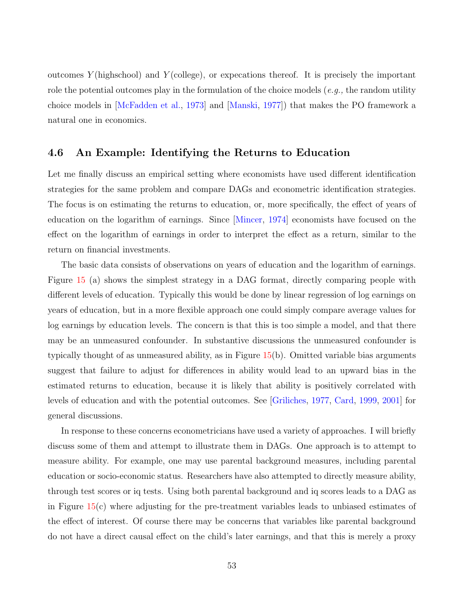outcomes  $Y$ (highschool) and  $Y$ (college), or expecations thereof. It is precisely the important role the potential outcomes play in the formulation of the choice models  $(e.g.,$  the random utility choice models in [\[McFadden et al.,](#page-69-6) [1973\]](#page-69-6) and [\[Manski,](#page-68-5) [1977\]](#page-68-5)) that makes the PO framework a natural one in economics.

#### 4.6 An Example: Identifying the Returns to Education

Let me finally discuss an empirical setting where economists have used different identification strategies for the same problem and compare DAGs and econometric identification strategies. The focus is on estimating the returns to education, or, more specifically, the effect of years of education on the logarithm of earnings. Since [\[Mincer,](#page-69-5) [1974\]](#page-69-5) economists have focused on the effect on the logarithm of earnings in order to interpret the effect as a return, similar to the return on financial investments.

The basic data consists of observations on years of education and the logarithm of earnings. Figure [15](#page-55-0) (a) shows the simplest strategy in a DAG format, directly comparing people with different levels of education. Typically this would be done by linear regression of log earnings on years of education, but in a more flexible approach one could simply compare average values for log earnings by education levels. The concern is that this is too simple a model, and that there may be an unmeasured confounder. In substantive discussions the unmeasured confounder is typically thought of as unmeasured ability, as in Figure [15\(](#page-55-0)b). Omitted variable bias arguments suggest that failure to adjust for differences in ability would lead to an upward bias in the estimated returns to education, because it is likely that ability is positively correlated with levels of education and with the potential outcomes. See [\[Griliches,](#page-65-5) [1977,](#page-65-5) [Card,](#page-62-3) [1999,](#page-62-3) [2001\]](#page-62-4) for general discussions.

In response to these concerns econometricians have used a variety of approaches. I will briefly discuss some of them and attempt to illustrate them in DAGs. One approach is to attempt to measure ability. For example, one may use parental background measures, including parental education or socio-economic status. Researchers have also attempted to directly measure ability, through test scores or iq tests. Using both parental background and iq scores leads to a DAG as in Figure [15\(](#page-55-0)c) where adjusting for the pre-treatment variables leads to unbiased estimates of the effect of interest. Of course there may be concerns that variables like parental background do not have a direct causal effect on the child's later earnings, and that this is merely a proxy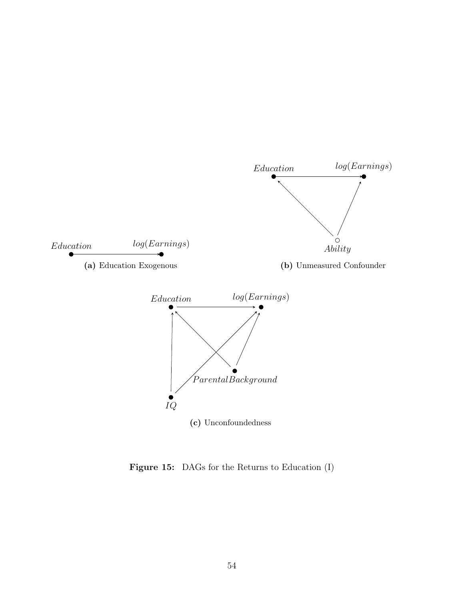<span id="page-55-0"></span>

Figure 15: DAGs for the Returns to Education (I)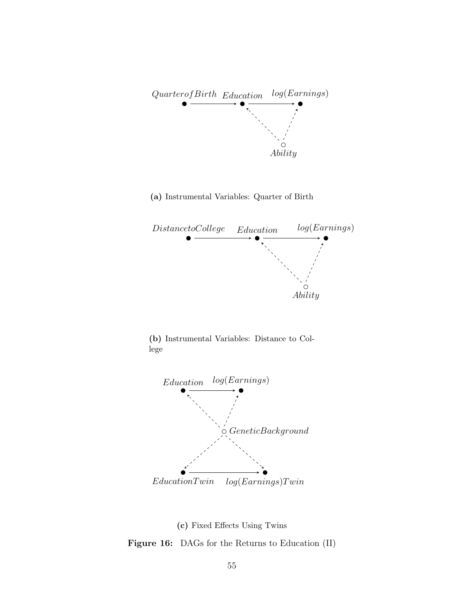<span id="page-56-0"></span>

(a) Instrumental Variables: Quarter of Birth



(b) Instrumental Variables: Distance to College



(c) Fixed Effects Using Twins

Figure 16: DAGs for the Returns to Education (II)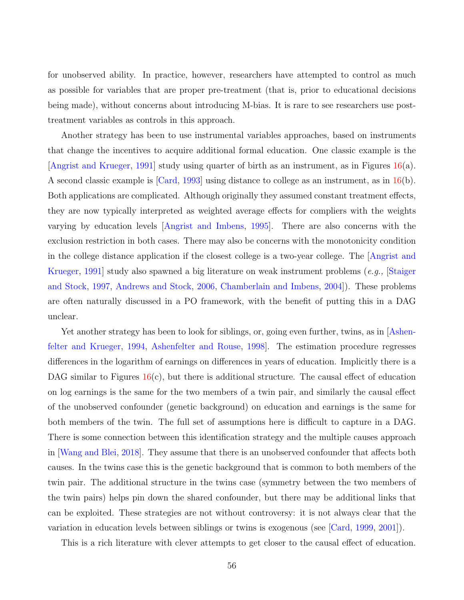for unobserved ability. In practice, however, researchers have attempted to control as much as possible for variables that are proper pre-treatment (that is, prior to educational decisions being made), without concerns about introducing M-bias. It is rare to see researchers use posttreatment variables as controls in this approach.

Another strategy has been to use instrumental variables approaches, based on instruments that change the incentives to acquire additional formal education. One classic example is the [\[Angrist and Krueger,](#page-59-2) [1991\]](#page-59-2) study using quarter of birth as an instrument, as in Figures [16\(](#page-56-0)a). A second classic example is [\[Card,](#page-62-5) [1993\]](#page-62-5) using distance to college as an instrument, as in [16\(](#page-56-0)b). Both applications are complicated. Although originally they assumed constant treatment effects, they are now typically interpreted as weighted average effects for compliers with the weights varying by education levels [\[Angrist and Imbens,](#page-59-3) [1995\]](#page-59-3). There are also concerns with the exclusion restriction in both cases. There may also be concerns with the monotonicity condition in the college distance application if the closest college is a two-year college. The [\[Angrist and](#page-59-2) [Krueger,](#page-59-2) [1991\]](#page-59-2) study also spawned a big literature on weak instrument problems (e.g., [\[Staiger](#page-72-4) [and Stock,](#page-72-4) [1997,](#page-72-4) [Andrews and Stock,](#page-59-4) [2006,](#page-59-4) [Chamberlain and Imbens,](#page-62-6) [2004\]](#page-62-6)). These problems are often naturally discussed in a PO framework, with the benefit of putting this in a DAG unclear.

Yet another strategy has been to look for siblings, or, going even further, twins, as in  $\Delta$ shen[felter and Krueger,](#page-60-4) [1994,](#page-60-4) [Ashenfelter and Rouse,](#page-60-5) [1998\]](#page-60-5). The estimation procedure regresses differences in the logarithm of earnings on differences in years of education. Implicitly there is a DAG similar to Figures  $16(c)$  $16(c)$ , but there is additional structure. The causal effect of education on log earnings is the same for the two members of a twin pair, and similarly the causal effect of the unobserved confounder (genetic background) on education and earnings is the same for both members of the twin. The full set of assumptions here is difficult to capture in a DAG. There is some connection between this identification strategy and the multiple causes approach in [\[Wang and Blei,](#page-72-5) [2018\]](#page-72-5). They assume that there is an unobserved confounder that affects both causes. In the twins case this is the genetic background that is common to both members of the twin pair. The additional structure in the twins case (symmetry between the two members of the twin pairs) helps pin down the shared confounder, but there may be additional links that can be exploited. These strategies are not without controversy: it is not always clear that the variation in education levels between siblings or twins is exogenous (see [\[Card,](#page-62-3) [1999,](#page-62-3) [2001\]](#page-62-4)).

This is a rich literature with clever attempts to get closer to the causal effect of education.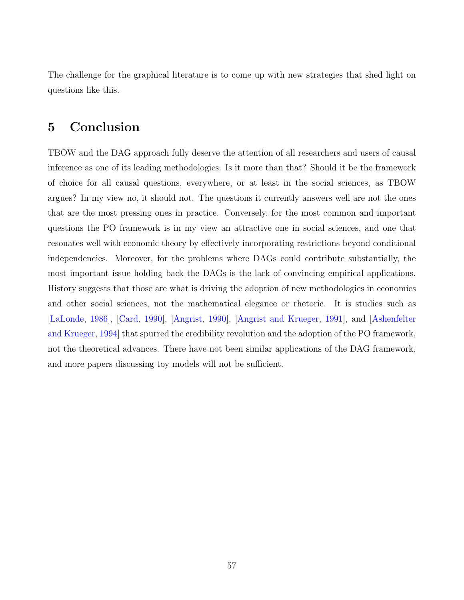The challenge for the graphical literature is to come up with new strategies that shed light on questions like this.

## 5 Conclusion

TBOW and the DAG approach fully deserve the attention of all researchers and users of causal inference as one of its leading methodologies. Is it more than that? Should it be the framework of choice for all causal questions, everywhere, or at least in the social sciences, as TBOW argues? In my view no, it should not. The questions it currently answers well are not the ones that are the most pressing ones in practice. Conversely, for the most common and important questions the PO framework is in my view an attractive one in social sciences, and one that resonates well with economic theory by effectively incorporating restrictions beyond conditional independencies. Moreover, for the problems where DAGs could contribute substantially, the most important issue holding back the DAGs is the lack of convincing empirical applications. History suggests that those are what is driving the adoption of new methodologies in economics and other social sciences, not the mathematical elegance or rhetoric. It is studies such as [\[LaLonde,](#page-67-6) [1986\]](#page-67-6), [\[Card,](#page-62-7) [1990\]](#page-62-7), [\[Angrist,](#page-59-0) [1990\]](#page-59-0), [\[Angrist and Krueger,](#page-59-2) [1991\]](#page-59-2), and [\[Ashenfelter](#page-60-4) [and Krueger,](#page-60-4) [1994\]](#page-60-4) that spurred the credibility revolution and the adoption of the PO framework, not the theoretical advances. There have not been similar applications of the DAG framework, and more papers discussing toy models will not be sufficient.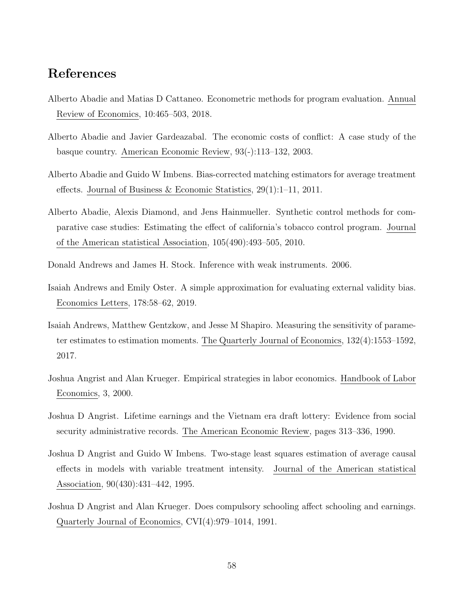### References

- Alberto Abadie and Matias D Cattaneo. Econometric methods for program evaluation. Annual Review of Economics, 10:465–503, 2018.
- Alberto Abadie and Javier Gardeazabal. The economic costs of conflict: A case study of the basque country. American Economic Review, 93(-):113–132, 2003.
- <span id="page-59-1"></span>Alberto Abadie and Guido W Imbens. Bias-corrected matching estimators for average treatment effects. Journal of Business & Economic Statistics, 29(1):1–11, 2011.
- Alberto Abadie, Alexis Diamond, and Jens Hainmueller. Synthetic control methods for comparative case studies: Estimating the effect of california's tobacco control program. Journal of the American statistical Association, 105(490):493–505, 2010.
- <span id="page-59-4"></span>Donald Andrews and James H. Stock. Inference with weak instruments. 2006.
- Isaiah Andrews and Emily Oster. A simple approximation for evaluating external validity bias. Economics Letters, 178:58–62, 2019.
- Isaiah Andrews, Matthew Gentzkow, and Jesse M Shapiro. Measuring the sensitivity of parameter estimates to estimation moments. The Quarterly Journal of Economics, 132(4):1553–1592, 2017.
- Joshua Angrist and Alan Krueger. Empirical strategies in labor economics. Handbook of Labor Economics, 3, 2000.
- <span id="page-59-0"></span>Joshua D Angrist. Lifetime earnings and the Vietnam era draft lottery: Evidence from social security administrative records. The American Economic Review, pages 313–336, 1990.
- <span id="page-59-3"></span>Joshua D Angrist and Guido W Imbens. Two-stage least squares estimation of average causal effects in models with variable treatment intensity. Journal of the American statistical Association, 90(430):431–442, 1995.
- <span id="page-59-2"></span>Joshua D Angrist and Alan Krueger. Does compulsory schooling affect schooling and earnings. Quarterly Journal of Economics, CVI(4):979–1014, 1991.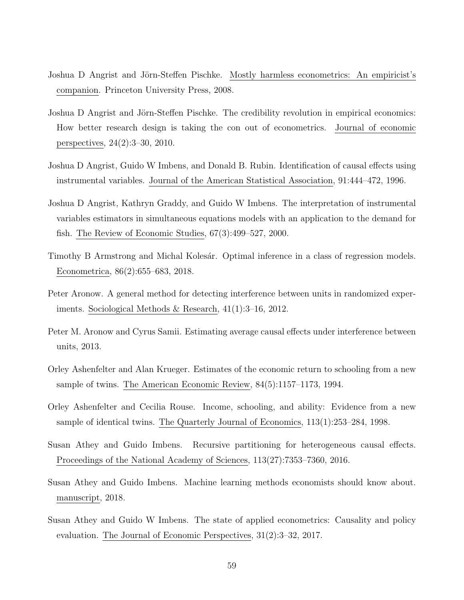- Joshua D Angrist and Jörn-Steffen Pischke. Mostly harmless econometrics: An empiricist's companion. Princeton University Press, 2008.
- Joshua D Angrist and Jörn-Steffen Pischke. The credibility revolution in empirical economics: How better research design is taking the con out of econometrics. Journal of economic perspectives, 24(2):3–30, 2010.
- <span id="page-60-0"></span>Joshua D Angrist, Guido W Imbens, and Donald B. Rubin. Identification of causal effects using instrumental variables. Journal of the American Statistical Association, 91:444–472, 1996.
- <span id="page-60-3"></span>Joshua D Angrist, Kathryn Graddy, and Guido W Imbens. The interpretation of instrumental variables estimators in simultaneous equations models with an application to the demand for fish. The Review of Economic Studies, 67(3):499–527, 2000.
- <span id="page-60-2"></span>Timothy B Armstrong and Michal Kolesár. Optimal inference in a class of regression models. Econometrica, 86(2):655–683, 2018.
- Peter Aronow. A general method for detecting interference between units in randomized experiments. Sociological Methods & Research, 41(1):3–16, 2012.
- Peter M. Aronow and Cyrus Samii. Estimating average causal effects under interference between units, 2013.
- <span id="page-60-4"></span>Orley Ashenfelter and Alan Krueger. Estimates of the economic return to schooling from a new sample of twins. The American Economic Review, 84(5):1157–1173, 1994.
- <span id="page-60-5"></span>Orley Ashenfelter and Cecilia Rouse. Income, schooling, and ability: Evidence from a new sample of identical twins. The Quarterly Journal of Economics, 113(1):253–284, 1998.
- Susan Athey and Guido Imbens. Recursive partitioning for heterogeneous causal effects. Proceedings of the National Academy of Sciences, 113(27):7353–7360, 2016.
- Susan Athey and Guido Imbens. Machine learning methods economists should know about. manuscript, 2018.
- <span id="page-60-1"></span>Susan Athey and Guido W Imbens. The state of applied econometrics: Causality and policy evaluation. The Journal of Economic Perspectives, 31(2):3–32, 2017.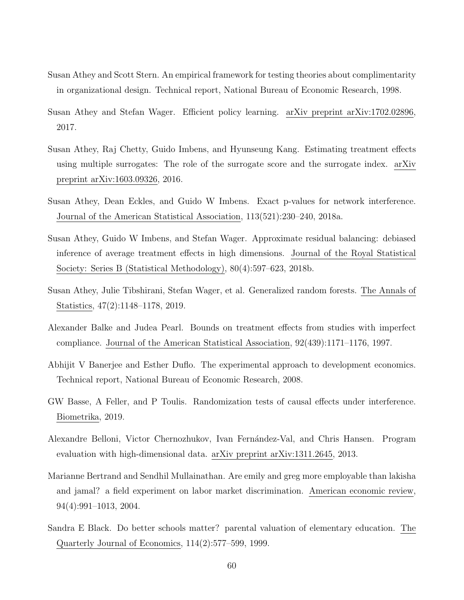- <span id="page-61-1"></span>Susan Athey and Scott Stern. An empirical framework for testing theories about complimentarity in organizational design. Technical report, National Bureau of Economic Research, 1998.
- Susan Athey and Stefan Wager. Efficient policy learning. arXiv preprint arXiv:1702.02896, 2017.
- Susan Athey, Raj Chetty, Guido Imbens, and Hyunseung Kang. Estimating treatment effects using multiple surrogates: The role of the surrogate score and the surrogate index. arXiv preprint arXiv:1603.09326, 2016.
- Susan Athey, Dean Eckles, and Guido W Imbens. Exact p-values for network interference. Journal of the American Statistical Association, 113(521):230–240, 2018a.
- Susan Athey, Guido W Imbens, and Stefan Wager. Approximate residual balancing: debiased inference of average treatment effects in high dimensions. Journal of the Royal Statistical Society: Series B (Statistical Methodology), 80(4):597–623, 2018b.
- Susan Athey, Julie Tibshirani, Stefan Wager, et al. Generalized random forests. The Annals of Statistics, 47(2):1148–1178, 2019.
- <span id="page-61-2"></span>Alexander Balke and Judea Pearl. Bounds on treatment effects from studies with imperfect compliance. Journal of the American Statistical Association, 92(439):1171–1176, 1997.
- Abhijit V Banerjee and Esther Duflo. The experimental approach to development economics. Technical report, National Bureau of Economic Research, 2008.
- GW Basse, A Feller, and P Toulis. Randomization tests of causal effects under interference. Biometrika, 2019.
- Alexandre Belloni, Victor Chernozhukov, Ivan Fernández-Val, and Chris Hansen. Program evaluation with high-dimensional data. arXiv preprint arXiv:1311.2645, 2013.
- <span id="page-61-0"></span>Marianne Bertrand and Sendhil Mullainathan. Are emily and greg more employable than lakisha and jamal? a field experiment on labor market discrimination. American economic review, 94(4):991–1013, 2004.
- Sandra E Black. Do better schools matter? parental valuation of elementary education. The Quarterly Journal of Economics, 114(2):577–599, 1999.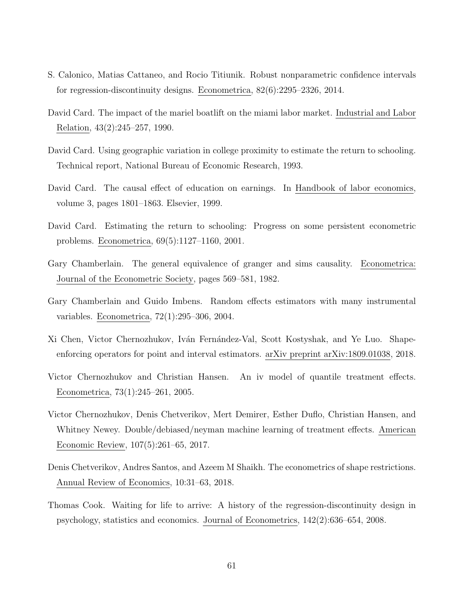- <span id="page-62-0"></span>S. Calonico, Matias Cattaneo, and Rocio Titiunik. Robust nonparametric confidence intervals for regression-discontinuity designs. Econometrica, 82(6):2295–2326, 2014.
- <span id="page-62-7"></span>David Card. The impact of the mariel boatlift on the miami labor market. Industrial and Labor Relation, 43(2):245–257, 1990.
- <span id="page-62-5"></span>David Card. Using geographic variation in college proximity to estimate the return to schooling. Technical report, National Bureau of Economic Research, 1993.
- <span id="page-62-3"></span>David Card. The causal effect of education on earnings. In Handbook of labor economics, volume 3, pages 1801–1863. Elsevier, 1999.
- <span id="page-62-4"></span>David Card. Estimating the return to schooling: Progress on some persistent econometric problems. Econometrica, 69(5):1127–1160, 2001.
- Gary Chamberlain. The general equivalence of granger and sims causality. Econometrica: Journal of the Econometric Society, pages 569–581, 1982.
- <span id="page-62-6"></span>Gary Chamberlain and Guido Imbens. Random effects estimators with many instrumental variables. Econometrica, 72(1):295–306, 2004.
- Xi Chen, Victor Chernozhukov, Iván Fernández-Val, Scott Kostyshak, and Ye Luo. Shapeenforcing operators for point and interval estimators. arXiv preprint arXiv:1809.01038, 2018.
- <span id="page-62-2"></span>Victor Chernozhukov and Christian Hansen. An iv model of quantile treatment effects. Econometrica, 73(1):245–261, 2005.
- Victor Chernozhukov, Denis Chetverikov, Mert Demirer, Esther Duflo, Christian Hansen, and Whitney Newey. Double/debiased/neyman machine learning of treatment effects. American Economic Review, 107(5):261–65, 2017.
- Denis Chetverikov, Andres Santos, and Azeem M Shaikh. The econometrics of shape restrictions. Annual Review of Economics, 10:31–63, 2018.
- <span id="page-62-1"></span>Thomas Cook. Waiting for life to arrive: A history of the regression-discontinuity design in psychology, statistics and economics. Journal of Econometrics, 142(2):636–654, 2008.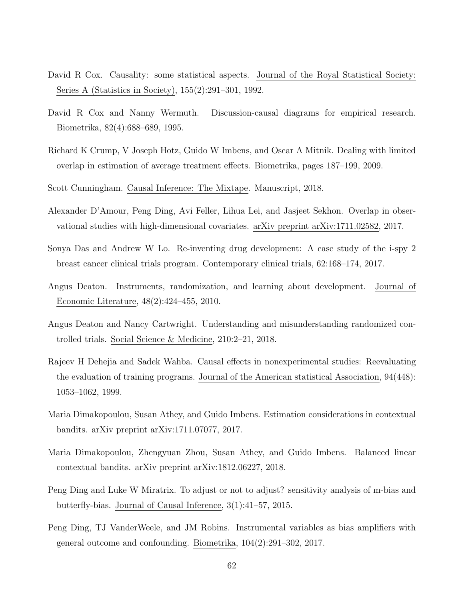- <span id="page-63-0"></span>David R Cox. Causality: some statistical aspects. Journal of the Royal Statistical Society: Series A (Statistics in Society), 155(2):291–301, 1992.
- David R Cox and Nanny Wermuth. Discussion-causal diagrams for empirical research. Biometrika, 82(4):688–689, 1995.
- Richard K Crump, V Joseph Hotz, Guido W Imbens, and Oscar A Mitnik. Dealing with limited overlap in estimation of average treatment effects. Biometrika, pages 187–199, 2009.
- Scott Cunningham. Causal Inference: The Mixtape. Manuscript, 2018.
- Alexander D'Amour, Peng Ding, Avi Feller, Lihua Lei, and Jasjeet Sekhon. Overlap in observational studies with high-dimensional covariates. arXiv preprint arXiv:1711.02582, 2017.
- Sonya Das and Andrew W Lo. Re-inventing drug development: A case study of the i-spy 2 breast cancer clinical trials program. Contemporary clinical trials, 62:168–174, 2017.
- <span id="page-63-4"></span>Angus Deaton. Instruments, randomization, and learning about development. Journal of Economic Literature, 48(2):424–455, 2010.
- Angus Deaton and Nancy Cartwright. Understanding and misunderstanding randomized controlled trials. Social Science & Medicine, 210:2–21, 2018.
- <span id="page-63-2"></span>Rajeev H Dehejia and Sadek Wahba. Causal effects in nonexperimental studies: Reevaluating the evaluation of training programs. Journal of the American statistical Association, 94(448): 1053–1062, 1999.
- Maria Dimakopoulou, Susan Athey, and Guido Imbens. Estimation considerations in contextual bandits. arXiv preprint arXiv:1711.07077, 2017.
- Maria Dimakopoulou, Zhengyuan Zhou, Susan Athey, and Guido Imbens. Balanced linear contextual bandits. arXiv preprint arXiv:1812.06227, 2018.
- <span id="page-63-3"></span>Peng Ding and Luke W Miratrix. To adjust or not to adjust? sensitivity analysis of m-bias and butterfly-bias. Journal of Causal Inference, 3(1):41–57, 2015.
- <span id="page-63-1"></span>Peng Ding, TJ VanderWeele, and JM Robins. Instrumental variables as bias amplifiers with general outcome and confounding. Biometrika, 104(2):291–302, 2017.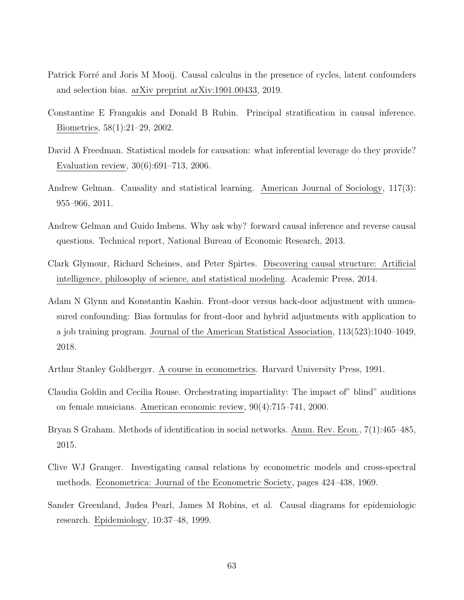- <span id="page-64-2"></span>Patrick Forré and Joris M Mooij. Causal calculus in the presence of cycles, latent confounders and selection bias. arXiv preprint arXiv:1901.00433, 2019.
- <span id="page-64-1"></span>Constantine E Frangakis and Donald B Rubin. Principal stratification in causal inference. Biometrics, 58(1):21–29, 2002.
- David A Freedman. Statistical models for causation: what inferential leverage do they provide? Evaluation review, 30(6):691–713, 2006.
- Andrew Gelman. Causality and statistical learning. American Journal of Sociology, 117(3): 955–966, 2011.
- Andrew Gelman and Guido Imbens. Why ask why? forward causal inference and reverse causal questions. Technical report, National Bureau of Economic Research, 2013.
- Clark Glymour, Richard Scheines, and Peter Spirtes. Discovering causal structure: Artificial intelligence, philosophy of science, and statistical modeling. Academic Press, 2014.
- Adam N Glynn and Konstantin Kashin. Front-door versus back-door adjustment with unmeasured confounding: Bias formulas for front-door and hybrid adjustments with application to a job training program. Journal of the American Statistical Association, 113(523):1040–1049, 2018.
- Arthur Stanley Goldberger. A course in econometrics. Harvard University Press, 1991.
- <span id="page-64-0"></span>Claudia Goldin and Cecilia Rouse. Orchestrating impartiality: The impact of" blind" auditions on female musicians. American economic review, 90(4):715–741, 2000.
- Bryan S Graham. Methods of identification in social networks. Annu. Rev. Econ., 7(1):465–485, 2015.
- Clive WJ Granger. Investigating causal relations by econometric models and cross-spectral methods. Econometrica: Journal of the Econometric Society, pages 424–438, 1969.
- Sander Greenland, Judea Pearl, James M Robins, et al. Causal diagrams for epidemiologic research. Epidemiology, 10:37–48, 1999.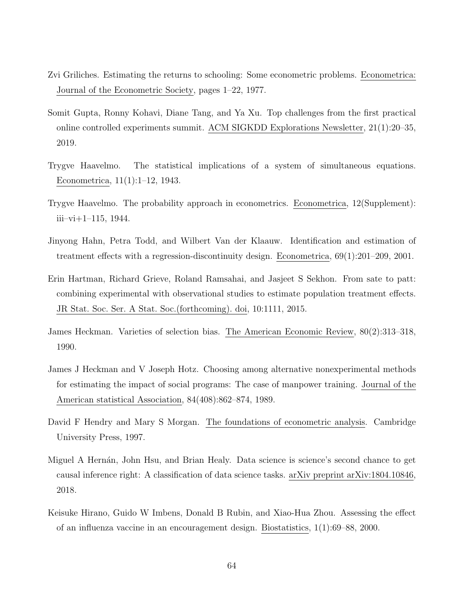- <span id="page-65-5"></span>Zvi Griliches. Estimating the returns to schooling: Some econometric problems. Econometrica: Journal of the Econometric Society, pages 1–22, 1977.
- Somit Gupta, Ronny Kohavi, Diane Tang, and Ya Xu. Top challenges from the first practical online controlled experiments summit. ACM SIGKDD Explorations Newsletter, 21(1):20–35, 2019.
- <span id="page-65-3"></span>Trygve Haavelmo. The statistical implications of a system of simultaneous equations. Econometrica, 11(1):1–12, 1943.
- Trygve Haavelmo. The probability approach in econometrics. Econometrica, 12(Supplement):  $iii-vi+1-115$ , 1944.
- Jinyong Hahn, Petra Todd, and Wilbert Van der Klaauw. Identification and estimation of treatment effects with a regression-discontinuity design. Econometrica, 69(1):201–209, 2001.
- <span id="page-65-2"></span>Erin Hartman, Richard Grieve, Roland Ramsahai, and Jasjeet S Sekhon. From sate to patt: combining experimental with observational studies to estimate population treatment effects. JR Stat. Soc. Ser. A Stat. Soc.(forthcoming). doi, 10:1111, 2015.
- <span id="page-65-1"></span>James Heckman. Varieties of selection bias. The American Economic Review, 80(2):313–318, 1990.
- <span id="page-65-4"></span>James J Heckman and V Joseph Hotz. Choosing among alternative nonexperimental methods for estimating the impact of social programs: The case of manpower training. Journal of the American statistical Association, 84(408):862–874, 1989.
- David F Hendry and Mary S Morgan. The foundations of econometric analysis. Cambridge University Press, 1997.
- <span id="page-65-0"></span>Miguel A Hernán, John Hsu, and Brian Healy. Data science is science's second chance to get causal inference right: A classification of data science tasks. arXiv preprint arXiv:1804.10846, 2018.
- Keisuke Hirano, Guido W Imbens, Donald B Rubin, and Xiao-Hua Zhou. Assessing the effect of an influenza vaccine in an encouragement design. Biostatistics, 1(1):69–88, 2000.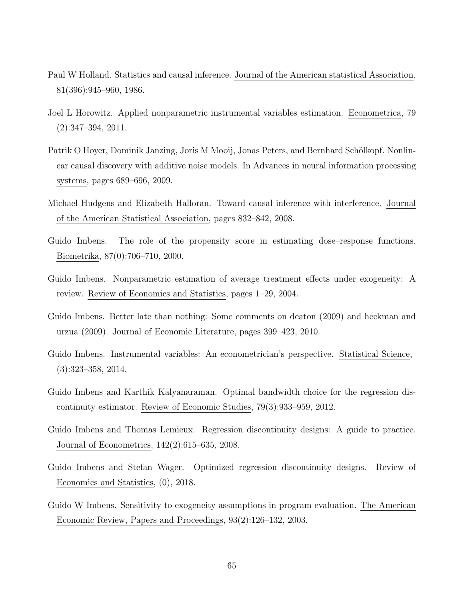- Paul W Holland. Statistics and causal inference. Journal of the American statistical Association, 81(396):945–960, 1986.
- <span id="page-66-1"></span>Joel L Horowitz. Applied nonparametric instrumental variables estimation. Econometrica, 79 (2):347–394, 2011.
- Patrik O Hoyer, Dominik Janzing, Joris M Mooij, Jonas Peters, and Bernhard Schölkopf. Nonlinear causal discovery with additive noise models. In Advances in neural information processing systems, pages 689–696, 2009.
- Michael Hudgens and Elizabeth Halloran. Toward causal inference with interference. Journal of the American Statistical Association, pages 832–842, 2008.
- Guido Imbens. The role of the propensity score in estimating dose–response functions. Biometrika, 87(0):706–710, 2000.
- Guido Imbens. Nonparametric estimation of average treatment effects under exogeneity: A review. Review of Economics and Statistics, pages 1–29, 2004.
- <span id="page-66-5"></span>Guido Imbens. Better late than nothing: Some comments on deaton (2009) and heckman and urzua (2009). Journal of Economic Literature, pages 399–423, 2010.
- <span id="page-66-0"></span>Guido Imbens. Instrumental variables: An econometrician's perspective. Statistical Science, (3):323–358, 2014.
- <span id="page-66-3"></span>Guido Imbens and Karthik Kalyanaraman. Optimal bandwidth choice for the regression discontinuity estimator. Review of Economic Studies, 79(3):933–959, 2012.
- <span id="page-66-2"></span>Guido Imbens and Thomas Lemieux. Regression discontinuity designs: A guide to practice. Journal of Econometrics, 142(2):615–635, 2008.
- <span id="page-66-4"></span>Guido Imbens and Stefan Wager. Optimized regression discontinuity designs. Review of Economics and Statistics, (0), 2018.
- Guido W Imbens. Sensitivity to exogeneity assumptions in program evaluation. The American Economic Review, Papers and Proceedings, 93(2):126–132, 2003.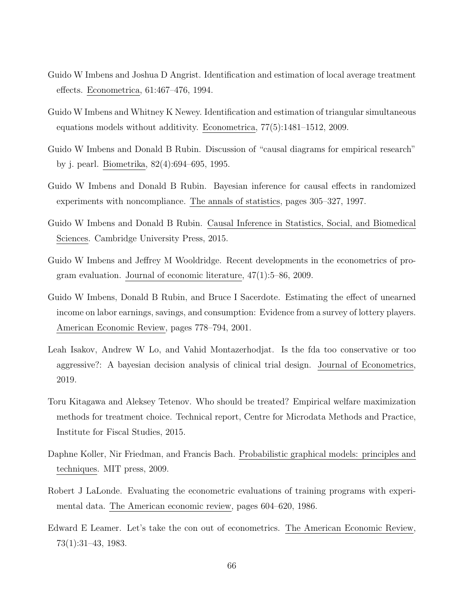- <span id="page-67-2"></span>Guido W Imbens and Joshua D Angrist. Identification and estimation of local average treatment effects. Econometrica, 61:467–476, 1994.
- <span id="page-67-3"></span>Guido W Imbens and Whitney K Newey. Identification and estimation of triangular simultaneous equations models without additivity. Econometrica, 77(5):1481–1512, 2009.
- <span id="page-67-4"></span>Guido W Imbens and Donald B Rubin. Discussion of "causal diagrams for empirical research" by j. pearl. Biometrika, 82(4):694–695, 1995.
- <span id="page-67-5"></span>Guido W Imbens and Donald B Rubin. Bayesian inference for causal effects in randomized experiments with noncompliance. The annals of statistics, pages 305–327, 1997.
- <span id="page-67-0"></span>Guido W Imbens and Donald B Rubin. Causal Inference in Statistics, Social, and Biomedical Sciences. Cambridge University Press, 2015.
- Guido W Imbens and Jeffrey M Wooldridge. Recent developments in the econometrics of program evaluation. Journal of economic literature, 47(1):5–86, 2009.
- <span id="page-67-1"></span>Guido W Imbens, Donald B Rubin, and Bruce I Sacerdote. Estimating the effect of unearned income on labor earnings, savings, and consumption: Evidence from a survey of lottery players. American Economic Review, pages 778–794, 2001.
- Leah Isakov, Andrew W Lo, and Vahid Montazerhodjat. Is the fda too conservative or too aggressive?: A bayesian decision analysis of clinical trial design. Journal of Econometrics, 2019.
- Toru Kitagawa and Aleksey Tetenov. Who should be treated? Empirical welfare maximization methods for treatment choice. Technical report, Centre for Microdata Methods and Practice, Institute for Fiscal Studies, 2015.
- Daphne Koller, Nir Friedman, and Francis Bach. Probabilistic graphical models: principles and techniques. MIT press, 2009.
- <span id="page-67-6"></span>Robert J LaLonde. Evaluating the econometric evaluations of training programs with experimental data. The American economic review, pages 604–620, 1986.
- Edward E Leamer. Let's take the con out of econometrics. The American Economic Review, 73(1):31–43, 1983.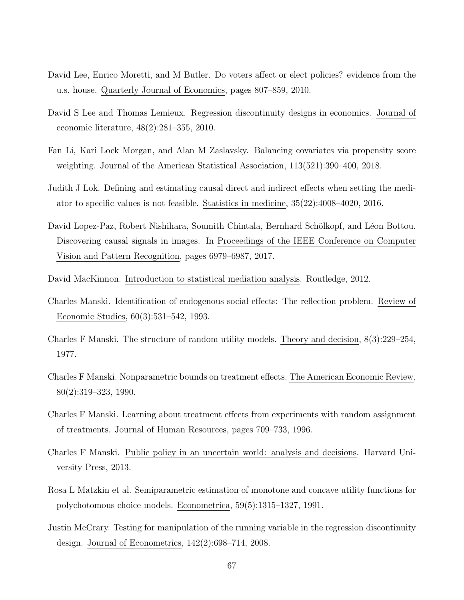- David Lee, Enrico Moretti, and M Butler. Do voters affect or elect policies? evidence from the u.s. house. Quarterly Journal of Economics, pages 807–859, 2010.
- <span id="page-68-2"></span>David S Lee and Thomas Lemieux. Regression discontinuity designs in economics. Journal of economic literature, 48(2):281–355, 2010.
- Fan Li, Kari Lock Morgan, and Alan M Zaslavsky. Balancing covariates via propensity score weighting. Journal of the American Statistical Association, 113(521):390–400, 2018.
- Judith J Lok. Defining and estimating causal direct and indirect effects when setting the mediator to specific values is not feasible. Statistics in medicine, 35(22):4008–4020, 2016.
- David Lopez-Paz, Robert Nishihara, Soumith Chintala, Bernhard Schölkopf, and Léon Bottou. Discovering causal signals in images. In Proceedings of the IEEE Conference on Computer Vision and Pattern Recognition, pages 6979–6987, 2017.
- David MacKinnon. Introduction to statistical mediation analysis. Routledge, 2012.
- Charles Manski. Identification of endogenous social effects: The reflection problem. Review of Economic Studies, 60(3):531–542, 1993.
- <span id="page-68-5"></span>Charles F Manski. The structure of random utility models. Theory and decision, 8(3):229–254, 1977.
- <span id="page-68-1"></span>Charles F Manski. Nonparametric bounds on treatment effects. The American Economic Review, 80(2):319–323, 1990.
- <span id="page-68-4"></span>Charles F Manski. Learning about treatment effects from experiments with random assignment of treatments. Journal of Human Resources, pages 709–733, 1996.
- <span id="page-68-0"></span>Charles F Manski. Public policy in an uncertain world: analysis and decisions. Harvard University Press, 2013.
- Rosa L Matzkin et al. Semiparametric estimation of monotone and concave utility functions for polychotomous choice models. Econometrica, 59(5):1315–1327, 1991.
- <span id="page-68-3"></span>Justin McCrary. Testing for manipulation of the running variable in the regression discontinuity design. Journal of Econometrics, 142(2):698–714, 2008.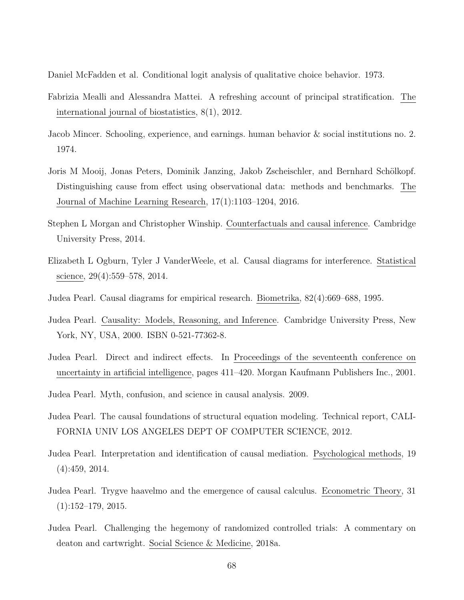<span id="page-69-6"></span>Daniel McFadden et al. Conditional logit analysis of qualitative choice behavior. 1973.

- <span id="page-69-1"></span>Fabrizia Mealli and Alessandra Mattei. A refreshing account of principal stratification. The international journal of biostatistics, 8(1), 2012.
- <span id="page-69-5"></span>Jacob Mincer. Schooling, experience, and earnings. human behavior & social institutions no. 2. 1974.
- Joris M Mooij, Jonas Peters, Dominik Janzing, Jakob Zscheischler, and Bernhard Schölkopf. Distinguishing cause from effect using observational data: methods and benchmarks. The Journal of Machine Learning Research, 17(1):1103–1204, 2016.
- Stephen L Morgan and Christopher Winship. Counterfactuals and causal inference. Cambridge University Press, 2014.
- Elizabeth L Ogburn, Tyler J VanderWeele, et al. Causal diagrams for interference. Statistical science, 29(4):559–578, 2014.
- <span id="page-69-2"></span>Judea Pearl. Causal diagrams for empirical research. Biometrika, 82(4):669–688, 1995.
- Judea Pearl. Causality: Models, Reasoning, and Inference. Cambridge University Press, New York, NY, USA, 2000. ISBN 0-521-77362-8.
- Judea Pearl. Direct and indirect effects. In Proceedings of the seventeenth conference on uncertainty in artificial intelligence, pages 411–420. Morgan Kaufmann Publishers Inc., 2001.
- <span id="page-69-4"></span>Judea Pearl. Myth, confusion, and science in causal analysis. 2009.
- <span id="page-69-3"></span>Judea Pearl. The causal foundations of structural equation modeling. Technical report, CALI-FORNIA UNIV LOS ANGELES DEPT OF COMPUTER SCIENCE, 2012.
- Judea Pearl. Interpretation and identification of causal mediation. Psychological methods, 19 (4):459, 2014.
- <span id="page-69-0"></span>Judea Pearl. Trygve haavelmo and the emergence of causal calculus. Econometric Theory, 31  $(1):152-179, 2015.$
- Judea Pearl. Challenging the hegemony of randomized controlled trials: A commentary on deaton and cartwright. Social Science & Medicine, 2018a.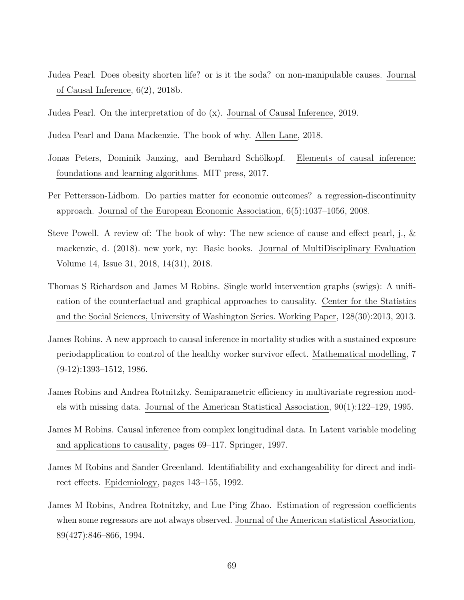- <span id="page-70-1"></span>Judea Pearl. Does obesity shorten life? or is it the soda? on non-manipulable causes. Journal of Causal Inference, 6(2), 2018b.
- <span id="page-70-3"></span>Judea Pearl. On the interpretation of do (x). Journal of Causal Inference, 2019.
- Judea Pearl and Dana Mackenzie. The book of why. Allen Lane, 2018.
- Jonas Peters, Dominik Janzing, and Bernhard Schölkopf. Elements of causal inference: foundations and learning algorithms. MIT press, 2017.
- Per Pettersson-Lidbom. Do parties matter for economic outcomes? a regression-discontinuity approach. Journal of the European Economic Association, 6(5):1037–1056, 2008.
- <span id="page-70-0"></span>Steve Powell. A review of: The book of why: The new science of cause and effect pearl, j., & mackenzie, d. (2018). new york, ny: Basic books. Journal of MultiDisciplinary Evaluation Volume 14, Issue 31, 2018, 14(31), 2018.
- <span id="page-70-2"></span>Thomas S Richardson and James M Robins. Single world intervention graphs (swigs): A unification of the counterfactual and graphical approaches to causality. Center for the Statistics and the Social Sciences, University of Washington Series. Working Paper, 128(30):2013, 2013.
- <span id="page-70-4"></span>James Robins. A new approach to causal inference in mortality studies with a sustained exposure periodapplication to control of the healthy worker survivor effect. Mathematical modelling, 7  $(9-12):1393-1512, 1986.$
- James Robins and Andrea Rotnitzky. Semiparametric efficiency in multivariate regression models with missing data. Journal of the American Statistical Association, 90(1):122–129, 1995.
- James M Robins. Causal inference from complex longitudinal data. In Latent variable modeling and applications to causality, pages 69–117. Springer, 1997.
- James M Robins and Sander Greenland. Identifiability and exchangeability for direct and indirect effects. Epidemiology, pages 143–155, 1992.
- James M Robins, Andrea Rotnitzky, and Lue Ping Zhao. Estimation of regression coefficients when some regressors are not always observed. Journal of the American statistical Association, 89(427):846–866, 1994.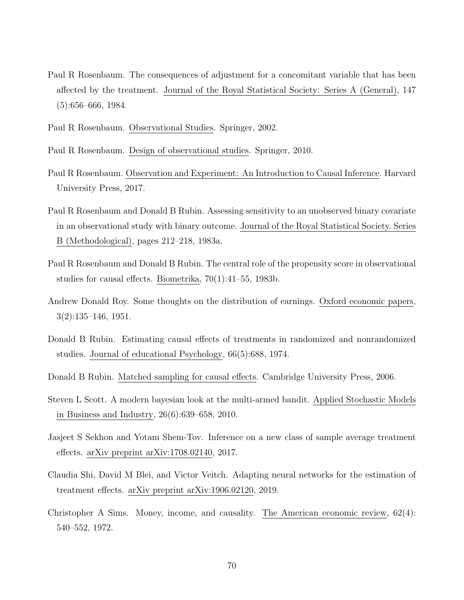- <span id="page-71-0"></span>Paul R Rosenbaum. The consequences of adjustment for a concomitant variable that has been affected by the treatment. Journal of the Royal Statistical Society: Series A (General), 147 (5):656–666, 1984.
- Paul R Rosenbaum. Observational Studies. Springer, 2002.

Paul R Rosenbaum. Design of observational studies. Springer, 2010.

- Paul R Rosenbaum. Observation and Experiment: An Introduction to Causal Inference. Harvard University Press, 2017.
- Paul R Rosenbaum and Donald B Rubin. Assessing sensitivity to an unobserved binary covariate in an observational study with binary outcome. Journal of the Royal Statistical Society. Series B (Methodological), pages 212–218, 1983a.
- Paul R Rosenbaum and Donald B Rubin. The central role of the propensity score in observational studies for causal effects. Biometrika, 70(1):41–55, 1983b.
- <span id="page-71-2"></span>Andrew Donald Roy. Some thoughts on the distribution of earnings. Oxford economic papers, 3(2):135–146, 1951.
- Donald B Rubin. Estimating causal effects of treatments in randomized and nonrandomized studies. Journal of educational Psychology, 66(5):688, 1974.
- Donald B Rubin. Matched sampling for causal effects. Cambridge University Press, 2006.
- Steven L Scott. A modern bayesian look at the multi-armed bandit. Applied Stochastic Models in Business and Industry, 26(6):639–658, 2010.
- <span id="page-71-1"></span>Jasjeet S Sekhon and Yotam Shem-Tov. Inference on a new class of sample average treatment effects. arXiv preprint arXiv:1708.02140, 2017.
- Claudia Shi, David M Blei, and Victor Veitch. Adapting neural networks for the estimation of treatment effects. arXiv preprint arXiv:1906.02120, 2019.
- Christopher A Sims. Money, income, and causality. The American economic review, 62(4): 540–552, 1972.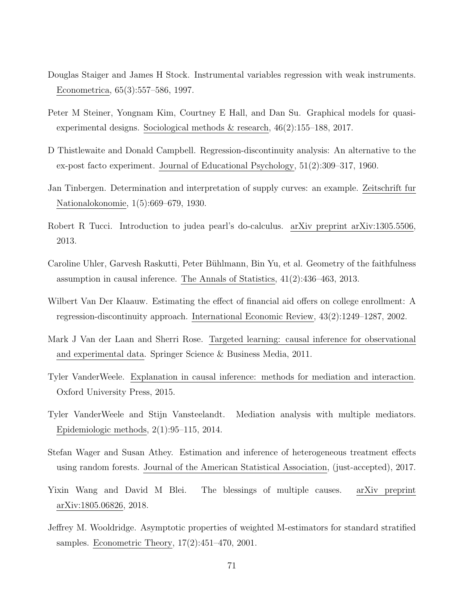- Douglas Staiger and James H Stock. Instrumental variables regression with weak instruments. Econometrica, 65(3):557–586, 1997.
- Peter M Steiner, Yongnam Kim, Courtney E Hall, and Dan Su. Graphical models for quasiexperimental designs. Sociological methods & research, 46(2):155–188, 2017.
- D Thistlewaite and Donald Campbell. Regression-discontinuity analysis: An alternative to the ex-post facto experiment. Journal of Educational Psychology, 51(2):309–317, 1960.
- Jan Tinbergen. Determination and interpretation of supply curves: an example. Zeitschrift fur Nationalokonomie, 1(5):669–679, 1930.
- Robert R Tucci. Introduction to judea pearl's do-calculus. arXiv preprint arXiv:1305.5506, 2013.
- Caroline Uhler, Garvesh Raskutti, Peter Bühlmann, Bin Yu, et al. Geometry of the faithfulness assumption in causal inference. The Annals of Statistics, 41(2):436–463, 2013.
- Wilbert Van Der Klaauw. Estimating the effect of financial aid offers on college enrollment: A regression-discontinuity approach. International Economic Review, 43(2):1249–1287, 2002.
- Mark J Van der Laan and Sherri Rose. Targeted learning: causal inference for observational and experimental data. Springer Science & Business Media, 2011.
- Tyler VanderWeele. Explanation in causal inference: methods for mediation and interaction. Oxford University Press, 2015.
- Tyler VanderWeele and Stijn Vansteelandt. Mediation analysis with multiple mediators. Epidemiologic methods, 2(1):95–115, 2014.
- Stefan Wager and Susan Athey. Estimation and inference of heterogeneous treatment effects using random forests. Journal of the American Statistical Association, (just-accepted), 2017.
- Yixin Wang and David M Blei. The blessings of multiple causes. arXiv preprint arXiv:1805.06826, 2018.
- Jeffrey M. Wooldridge. Asymptotic properties of weighted M-estimators for standard stratified samples. Econometric Theory, 17(2):451–470, 2001.